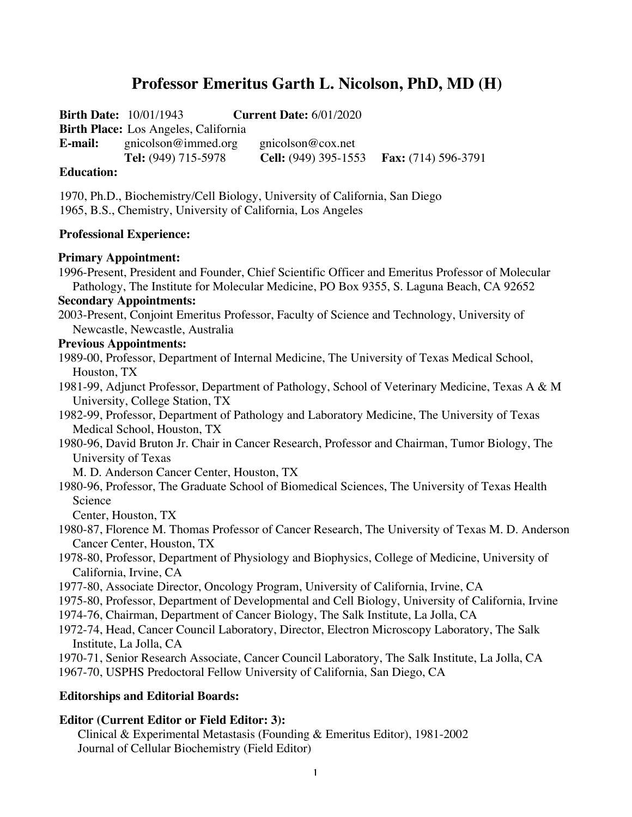# **Professor Emeritus Garth L. Nicolson, PhD, MD (H)**

**Birth Date:** 10/01/1943 **Current Date:** 6/01/2020 **Birth Place:** Los Angeles, California **E-mail:** gnicolson@immed.org gnicolson@cox.net **Tel:** (949) 715-5978 **Cell:** (949) 395-1553 **Fax:** (714) 596-3791

### **Education:**

1970, Ph.D., Biochemistry/Cell Biology, University of California, San Diego 1965, B.S., Chemistry, University of California, Los Angeles

### **Professional Experience:**

#### **Primary Appointment:**

1996-Present, President and Founder, Chief Scientific Officer and Emeritus Professor of Molecular Pathology, The Institute for Molecular Medicine, PO Box 9355, S. Laguna Beach, CA 92652

#### **Secondary Appointments:**

2003-Present, Conjoint Emeritus Professor, Faculty of Science and Technology, University of Newcastle, Newcastle, Australia

### **Previous Appointments:**

1989-00, Professor, Department of Internal Medicine, The University of Texas Medical School, Houston, TX

1981-99, Adjunct Professor, Department of Pathology, School of Veterinary Medicine, Texas A & M University, College Station, TX

1982-99, Professor, Department of Pathology and Laboratory Medicine, The University of Texas Medical School, Houston, TX

1980-96, David Bruton Jr. Chair in Cancer Research, Professor and Chairman, Tumor Biology, The University of Texas

M. D. Anderson Cancer Center, Houston, TX

1980-96, Professor, The Graduate School of Biomedical Sciences, The University of Texas Health Science

Center, Houston, TX

1980-87, Florence M. Thomas Professor of Cancer Research, The University of Texas M. D. Anderson Cancer Center, Houston, TX

1978-80, Professor, Department of Physiology and Biophysics, College of Medicine, University of California, Irvine, CA

1977-80, Associate Director, Oncology Program, University of California, Irvine, CA

1975-80, Professor, Department of Developmental and Cell Biology, University of California, Irvine

1974-76, Chairman, Department of Cancer Biology, The Salk Institute, La Jolla, CA

1972-74, Head, Cancer Council Laboratory, Director, Electron Microscopy Laboratory, The Salk Institute, La Jolla, CA

1970-71, Senior Research Associate, Cancer Council Laboratory, The Salk Institute, La Jolla, CA 1967-70, USPHS Predoctoral Fellow University of California, San Diego, CA

### **Editorships and Editorial Boards:**

### **Editor (Current Editor or Field Editor: 3):**

Clinical & Experimental Metastasis (Founding & Emeritus Editor), 1981-2002 Journal of Cellular Biochemistry (Field Editor)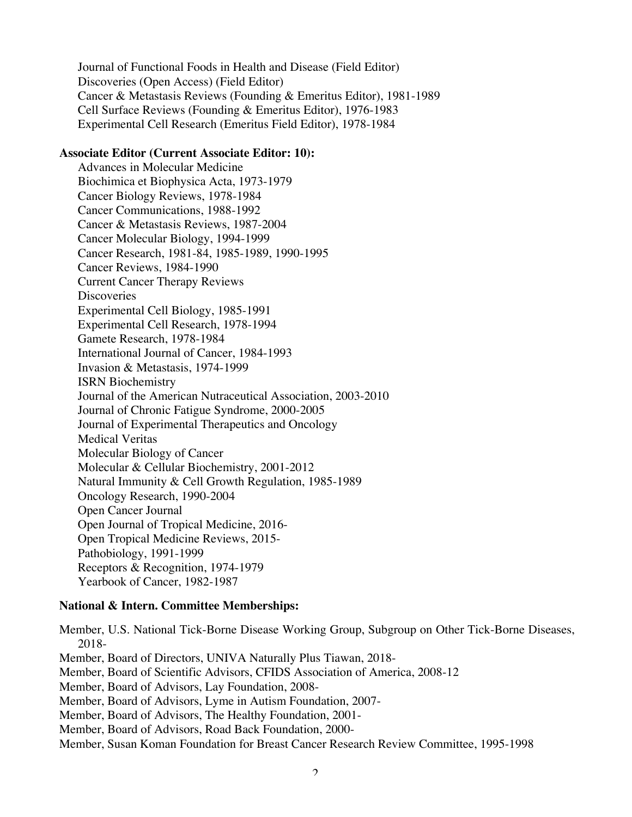Journal of Functional Foods in Health and Disease (Field Editor) Discoveries (Open Access) (Field Editor) Cancer & Metastasis Reviews (Founding & Emeritus Editor), 1981-1989 Cell Surface Reviews (Founding & Emeritus Editor), 1976-1983 Experimental Cell Research (Emeritus Field Editor), 1978-1984

### **Associate Editor (Current Associate Editor: 10):**

Advances in Molecular Medicine Biochimica et Biophysica Acta, 1973-1979 Cancer Biology Reviews, 1978-1984 Cancer Communications, 1988-1992 Cancer & Metastasis Reviews, 1987-2004 Cancer Molecular Biology, 1994-1999 Cancer Research, 1981-84, 1985-1989, 1990-1995 Cancer Reviews, 1984-1990 Current Cancer Therapy Reviews **Discoveries** Experimental Cell Biology, 1985-1991 Experimental Cell Research, 1978-1994 Gamete Research, 1978-1984 International Journal of Cancer, 1984-1993 Invasion & Metastasis, 1974-1999 ISRN Biochemistry Journal of the American Nutraceutical Association, 2003-2010 Journal of Chronic Fatigue Syndrome, 2000-2005 Journal of Experimental Therapeutics and Oncology Medical Veritas Molecular Biology of Cancer Molecular & Cellular Biochemistry, 2001-2012 Natural Immunity & Cell Growth Regulation, 1985-1989 Oncology Research, 1990-2004 Open Cancer Journal Open Journal of Tropical Medicine, 2016- Open Tropical Medicine Reviews, 2015- Pathobiology, 1991-1999 Receptors & Recognition, 1974-1979 Yearbook of Cancer, 1982-1987

### **National & Intern. Committee Memberships:**

Member, U.S. National Tick-Borne Disease Working Group, Subgroup on Other Tick-Borne Diseases, 2018- Member, Board of Directors, UNIVA Naturally Plus Tiawan, 2018- Member, Board of Scientific Advisors, CFIDS Association of America, 2008-12 Member, Board of Advisors, Lay Foundation, 2008- Member, Board of Advisors, Lyme in Autism Foundation, 2007- Member, Board of Advisors, The Healthy Foundation, 2001- Member, Board of Advisors, Road Back Foundation, 2000- Member, Susan Koman Foundation for Breast Cancer Research Review Committee, 1995-1998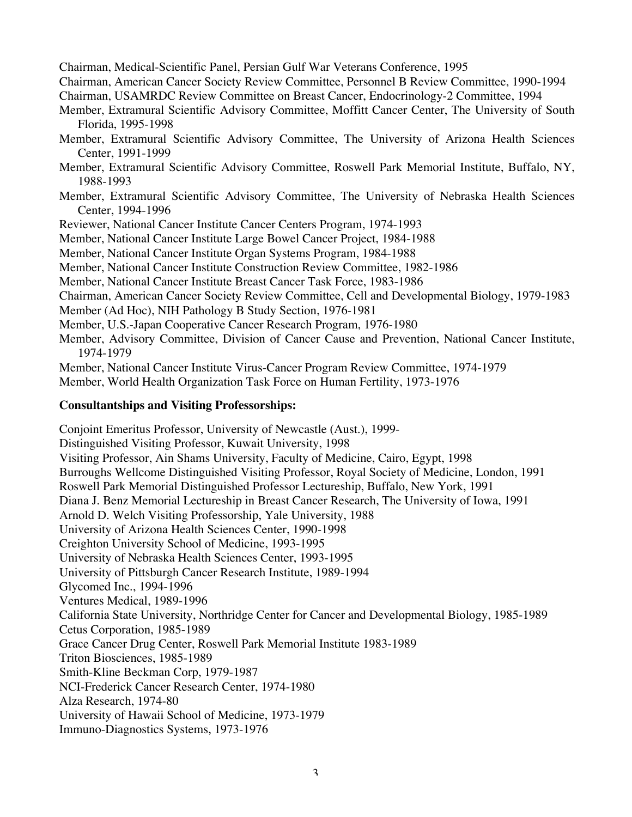Chairman, Medical-Scientific Panel, Persian Gulf War Veterans Conference, 1995

Chairman, American Cancer Society Review Committee, Personnel B Review Committee, 1990-1994

Chairman, USAMRDC Review Committee on Breast Cancer, Endocrinology-2 Committee, 1994

Member, Extramural Scientific Advisory Committee, Moffitt Cancer Center, The University of South Florida, 1995-1998

- Member, Extramural Scientific Advisory Committee, The University of Arizona Health Sciences Center, 1991-1999
- Member, Extramural Scientific Advisory Committee, Roswell Park Memorial Institute, Buffalo, NY, 1988-1993
- Member, Extramural Scientific Advisory Committee, The University of Nebraska Health Sciences Center, 1994-1996
- Reviewer, National Cancer Institute Cancer Centers Program, 1974-1993

Member, National Cancer Institute Large Bowel Cancer Project, 1984-1988

- Member, National Cancer Institute Organ Systems Program, 1984-1988
- Member, National Cancer Institute Construction Review Committee, 1982-1986
- Member, National Cancer Institute Breast Cancer Task Force, 1983-1986
- Chairman, American Cancer Society Review Committee, Cell and Developmental Biology, 1979-1983
- Member (Ad Hoc), NIH Pathology B Study Section, 1976-1981
- Member, U.S.-Japan Cooperative Cancer Research Program, 1976-1980
- Member, Advisory Committee, Division of Cancer Cause and Prevention, National Cancer Institute, 1974-1979

Member, National Cancer Institute Virus-Cancer Program Review Committee, 1974-1979

Member, World Health Organization Task Force on Human Fertility, 1973-1976

### **Consultantships and Visiting Professorships:**

Conjoint Emeritus Professor, University of Newcastle (Aust.), 1999- Distinguished Visiting Professor, Kuwait University, 1998 Visiting Professor, Ain Shams University, Faculty of Medicine, Cairo, Egypt, 1998 Burroughs Wellcome Distinguished Visiting Professor, Royal Society of Medicine, London, 1991 Roswell Park Memorial Distinguished Professor Lectureship, Buffalo, New York, 1991 Diana J. Benz Memorial Lectureship in Breast Cancer Research, The University of Iowa, 1991 Arnold D. Welch Visiting Professorship, Yale University, 1988 University of Arizona Health Sciences Center, 1990-1998 Creighton University School of Medicine, 1993-1995 University of Nebraska Health Sciences Center, 1993-1995 University of Pittsburgh Cancer Research Institute, 1989-1994 Glycomed Inc., 1994-1996 Ventures Medical, 1989-1996 California State University, Northridge Center for Cancer and Developmental Biology, 1985-1989 Cetus Corporation, 1985-1989 Grace Cancer Drug Center, Roswell Park Memorial Institute 1983-1989 Triton Biosciences, 1985-1989 Smith-Kline Beckman Corp, 1979-1987 NCI-Frederick Cancer Research Center, 1974-1980 Alza Research, 1974-80 University of Hawaii School of Medicine, 1973-1979 Immuno-Diagnostics Systems, 1973-1976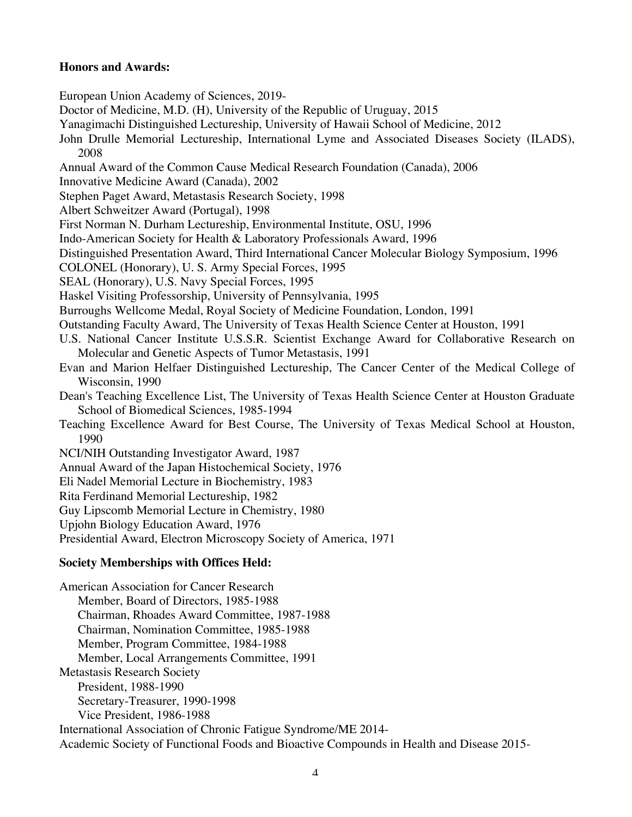### **Honors and Awards:**

European Union Academy of Sciences, 2019- Doctor of Medicine, M.D. (H), University of the Republic of Uruguay, 2015 Yanagimachi Distinguished Lectureship, University of Hawaii School of Medicine, 2012 John Drulle Memorial Lectureship, International Lyme and Associated Diseases Society (ILADS), 2008 Annual Award of the Common Cause Medical Research Foundation (Canada), 2006 Innovative Medicine Award (Canada), 2002 Stephen Paget Award, Metastasis Research Society, 1998 Albert Schweitzer Award (Portugal), 1998 First Norman N. Durham Lectureship, Environmental Institute, OSU, 1996 Indo-American Society for Health & Laboratory Professionals Award, 1996 Distinguished Presentation Award, Third International Cancer Molecular Biology Symposium, 1996 COLONEL (Honorary), U. S. Army Special Forces, 1995 SEAL (Honorary), U.S. Navy Special Forces, 1995 Haskel Visiting Professorship, University of Pennsylvania, 1995 Burroughs Wellcome Medal, Royal Society of Medicine Foundation, London, 1991 Outstanding Faculty Award, The University of Texas Health Science Center at Houston, 1991 U.S. National Cancer Institute U.S.S.R. Scientist Exchange Award for Collaborative Research on Molecular and Genetic Aspects of Tumor Metastasis, 1991 Evan and Marion Helfaer Distinguished Lectureship, The Cancer Center of the Medical College of Wisconsin, 1990 Dean's Teaching Excellence List, The University of Texas Health Science Center at Houston Graduate School of Biomedical Sciences, 1985-1994 Teaching Excellence Award for Best Course, The University of Texas Medical School at Houston, 1990 NCI/NIH Outstanding Investigator Award, 1987 Annual Award of the Japan Histochemical Society, 1976 Eli Nadel Memorial Lecture in Biochemistry, 1983 Rita Ferdinand Memorial Lectureship, 1982 Guy Lipscomb Memorial Lecture in Chemistry, 1980 Upjohn Biology Education Award, 1976 Presidential Award, Electron Microscopy Society of America, 1971 **Society Memberships with Offices Held:** American Association for Cancer Research Member, Board of Directors, 1985-1988 Chairman, Rhoades Award Committee, 1987-1988

Chairman, Nomination Committee, 1985-1988

Member, Program Committee, 1984-1988

Member, Local Arrangements Committee, 1991

Metastasis Research Society

President, 1988-1990

Secretary-Treasurer, 1990-1998

Vice President, 1986-1988

International Association of Chronic Fatigue Syndrome/ME 2014-

Academic Society of Functional Foods and Bioactive Compounds in Health and Disease 2015-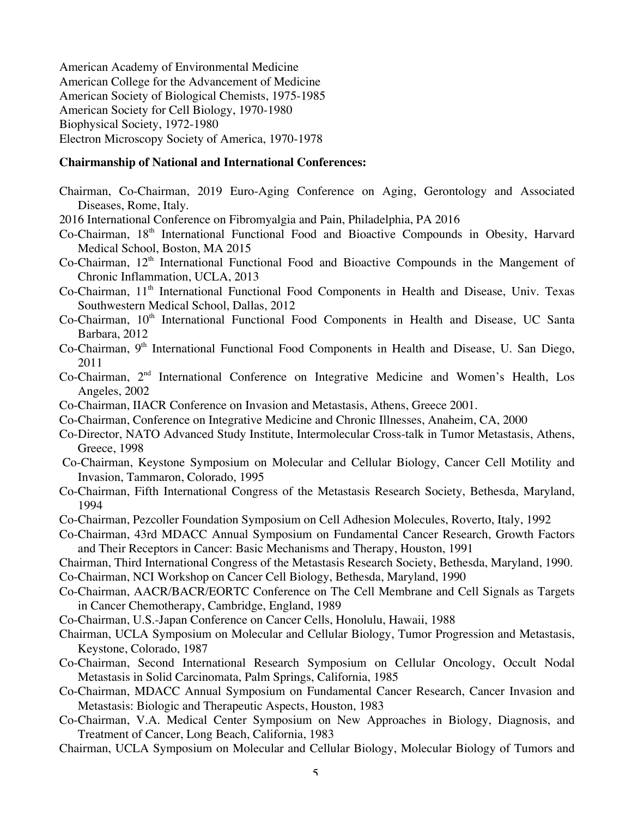American Academy of Environmental Medicine American College for the Advancement of Medicine American Society of Biological Chemists, 1975-1985 American Society for Cell Biology, 1970-1980 Biophysical Society, 1972-1980 Electron Microscopy Society of America, 1970-1978

#### **Chairmanship of National and International Conferences:**

- Chairman, Co-Chairman, 2019 Euro-Aging Conference on Aging, Gerontology and Associated Diseases, Rome, Italy.
- 2016 International Conference on Fibromyalgia and Pain, Philadelphia, PA 2016
- Co-Chairman, 18th International Functional Food and Bioactive Compounds in Obesity, Harvard Medical School, Boston, MA 2015
- Co-Chairman, 12<sup>th</sup> International Functional Food and Bioactive Compounds in the Mangement of Chronic Inflammation, UCLA, 2013
- Co-Chairman, 11th International Functional Food Components in Health and Disease, Univ. Texas Southwestern Medical School, Dallas, 2012
- Co-Chairman, 10<sup>th</sup> International Functional Food Components in Health and Disease, UC Santa Barbara, 2012
- Co-Chairman, 9<sup>th</sup> International Functional Food Components in Health and Disease, U. San Diego, 2011
- Co-Chairman, 2nd International Conference on Integrative Medicine and Women's Health, Los Angeles, 2002
- Co-Chairman, IIACR Conference on Invasion and Metastasis, Athens, Greece 2001.
- Co-Chairman, Conference on Integrative Medicine and Chronic Illnesses, Anaheim, CA, 2000
- Co-Director, NATO Advanced Study Institute, Intermolecular Cross-talk in Tumor Metastasis, Athens, Greece, 1998
- Co-Chairman, Keystone Symposium on Molecular and Cellular Biology, Cancer Cell Motility and Invasion, Tammaron, Colorado, 1995
- Co-Chairman, Fifth International Congress of the Metastasis Research Society, Bethesda, Maryland, 1994
- Co-Chairman, Pezcoller Foundation Symposium on Cell Adhesion Molecules, Roverto, Italy, 1992
- Co-Chairman, 43rd MDACC Annual Symposium on Fundamental Cancer Research, Growth Factors and Their Receptors in Cancer: Basic Mechanisms and Therapy, Houston, 1991
- Chairman, Third International Congress of the Metastasis Research Society, Bethesda, Maryland, 1990.
- Co-Chairman, NCI Workshop on Cancer Cell Biology, Bethesda, Maryland, 1990
- Co-Chairman, AACR/BACR/EORTC Conference on The Cell Membrane and Cell Signals as Targets in Cancer Chemotherapy, Cambridge, England, 1989
- Co-Chairman, U.S.-Japan Conference on Cancer Cells, Honolulu, Hawaii, 1988
- Chairman, UCLA Symposium on Molecular and Cellular Biology, Tumor Progression and Metastasis, Keystone, Colorado, 1987
- Co-Chairman, Second International Research Symposium on Cellular Oncology, Occult Nodal Metastasis in Solid Carcinomata, Palm Springs, California, 1985
- Co-Chairman, MDACC Annual Symposium on Fundamental Cancer Research, Cancer Invasion and Metastasis: Biologic and Therapeutic Aspects, Houston, 1983
- Co-Chairman, V.A. Medical Center Symposium on New Approaches in Biology, Diagnosis, and Treatment of Cancer, Long Beach, California, 1983
- Chairman, UCLA Symposium on Molecular and Cellular Biology, Molecular Biology of Tumors and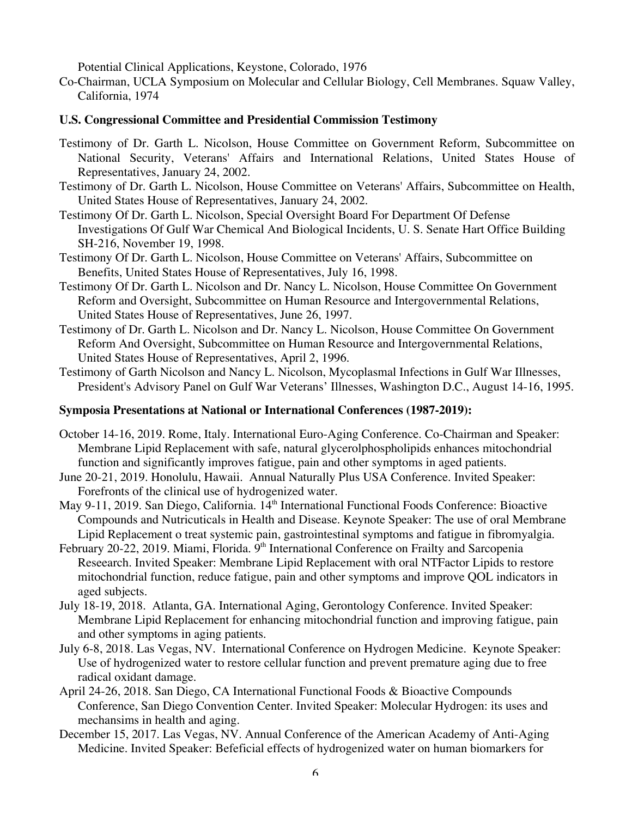Potential Clinical Applications, Keystone, Colorado, 1976

Co-Chairman, UCLA Symposium on Molecular and Cellular Biology, Cell Membranes. Squaw Valley, California, 1974

### **U.S. Congressional Committee and Presidential Commission Testimony**

- Testimony of Dr. Garth L. Nicolson, House Committee on Government Reform, Subcommittee on National Security, Veterans' Affairs and International Relations, United States House of Representatives, January 24, 2002.
- Testimony of Dr. Garth L. Nicolson, House Committee on Veterans' Affairs, Subcommittee on Health, United States House of Representatives, January 24, 2002.
- Testimony Of Dr. Garth L. Nicolson, Special Oversight Board For Department Of Defense Investigations Of Gulf War Chemical And Biological Incidents, U. S. Senate Hart Office Building SH-216, November 19, 1998.
- Testimony Of Dr. Garth L. Nicolson, House Committee on Veterans' Affairs, Subcommittee on Benefits, United States House of Representatives, July 16, 1998.
- Testimony Of Dr. Garth L. Nicolson and Dr. Nancy L. Nicolson, House Committee On Government Reform and Oversight, Subcommittee on Human Resource and Intergovernmental Relations, United States House of Representatives, June 26, 1997.
- Testimony of Dr. Garth L. Nicolson and Dr. Nancy L. Nicolson, House Committee On Government Reform And Oversight, Subcommittee on Human Resource and Intergovernmental Relations, United States House of Representatives, April 2, 1996.
- Testimony of Garth Nicolson and Nancy L. Nicolson, Mycoplasmal Infections in Gulf War Illnesses, President's Advisory Panel on Gulf War Veterans' Illnesses, Washington D.C., August 14-16, 1995.

### **Symposia Presentations at National or International Conferences (1987-2019):**

- October 14-16, 2019. Rome, Italy. International Euro-Aging Conference. Co-Chairman and Speaker: Membrane Lipid Replacement with safe, natural glycerolphospholipids enhances mitochondrial function and significantly improves fatigue, pain and other symptoms in aged patients.
- June 20-21, 2019. Honolulu, Hawaii. Annual Naturally Plus USA Conference. Invited Speaker: Forefronts of the clinical use of hydrogenized water.
- May 9-11, 2019. San Diego, California. 14<sup>th</sup> International Functional Foods Conference: Bioactive Compounds and Nutricuticals in Health and Disease. Keynote Speaker: The use of oral Membrane Lipid Replacement o treat systemic pain, gastrointestinal symptoms and fatigue in fibromyalgia.
- February 20-22, 2019. Miami, Florida. 9<sup>th</sup> International Conference on Frailty and Sarcopenia Reseearch. Invited Speaker: Membrane Lipid Replacement with oral NTFactor Lipids to restore mitochondrial function, reduce fatigue, pain and other symptoms and improve QOL indicators in aged subjects.
- July 18-19, 2018. Atlanta, GA. International Aging, Gerontology Conference. Invited Speaker: Membrane Lipid Replacement for enhancing mitochondrial function and improving fatigue, pain and other symptoms in aging patients.
- July 6-8, 2018. Las Vegas, NV. International Conference on Hydrogen Medicine. Keynote Speaker: Use of hydrogenized water to restore cellular function and prevent premature aging due to free radical oxidant damage.
- April 24-26, 2018. San Diego, CA International Functional Foods & Bioactive Compounds Conference, San Diego Convention Center. Invited Speaker: Molecular Hydrogen: its uses and mechansims in health and aging.
- December 15, 2017. Las Vegas, NV. Annual Conference of the American Academy of Anti-Aging Medicine. Invited Speaker: Befeficial effects of hydrogenized water on human biomarkers for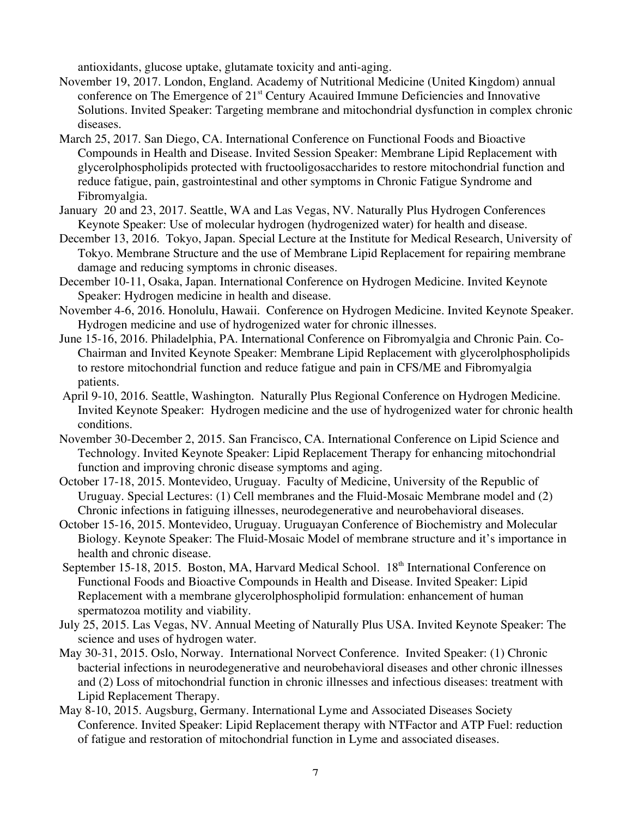antioxidants, glucose uptake, glutamate toxicity and anti-aging.

- November 19, 2017. London, England. Academy of Nutritional Medicine (United Kingdom) annual conference on The Emergence of 21<sup>st</sup> Century Acauired Immune Deficiencies and Innovative Solutions. Invited Speaker: Targeting membrane and mitochondrial dysfunction in complex chronic diseases.
- March 25, 2017. San Diego, CA. International Conference on Functional Foods and Bioactive Compounds in Health and Disease. Invited Session Speaker: Membrane Lipid Replacement with glycerolphospholipids protected with fructooligosaccharides to restore mitochondrial function and reduce fatigue, pain, gastrointestinal and other symptoms in Chronic Fatigue Syndrome and Fibromyalgia.
- January 20 and 23, 2017. Seattle, WA and Las Vegas, NV. Naturally Plus Hydrogen Conferences Keynote Speaker: Use of molecular hydrogen (hydrogenized water) for health and disease.
- December 13, 2016. Tokyo, Japan. Special Lecture at the Institute for Medical Research, University of Tokyo. Membrane Structure and the use of Membrane Lipid Replacement for repairing membrane damage and reducing symptoms in chronic diseases.
- December 10-11, Osaka, Japan. International Conference on Hydrogen Medicine. Invited Keynote Speaker: Hydrogen medicine in health and disease.
- November 4-6, 2016. Honolulu, Hawaii. Conference on Hydrogen Medicine. Invited Keynote Speaker. Hydrogen medicine and use of hydrogenized water for chronic illnesses.
- June 15-16, 2016. Philadelphia, PA. International Conference on Fibromyalgia and Chronic Pain. Co-Chairman and Invited Keynote Speaker: Membrane Lipid Replacement with glycerolphospholipids to restore mitochondrial function and reduce fatigue and pain in CFS/ME and Fibromyalgia patients.
- April 9-10, 2016. Seattle, Washington. Naturally Plus Regional Conference on Hydrogen Medicine. Invited Keynote Speaker: Hydrogen medicine and the use of hydrogenized water for chronic health conditions.
- November 30-December 2, 2015. San Francisco, CA. International Conference on Lipid Science and Technology. Invited Keynote Speaker: Lipid Replacement Therapy for enhancing mitochondrial function and improving chronic disease symptoms and aging.
- October 17-18, 2015. Montevideo, Uruguay. Faculty of Medicine, University of the Republic of Uruguay. Special Lectures: (1) Cell membranes and the Fluid-Mosaic Membrane model and (2) Chronic infections in fatiguing illnesses, neurodegenerative and neurobehavioral diseases.
- October 15-16, 2015. Montevideo, Uruguay. Uruguayan Conference of Biochemistry and Molecular Biology. Keynote Speaker: The Fluid-Mosaic Model of membrane structure and it's importance in health and chronic disease.
- September 15-18, 2015. Boston, MA, Harvard Medical School. 18<sup>th</sup> International Conference on Functional Foods and Bioactive Compounds in Health and Disease. Invited Speaker: Lipid Replacement with a membrane glycerolphospholipid formulation: enhancement of human spermatozoa motility and viability.
- July 25, 2015. Las Vegas, NV. Annual Meeting of Naturally Plus USA. Invited Keynote Speaker: The science and uses of hydrogen water.
- May 30-31, 2015. Oslo, Norway. International Norvect Conference. Invited Speaker: (1) Chronic bacterial infections in neurodegenerative and neurobehavioral diseases and other chronic illnesses and (2) Loss of mitochondrial function in chronic illnesses and infectious diseases: treatment with Lipid Replacement Therapy.
- May 8-10, 2015. Augsburg, Germany. International Lyme and Associated Diseases Society Conference. Invited Speaker: Lipid Replacement therapy with NTFactor and ATP Fuel: reduction of fatigue and restoration of mitochondrial function in Lyme and associated diseases.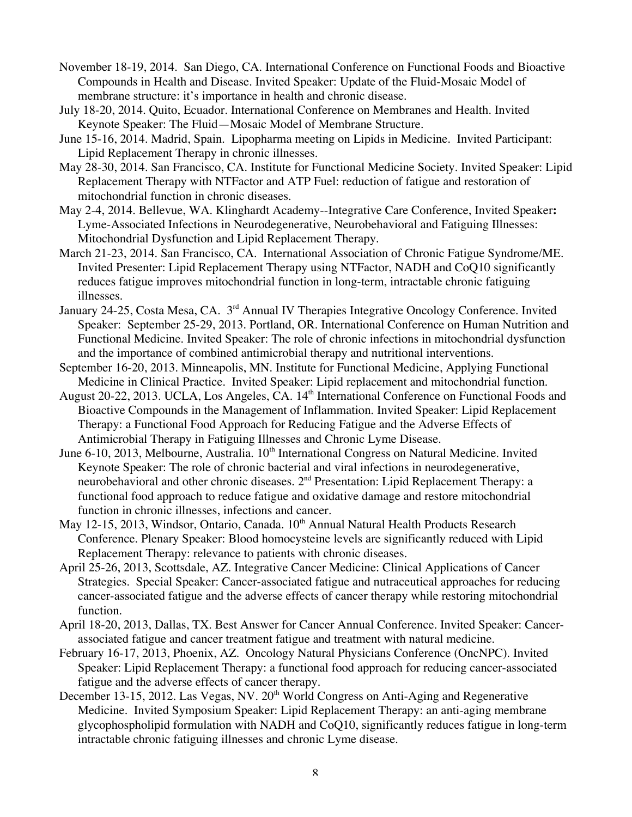- November 18-19, 2014. San Diego, CA. International Conference on Functional Foods and Bioactive Compounds in Health and Disease. Invited Speaker: Update of the Fluid-Mosaic Model of membrane structure: it's importance in health and chronic disease.
- July 18-20, 2014. Quito, Ecuador. International Conference on Membranes and Health. Invited Keynote Speaker: The Fluid—Mosaic Model of Membrane Structure.
- June 15-16, 2014. Madrid, Spain. Lipopharma meeting on Lipids in Medicine. Invited Participant: Lipid Replacement Therapy in chronic illnesses.
- May 28-30, 2014. San Francisco, CA. Institute for Functional Medicine Society. Invited Speaker: Lipid Replacement Therapy with NTFactor and ATP Fuel: reduction of fatigue and restoration of mitochondrial function in chronic diseases.
- May 2-4, 2014. Bellevue, WA. Klinghardt Academy--Integrative Care Conference, Invited Speaker**:** Lyme-Associated Infections in Neurodegenerative, Neurobehavioral and Fatiguing Illnesses: Mitochondrial Dysfunction and Lipid Replacement Therapy.
- March 21-23, 2014. San Francisco, CA. International Association of Chronic Fatigue Syndrome/ME. Invited Presenter: Lipid Replacement Therapy using NTFactor, NADH and CoQ10 significantly reduces fatigue improves mitochondrial function in long-term, intractable chronic fatiguing illnesses.
- January 24-25, Costa Mesa, CA. 3<sup>rd</sup> Annual IV Therapies Integrative Oncology Conference. Invited Speaker: September 25-29, 2013. Portland, OR. International Conference on Human Nutrition and Functional Medicine. Invited Speaker: The role of chronic infections in mitochondrial dysfunction and the importance of combined antimicrobial therapy and nutritional interventions.
- September 16-20, 2013. Minneapolis, MN. Institute for Functional Medicine, Applying Functional Medicine in Clinical Practice. Invited Speaker: Lipid replacement and mitochondrial function.
- August 20-22, 2013. UCLA, Los Angeles, CA. 14<sup>th</sup> International Conference on Functional Foods and Bioactive Compounds in the Management of Inflammation. Invited Speaker: Lipid Replacement Therapy: a Functional Food Approach for Reducing Fatigue and the Adverse Effects of Antimicrobial Therapy in Fatiguing Illnesses and Chronic Lyme Disease.
- June 6-10, 2013, Melbourne, Australia. 10<sup>th</sup> International Congress on Natural Medicine. Invited Keynote Speaker: The role of chronic bacterial and viral infections in neurodegenerative, neurobehavioral and other chronic diseases. 2<sup>nd</sup> Presentation: Lipid Replacement Therapy: a functional food approach to reduce fatigue and oxidative damage and restore mitochondrial function in chronic illnesses, infections and cancer.
- May 12-15, 2013, Windsor, Ontario, Canada. 10<sup>th</sup> Annual Natural Health Products Research Conference. Plenary Speaker: Blood homocysteine levels are significantly reduced with Lipid Replacement Therapy: relevance to patients with chronic diseases.
- April 25-26, 2013, Scottsdale, AZ. Integrative Cancer Medicine: Clinical Applications of Cancer Strategies. Special Speaker: Cancer-associated fatigue and nutraceutical approaches for reducing cancer-associated fatigue and the adverse effects of cancer therapy while restoring mitochondrial function.
- April 18-20, 2013, Dallas, TX. Best Answer for Cancer Annual Conference. Invited Speaker: Cancerassociated fatigue and cancer treatment fatigue and treatment with natural medicine.
- February 16-17, 2013, Phoenix, AZ. Oncology Natural Physicians Conference (OncNPC). Invited Speaker: Lipid Replacement Therapy: a functional food approach for reducing cancer-associated fatigue and the adverse effects of cancer therapy.
- December 13-15, 2012. Las Vegas, NV. 20<sup>th</sup> World Congress on Anti-Aging and Regenerative Medicine. Invited Symposium Speaker: Lipid Replacement Therapy: an anti-aging membrane glycophospholipid formulation with NADH and CoQ10, significantly reduces fatigue in long-term intractable chronic fatiguing illnesses and chronic Lyme disease.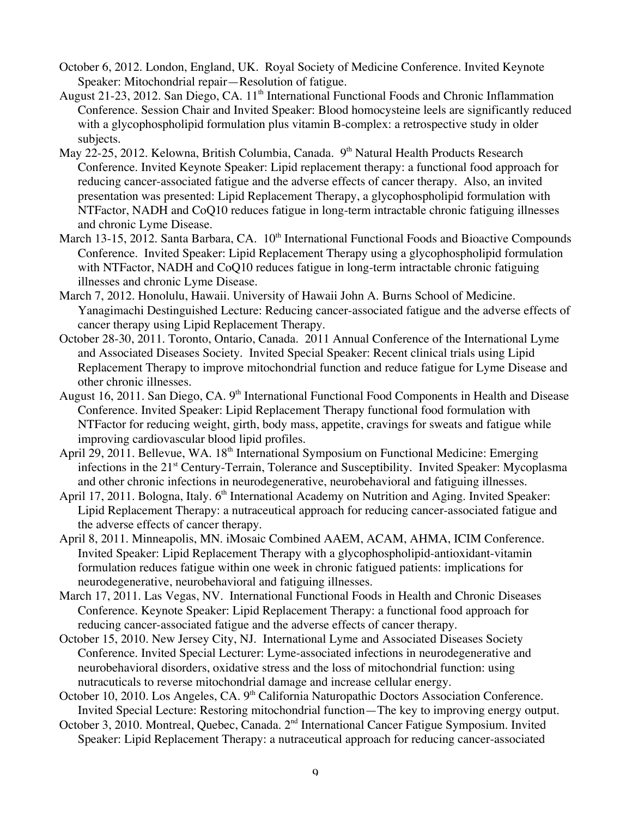- October 6, 2012. London, England, UK. Royal Society of Medicine Conference. Invited Keynote Speaker: Mitochondrial repair—Resolution of fatigue.
- August 21-23, 2012. San Diego, CA. 11<sup>th</sup> International Functional Foods and Chronic Inflammation Conference. Session Chair and Invited Speaker: Blood homocysteine leels are significantly reduced with a glycophospholipid formulation plus vitamin B-complex: a retrospective study in older subjects.
- May 22-25, 2012. Kelowna, British Columbia, Canada. 9<sup>th</sup> Natural Health Products Research Conference. Invited Keynote Speaker: Lipid replacement therapy: a functional food approach for reducing cancer-associated fatigue and the adverse effects of cancer therapy. Also, an invited presentation was presented: Lipid Replacement Therapy, a glycophospholipid formulation with NTFactor, NADH and CoQ10 reduces fatigue in long-term intractable chronic fatiguing illnesses and chronic Lyme Disease.
- March 13-15, 2012. Santa Barbara, CA. 10<sup>th</sup> International Functional Foods and Bioactive Compounds Conference. Invited Speaker: Lipid Replacement Therapy using a glycophospholipid formulation with NTFactor, NADH and CoQ10 reduces fatigue in long-term intractable chronic fatiguing illnesses and chronic Lyme Disease.
- March 7, 2012. Honolulu, Hawaii. University of Hawaii John A. Burns School of Medicine. Yanagimachi Destinguished Lecture: Reducing cancer-associated fatigue and the adverse effects of cancer therapy using Lipid Replacement Therapy.
- October 28-30, 2011. Toronto, Ontario, Canada. 2011 Annual Conference of the International Lyme and Associated Diseases Society. Invited Special Speaker: Recent clinical trials using Lipid Replacement Therapy to improve mitochondrial function and reduce fatigue for Lyme Disease and other chronic illnesses.
- August 16, 2011. San Diego, CA. 9<sup>th</sup> International Functional Food Components in Health and Disease Conference. Invited Speaker: Lipid Replacement Therapy functional food formulation with NTFactor for reducing weight, girth, body mass, appetite, cravings for sweats and fatigue while improving cardiovascular blood lipid profiles.
- April 29, 2011. Bellevue, WA. 18<sup>th</sup> International Symposium on Functional Medicine: Emerging infections in the 21<sup>st</sup> Century-Terrain, Tolerance and Susceptibility. Invited Speaker: Mycoplasma and other chronic infections in neurodegenerative, neurobehavioral and fatiguing illnesses.
- April 17, 2011. Bologna, Italy. 6<sup>th</sup> International Academy on Nutrition and Aging. Invited Speaker: Lipid Replacement Therapy: a nutraceutical approach for reducing cancer-associated fatigue and the adverse effects of cancer therapy.
- April 8, 2011. Minneapolis, MN. iMosaic Combined AAEM, ACAM, AHMA, ICIM Conference. Invited Speaker: Lipid Replacement Therapy with a glycophospholipid-antioxidant-vitamin formulation reduces fatigue within one week in chronic fatigued patients: implications for neurodegenerative, neurobehavioral and fatiguing illnesses.
- March 17, 2011. Las Vegas, NV. International Functional Foods in Health and Chronic Diseases Conference. Keynote Speaker: Lipid Replacement Therapy: a functional food approach for reducing cancer-associated fatigue and the adverse effects of cancer therapy.
- October 15, 2010. New Jersey City, NJ. International Lyme and Associated Diseases Society Conference. Invited Special Lecturer: Lyme-associated infections in neurodegenerative and neurobehavioral disorders, oxidative stress and the loss of mitochondrial function: using nutracuticals to reverse mitochondrial damage and increase cellular energy.
- October 10, 2010. Los Angeles, CA. 9<sup>th</sup> California Naturopathic Doctors Association Conference. Invited Special Lecture: Restoring mitochondrial function—The key to improving energy output.
- October 3, 2010. Montreal, Quebec, Canada. 2<sup>nd</sup> International Cancer Fatigue Symposium. Invited Speaker: Lipid Replacement Therapy: a nutraceutical approach for reducing cancer-associated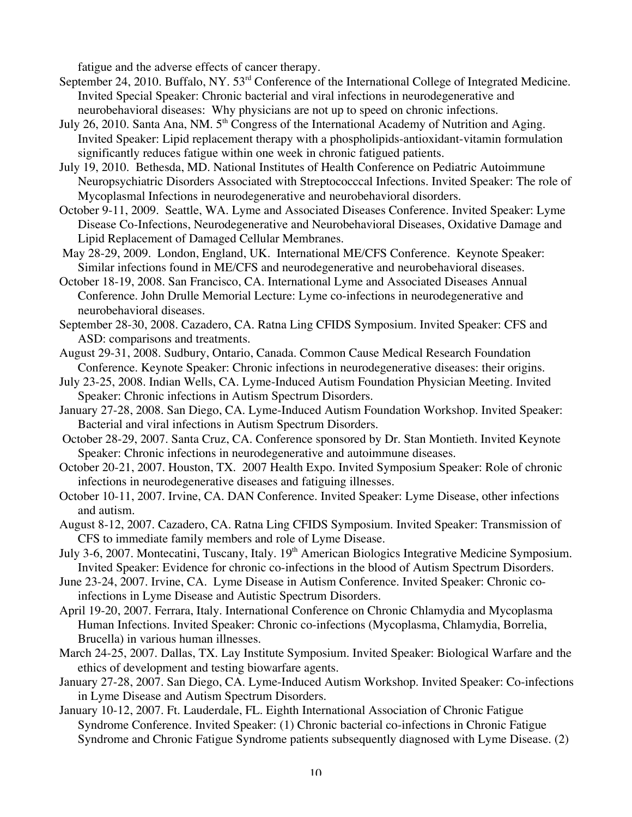fatigue and the adverse effects of cancer therapy.

- September 24, 2010. Buffalo, NY. 53<sup>rd</sup> Conference of the International College of Integrated Medicine. Invited Special Speaker: Chronic bacterial and viral infections in neurodegenerative and neurobehavioral diseases: Why physicians are not up to speed on chronic infections.
- July 26, 2010. Santa Ana, NM. 5<sup>th</sup> Congress of the International Academy of Nutrition and Aging. Invited Speaker: Lipid replacement therapy with a phospholipids-antioxidant-vitamin formulation significantly reduces fatigue within one week in chronic fatigued patients.
- July 19, 2010. Bethesda, MD. National Institutes of Health Conference on Pediatric Autoimmune Neuropsychiatric Disorders Associated with Streptococccal Infections. Invited Speaker: The role of Mycoplasmal Infections in neurodegenerative and neurobehavioral disorders.
- October 9-11, 2009. Seattle, WA. Lyme and Associated Diseases Conference. Invited Speaker: Lyme Disease Co-Infections, Neurodegenerative and Neurobehavioral Diseases, Oxidative Damage and Lipid Replacement of Damaged Cellular Membranes.
- May 28-29, 2009. London, England, UK. International ME/CFS Conference. Keynote Speaker: Similar infections found in ME/CFS and neurodegenerative and neurobehavioral diseases.
- October 18-19, 2008. San Francisco, CA. International Lyme and Associated Diseases Annual Conference. John Drulle Memorial Lecture: Lyme co-infections in neurodegenerative and neurobehavioral diseases.
- September 28-30, 2008. Cazadero, CA. Ratna Ling CFIDS Symposium. Invited Speaker: CFS and ASD: comparisons and treatments.
- August 29-31, 2008. Sudbury, Ontario, Canada. Common Cause Medical Research Foundation Conference. Keynote Speaker: Chronic infections in neurodegenerative diseases: their origins.
- July 23-25, 2008. Indian Wells, CA. Lyme-Induced Autism Foundation Physician Meeting. Invited Speaker: Chronic infections in Autism Spectrum Disorders.
- January 27-28, 2008. San Diego, CA. Lyme-Induced Autism Foundation Workshop. Invited Speaker: Bacterial and viral infections in Autism Spectrum Disorders.
- October 28-29, 2007. Santa Cruz, CA. Conference sponsored by Dr. Stan Montieth. Invited Keynote Speaker: Chronic infections in neurodegenerative and autoimmune diseases.
- October 20-21, 2007. Houston, TX. 2007 Health Expo. Invited Symposium Speaker: Role of chronic infections in neurodegenerative diseases and fatiguing illnesses.
- October 10-11, 2007. Irvine, CA. DAN Conference. Invited Speaker: Lyme Disease, other infections and autism.
- August 8-12, 2007. Cazadero, CA. Ratna Ling CFIDS Symposium. Invited Speaker: Transmission of CFS to immediate family members and role of Lyme Disease.
- July 3-6, 2007. Montecatini, Tuscany, Italy. 19<sup>th</sup> American Biologics Integrative Medicine Symposium. Invited Speaker: Evidence for chronic co-infections in the blood of Autism Spectrum Disorders.
- June 23-24, 2007. Irvine, CA. Lyme Disease in Autism Conference. Invited Speaker: Chronic coinfections in Lyme Disease and Autistic Spectrum Disorders.
- April 19-20, 2007. Ferrara, Italy. International Conference on Chronic Chlamydia and Mycoplasma Human Infections. Invited Speaker: Chronic co-infections (Mycoplasma, Chlamydia, Borrelia, Brucella) in various human illnesses.
- March 24-25, 2007. Dallas, TX. Lay Institute Symposium. Invited Speaker: Biological Warfare and the ethics of development and testing biowarfare agents.
- January 27-28, 2007. San Diego, CA. Lyme-Induced Autism Workshop. Invited Speaker: Co-infections in Lyme Disease and Autism Spectrum Disorders.
- January 10-12, 2007. Ft. Lauderdale, FL. Eighth International Association of Chronic Fatigue Syndrome Conference. Invited Speaker: (1) Chronic bacterial co-infections in Chronic Fatigue Syndrome and Chronic Fatigue Syndrome patients subsequently diagnosed with Lyme Disease. (2)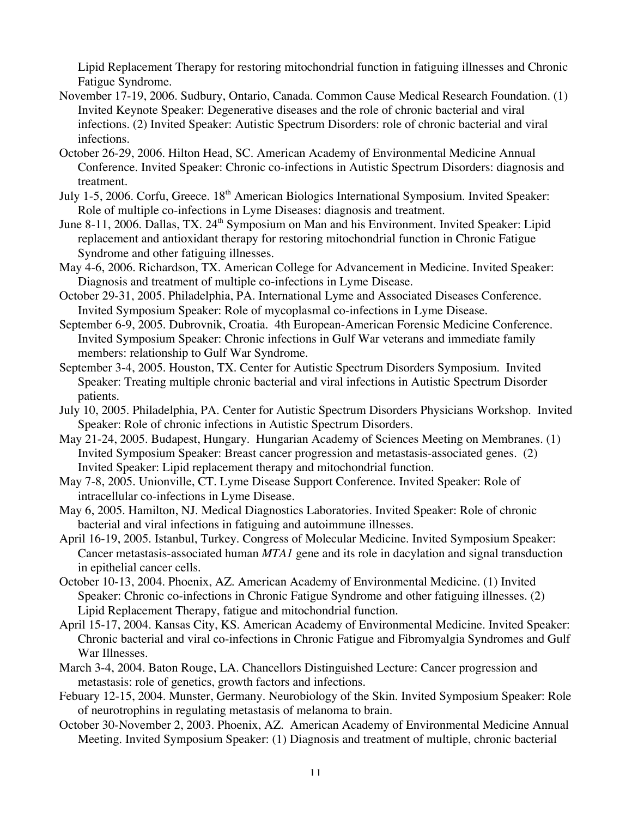Lipid Replacement Therapy for restoring mitochondrial function in fatiguing illnesses and Chronic Fatigue Syndrome.

- November 17-19, 2006. Sudbury, Ontario, Canada. Common Cause Medical Research Foundation. (1) Invited Keynote Speaker: Degenerative diseases and the role of chronic bacterial and viral infections. (2) Invited Speaker: Autistic Spectrum Disorders: role of chronic bacterial and viral infections.
- October 26-29, 2006. Hilton Head, SC. American Academy of Environmental Medicine Annual Conference. Invited Speaker: Chronic co-infections in Autistic Spectrum Disorders: diagnosis and treatment.
- July 1-5, 2006. Corfu, Greece. 18<sup>th</sup> American Biologics International Symposium. Invited Speaker: Role of multiple co-infections in Lyme Diseases: diagnosis and treatment.
- June 8-11, 2006. Dallas, TX. 24<sup>th</sup> Symposium on Man and his Environment. Invited Speaker: Lipid replacement and antioxidant therapy for restoring mitochondrial function in Chronic Fatigue Syndrome and other fatiguing illnesses.
- May 4-6, 2006. Richardson, TX. American College for Advancement in Medicine. Invited Speaker: Diagnosis and treatment of multiple co-infections in Lyme Disease.
- October 29-31, 2005. Philadelphia, PA. International Lyme and Associated Diseases Conference. Invited Symposium Speaker: Role of mycoplasmal co-infections in Lyme Disease.
- September 6-9, 2005. Dubrovnik, Croatia. 4th European-American Forensic Medicine Conference. Invited Symposium Speaker: Chronic infections in Gulf War veterans and immediate family members: relationship to Gulf War Syndrome.
- September 3-4, 2005. Houston, TX. Center for Autistic Spectrum Disorders Symposium. Invited Speaker: Treating multiple chronic bacterial and viral infections in Autistic Spectrum Disorder patients.
- July 10, 2005. Philadelphia, PA. Center for Autistic Spectrum Disorders Physicians Workshop. Invited Speaker: Role of chronic infections in Autistic Spectrum Disorders.
- May 21-24, 2005. Budapest, Hungary. Hungarian Academy of Sciences Meeting on Membranes. (1) Invited Symposium Speaker: Breast cancer progression and metastasis-associated genes. (2) Invited Speaker: Lipid replacement therapy and mitochondrial function.
- May 7-8, 2005. Unionville, CT. Lyme Disease Support Conference. Invited Speaker: Role of intracellular co-infections in Lyme Disease.
- May 6, 2005. Hamilton, NJ. Medical Diagnostics Laboratories. Invited Speaker: Role of chronic bacterial and viral infections in fatiguing and autoimmune illnesses.
- April 16-19, 2005. Istanbul, Turkey. Congress of Molecular Medicine. Invited Symposium Speaker: Cancer metastasis-associated human *MTA1* gene and its role in dacylation and signal transduction in epithelial cancer cells.
- October 10-13, 2004. Phoenix, AZ. American Academy of Environmental Medicine. (1) Invited Speaker: Chronic co-infections in Chronic Fatigue Syndrome and other fatiguing illnesses. (2) Lipid Replacement Therapy, fatigue and mitochondrial function.
- April 15-17, 2004. Kansas City, KS. American Academy of Environmental Medicine. Invited Speaker: Chronic bacterial and viral co-infections in Chronic Fatigue and Fibromyalgia Syndromes and Gulf War Illnesses.
- March 3-4, 2004. Baton Rouge, LA. Chancellors Distinguished Lecture: Cancer progression and metastasis: role of genetics, growth factors and infections.
- Febuary 12-15, 2004. Munster, Germany. Neurobiology of the Skin. Invited Symposium Speaker: Role of neurotrophins in regulating metastasis of melanoma to brain.
- October 30-November 2, 2003. Phoenix, AZ. American Academy of Environmental Medicine Annual Meeting. Invited Symposium Speaker: (1) Diagnosis and treatment of multiple, chronic bacterial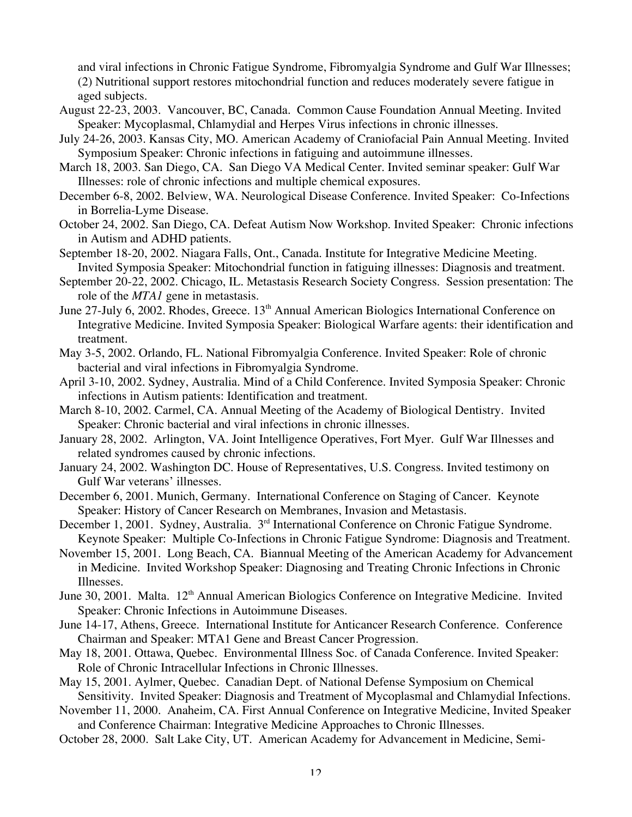and viral infections in Chronic Fatigue Syndrome, Fibromyalgia Syndrome and Gulf War Illnesses; (2) Nutritional support restores mitochondrial function and reduces moderately severe fatigue in aged subjects.

- August 22-23, 2003. Vancouver, BC, Canada. Common Cause Foundation Annual Meeting. Invited Speaker: Mycoplasmal, Chlamydial and Herpes Virus infections in chronic illnesses.
- July 24-26, 2003. Kansas City, MO. American Academy of Craniofacial Pain Annual Meeting. Invited Symposium Speaker: Chronic infections in fatiguing and autoimmune illnesses.
- March 18, 2003. San Diego, CA. San Diego VA Medical Center. Invited seminar speaker: Gulf War Illnesses: role of chronic infections and multiple chemical exposures.
- December 6-8, 2002. Belview, WA. Neurological Disease Conference. Invited Speaker: Co-Infections in Borrelia-Lyme Disease.
- October 24, 2002. San Diego, CA. Defeat Autism Now Workshop. Invited Speaker: Chronic infections in Autism and ADHD patients.
- September 18-20, 2002. Niagara Falls, Ont., Canada. Institute for Integrative Medicine Meeting. Invited Symposia Speaker: Mitochondrial function in fatiguing illnesses: Diagnosis and treatment.
- September 20-22, 2002. Chicago, IL. Metastasis Research Society Congress. Session presentation: The role of the *MTA1* gene in metastasis.
- June 27-July 6, 2002. Rhodes, Greece. 13<sup>th</sup> Annual American Biologics International Conference on Integrative Medicine. Invited Symposia Speaker: Biological Warfare agents: their identification and treatment.
- May 3-5, 2002. Orlando, FL. National Fibromyalgia Conference. Invited Speaker: Role of chronic bacterial and viral infections in Fibromyalgia Syndrome.
- April 3-10, 2002. Sydney, Australia. Mind of a Child Conference. Invited Symposia Speaker: Chronic infections in Autism patients: Identification and treatment.
- March 8-10, 2002. Carmel, CA. Annual Meeting of the Academy of Biological Dentistry. Invited Speaker: Chronic bacterial and viral infections in chronic illnesses.
- January 28, 2002. Arlington, VA. Joint Intelligence Operatives, Fort Myer. Gulf War Illnesses and related syndromes caused by chronic infections.
- January 24, 2002. Washington DC. House of Representatives, U.S. Congress. Invited testimony on Gulf War veterans' illnesses.
- December 6, 2001. Munich, Germany. International Conference on Staging of Cancer. Keynote Speaker: History of Cancer Research on Membranes, Invasion and Metastasis.
- December 1, 2001. Sydney, Australia. 3<sup>rd</sup> International Conference on Chronic Fatigue Syndrome. Keynote Speaker: Multiple Co-Infections in Chronic Fatigue Syndrome: Diagnosis and Treatment.
- November 15, 2001. Long Beach, CA. Biannual Meeting of the American Academy for Advancement in Medicine. Invited Workshop Speaker: Diagnosing and Treating Chronic Infections in Chronic Illnesses.
- June 30, 2001. Malta. 12<sup>th</sup> Annual American Biologics Conference on Integrative Medicine. Invited Speaker: Chronic Infections in Autoimmune Diseases.
- June 14-17, Athens, Greece. International Institute for Anticancer Research Conference. Conference Chairman and Speaker: MTA1 Gene and Breast Cancer Progression.
- May 18, 2001. Ottawa, Quebec. Environmental Illness Soc. of Canada Conference. Invited Speaker: Role of Chronic Intracellular Infections in Chronic Illnesses.
- May 15, 2001. Aylmer, Quebec. Canadian Dept. of National Defense Symposium on Chemical Sensitivity. Invited Speaker: Diagnosis and Treatment of Mycoplasmal and Chlamydial Infections.
- November 11, 2000. Anaheim, CA. First Annual Conference on Integrative Medicine, Invited Speaker and Conference Chairman: Integrative Medicine Approaches to Chronic Illnesses.
- October 28, 2000. Salt Lake City, UT. American Academy for Advancement in Medicine, Semi-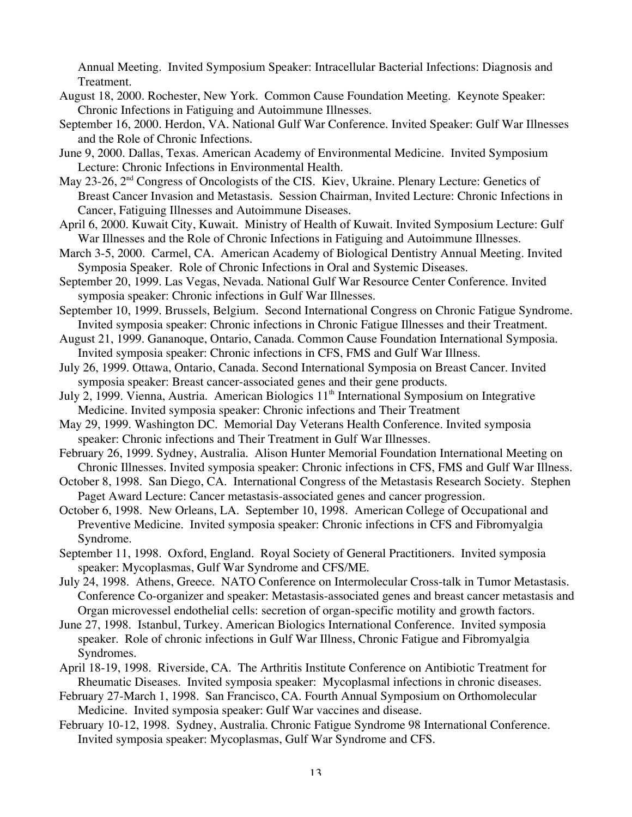Annual Meeting. Invited Symposium Speaker: Intracellular Bacterial Infections: Diagnosis and Treatment.

- August 18, 2000. Rochester, New York. Common Cause Foundation Meeting. Keynote Speaker: Chronic Infections in Fatiguing and Autoimmune Illnesses.
- September 16, 2000. Herdon, VA. National Gulf War Conference. Invited Speaker: Gulf War Illnesses and the Role of Chronic Infections.
- June 9, 2000. Dallas, Texas. American Academy of Environmental Medicine. Invited Symposium Lecture: Chronic Infections in Environmental Health.
- May 23-26, 2<sup>nd</sup> Congress of Oncologists of the CIS. Kiev, Ukraine. Plenary Lecture: Genetics of Breast Cancer Invasion and Metastasis. Session Chairman, Invited Lecture: Chronic Infections in Cancer, Fatiguing Illnesses and Autoimmune Diseases.
- April 6, 2000. Kuwait City, Kuwait. Ministry of Health of Kuwait. Invited Symposium Lecture: Gulf War Illnesses and the Role of Chronic Infections in Fatiguing and Autoimmune Illnesses.
- March 3-5, 2000. Carmel, CA. American Academy of Biological Dentistry Annual Meeting. Invited Symposia Speaker. Role of Chronic Infections in Oral and Systemic Diseases.
- September 20, 1999. Las Vegas, Nevada. National Gulf War Resource Center Conference. Invited symposia speaker: Chronic infections in Gulf War Illnesses.
- September 10, 1999. Brussels, Belgium. Second International Congress on Chronic Fatigue Syndrome. Invited symposia speaker: Chronic infections in Chronic Fatigue Illnesses and their Treatment.
- August 21, 1999. Gananoque, Ontario, Canada. Common Cause Foundation International Symposia. Invited symposia speaker: Chronic infections in CFS, FMS and Gulf War Illness.
- July 26, 1999. Ottawa, Ontario, Canada. Second International Symposia on Breast Cancer. Invited symposia speaker: Breast cancer-associated genes and their gene products.
- July 2, 1999. Vienna, Austria. American Biologics  $11<sup>th</sup>$  International Symposium on Integrative Medicine. Invited symposia speaker: Chronic infections and Their Treatment
- May 29, 1999. Washington DC. Memorial Day Veterans Health Conference. Invited symposia speaker: Chronic infections and Their Treatment in Gulf War Illnesses.
- February 26, 1999. Sydney, Australia. Alison Hunter Memorial Foundation International Meeting on Chronic Illnesses. Invited symposia speaker: Chronic infections in CFS, FMS and Gulf War Illness.
- October 8, 1998. San Diego, CA. International Congress of the Metastasis Research Society. Stephen Paget Award Lecture: Cancer metastasis-associated genes and cancer progression.
- October 6, 1998. New Orleans, LA. September 10, 1998. American College of Occupational and Preventive Medicine. Invited symposia speaker: Chronic infections in CFS and Fibromyalgia Syndrome.
- September 11, 1998. Oxford, England. Royal Society of General Practitioners. Invited symposia speaker: Mycoplasmas, Gulf War Syndrome and CFS/ME.
- July 24, 1998. Athens, Greece. NATO Conference on Intermolecular Cross-talk in Tumor Metastasis. Conference Co-organizer and speaker: Metastasis-associated genes and breast cancer metastasis and Organ microvessel endothelial cells: secretion of organ-specific motility and growth factors.
- June 27, 1998. Istanbul, Turkey. American Biologics International Conference. Invited symposia speaker. Role of chronic infections in Gulf War Illness, Chronic Fatigue and Fibromyalgia Syndromes.
- April 18-19, 1998. Riverside, CA. The Arthritis Institute Conference on Antibiotic Treatment for Rheumatic Diseases. Invited symposia speaker: Mycoplasmal infections in chronic diseases.
- February 27-March 1, 1998. San Francisco, CA. Fourth Annual Symposium on Orthomolecular Medicine. Invited symposia speaker: Gulf War vaccines and disease.
- February 10-12, 1998. Sydney, Australia. Chronic Fatigue Syndrome 98 International Conference. Invited symposia speaker: Mycoplasmas, Gulf War Syndrome and CFS.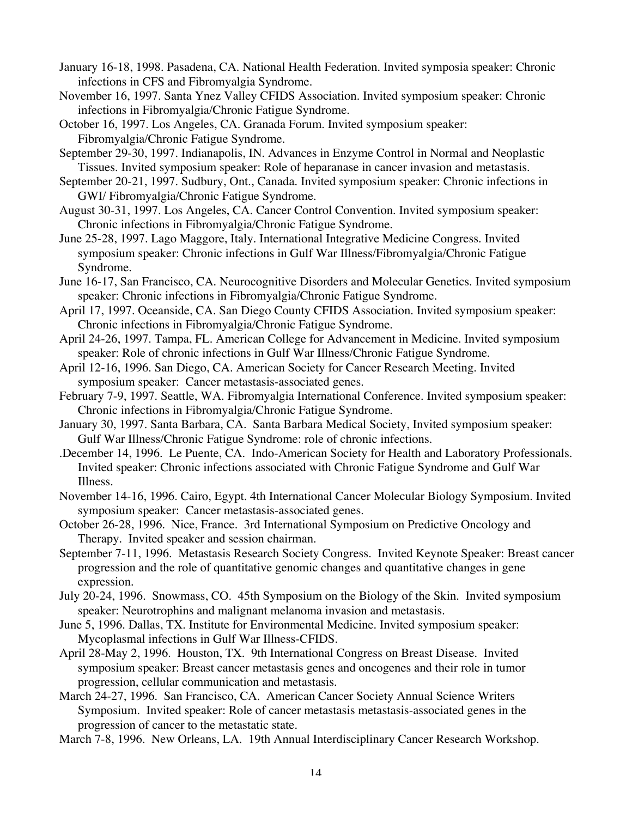January 16-18, 1998. Pasadena, CA. National Health Federation. Invited symposia speaker: Chronic infections in CFS and Fibromyalgia Syndrome.

November 16, 1997. Santa Ynez Valley CFIDS Association. Invited symposium speaker: Chronic infections in Fibromyalgia/Chronic Fatigue Syndrome.

October 16, 1997. Los Angeles, CA. Granada Forum. Invited symposium speaker: Fibromyalgia/Chronic Fatigue Syndrome.

September 29-30, 1997. Indianapolis, IN. Advances in Enzyme Control in Normal and Neoplastic Tissues. Invited symposium speaker: Role of heparanase in cancer invasion and metastasis.

- September 20-21, 1997. Sudbury, Ont., Canada. Invited symposium speaker: Chronic infections in GWI/ Fibromyalgia/Chronic Fatigue Syndrome.
- August 30-31, 1997. Los Angeles, CA. Cancer Control Convention. Invited symposium speaker: Chronic infections in Fibromyalgia/Chronic Fatigue Syndrome.
- June 25-28, 1997. Lago Maggore, Italy. International Integrative Medicine Congress. Invited symposium speaker: Chronic infections in Gulf War Illness/Fibromyalgia/Chronic Fatigue Syndrome.
- June 16-17, San Francisco, CA. Neurocognitive Disorders and Molecular Genetics. Invited symposium speaker: Chronic infections in Fibromyalgia/Chronic Fatigue Syndrome.
- April 17, 1997. Oceanside, CA. San Diego County CFIDS Association. Invited symposium speaker: Chronic infections in Fibromyalgia/Chronic Fatigue Syndrome.
- April 24-26, 1997. Tampa, FL. American College for Advancement in Medicine. Invited symposium speaker: Role of chronic infections in Gulf War Illness/Chronic Fatigue Syndrome.
- April 12-16, 1996. San Diego, CA. American Society for Cancer Research Meeting. Invited symposium speaker: Cancer metastasis-associated genes.
- February 7-9, 1997. Seattle, WA. Fibromyalgia International Conference. Invited symposium speaker: Chronic infections in Fibromyalgia/Chronic Fatigue Syndrome.
- January 30, 1997. Santa Barbara, CA. Santa Barbara Medical Society, Invited symposium speaker: Gulf War Illness/Chronic Fatigue Syndrome: role of chronic infections.
- .December 14, 1996. Le Puente, CA. Indo-American Society for Health and Laboratory Professionals. Invited speaker: Chronic infections associated with Chronic Fatigue Syndrome and Gulf War Illness.
- November 14-16, 1996. Cairo, Egypt. 4th International Cancer Molecular Biology Symposium. Invited symposium speaker: Cancer metastasis-associated genes.
- October 26-28, 1996. Nice, France. 3rd International Symposium on Predictive Oncology and Therapy. Invited speaker and session chairman.
- September 7-11, 1996. Metastasis Research Society Congress. Invited Keynote Speaker: Breast cancer progression and the role of quantitative genomic changes and quantitative changes in gene expression.
- July 20-24, 1996. Snowmass, CO. 45th Symposium on the Biology of the Skin. Invited symposium speaker: Neurotrophins and malignant melanoma invasion and metastasis.
- June 5, 1996. Dallas, TX. Institute for Environmental Medicine. Invited symposium speaker: Mycoplasmal infections in Gulf War Illness-CFIDS.
- April 28-May 2, 1996. Houston, TX. 9th International Congress on Breast Disease. Invited symposium speaker: Breast cancer metastasis genes and oncogenes and their role in tumor progression, cellular communication and metastasis.
- March 24-27, 1996. San Francisco, CA. American Cancer Society Annual Science Writers Symposium. Invited speaker: Role of cancer metastasis metastasis-associated genes in the progression of cancer to the metastatic state.

March 7-8, 1996. New Orleans, LA. 19th Annual Interdisciplinary Cancer Research Workshop.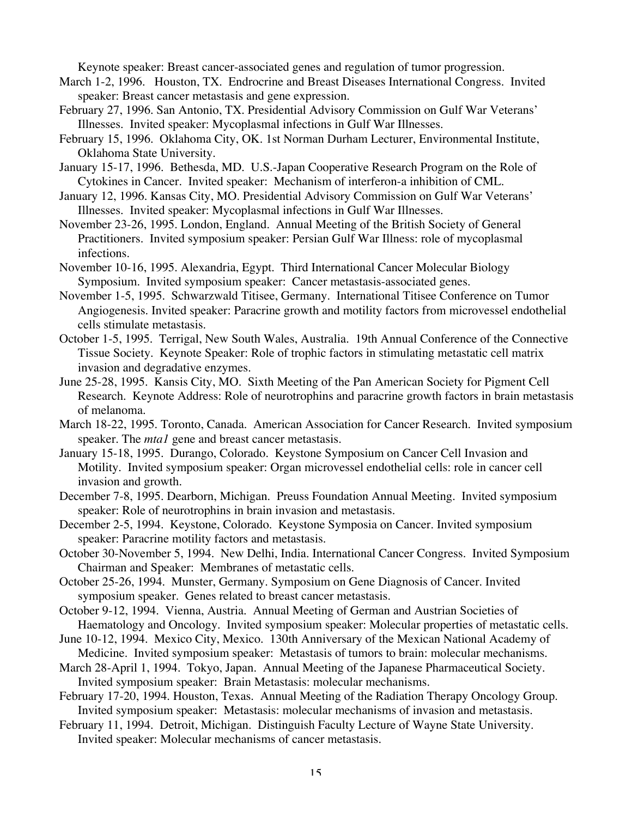Keynote speaker: Breast cancer-associated genes and regulation of tumor progression.

- March 1-2, 1996. Houston, TX. Endrocrine and Breast Diseases International Congress. Invited speaker: Breast cancer metastasis and gene expression.
- February 27, 1996. San Antonio, TX. Presidential Advisory Commission on Gulf War Veterans' Illnesses. Invited speaker: Mycoplasmal infections in Gulf War Illnesses.
- February 15, 1996. Oklahoma City, OK. 1st Norman Durham Lecturer, Environmental Institute, Oklahoma State University.
- January 15-17, 1996. Bethesda, MD. U.S.-Japan Cooperative Research Program on the Role of Cytokines in Cancer. Invited speaker: Mechanism of interferon-a inhibition of CML.
- January 12, 1996. Kansas City, MO. Presidential Advisory Commission on Gulf War Veterans' Illnesses. Invited speaker: Mycoplasmal infections in Gulf War Illnesses.
- November 23-26, 1995. London, England. Annual Meeting of the British Society of General Practitioners. Invited symposium speaker: Persian Gulf War Illness: role of mycoplasmal infections.
- November 10-16, 1995. Alexandria, Egypt. Third International Cancer Molecular Biology Symposium. Invited symposium speaker: Cancer metastasis-associated genes.
- November 1-5, 1995. Schwarzwald Titisee, Germany. International Titisee Conference on Tumor Angiogenesis. Invited speaker: Paracrine growth and motility factors from microvessel endothelial cells stimulate metastasis.
- October 1-5, 1995. Terrigal, New South Wales, Australia. 19th Annual Conference of the Connective Tissue Society. Keynote Speaker: Role of trophic factors in stimulating metastatic cell matrix invasion and degradative enzymes.
- June 25-28, 1995. Kansis City, MO. Sixth Meeting of the Pan American Society for Pigment Cell Research. Keynote Address: Role of neurotrophins and paracrine growth factors in brain metastasis of melanoma.
- March 18-22, 1995. Toronto, Canada. American Association for Cancer Research. Invited symposium speaker. The *mta1* gene and breast cancer metastasis.
- January 15-18, 1995. Durango, Colorado. Keystone Symposium on Cancer Cell Invasion and Motility. Invited symposium speaker: Organ microvessel endothelial cells: role in cancer cell invasion and growth.
- December 7-8, 1995. Dearborn, Michigan. Preuss Foundation Annual Meeting. Invited symposium speaker: Role of neurotrophins in brain invasion and metastasis.
- December 2-5, 1994. Keystone, Colorado. Keystone Symposia on Cancer. Invited symposium speaker: Paracrine motility factors and metastasis.
- October 30-November 5, 1994. New Delhi, India. International Cancer Congress. Invited Symposium Chairman and Speaker: Membranes of metastatic cells.
- October 25-26, 1994. Munster, Germany. Symposium on Gene Diagnosis of Cancer. Invited symposium speaker. Genes related to breast cancer metastasis.
- October 9-12, 1994. Vienna, Austria. Annual Meeting of German and Austrian Societies of Haematology and Oncology. Invited symposium speaker: Molecular properties of metastatic cells.
- June 10-12, 1994. Mexico City, Mexico. 130th Anniversary of the Mexican National Academy of Medicine. Invited symposium speaker: Metastasis of tumors to brain: molecular mechanisms.
- March 28-April 1, 1994. Tokyo, Japan. Annual Meeting of the Japanese Pharmaceutical Society. Invited symposium speaker: Brain Metastasis: molecular mechanisms.
- February 17-20, 1994. Houston, Texas. Annual Meeting of the Radiation Therapy Oncology Group. Invited symposium speaker: Metastasis: molecular mechanisms of invasion and metastasis.
- February 11, 1994. Detroit, Michigan. Distinguish Faculty Lecture of Wayne State University. Invited speaker: Molecular mechanisms of cancer metastasis.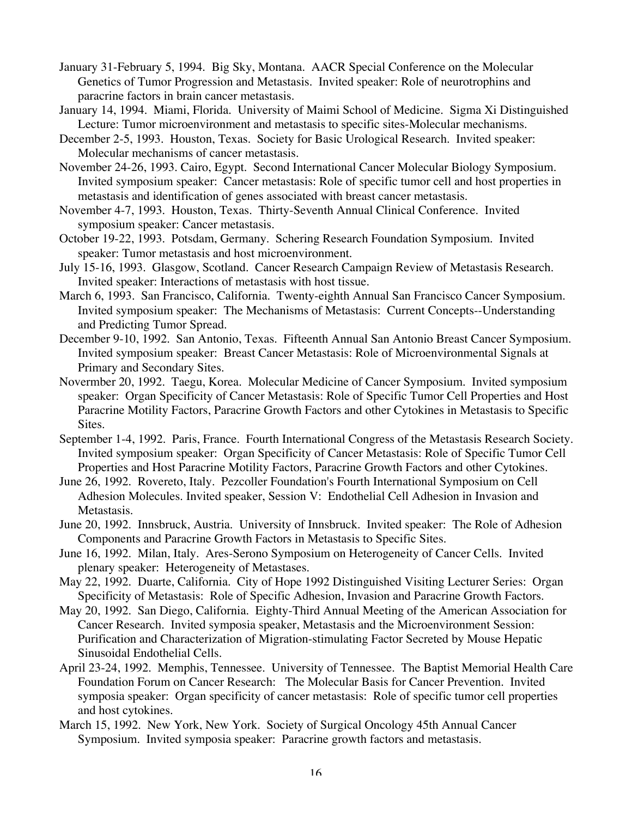- January 31-February 5, 1994. Big Sky, Montana. AACR Special Conference on the Molecular Genetics of Tumor Progression and Metastasis. Invited speaker: Role of neurotrophins and paracrine factors in brain cancer metastasis.
- January 14, 1994. Miami, Florida. University of Maimi School of Medicine. Sigma Xi Distinguished Lecture: Tumor microenvironment and metastasis to specific sites-Molecular mechanisms.
- December 2-5, 1993. Houston, Texas. Society for Basic Urological Research. Invited speaker: Molecular mechanisms of cancer metastasis.
- November 24-26, 1993. Cairo, Egypt. Second International Cancer Molecular Biology Symposium. Invited symposium speaker: Cancer metastasis: Role of specific tumor cell and host properties in metastasis and identification of genes associated with breast cancer metastasis.
- November 4-7, 1993. Houston, Texas. Thirty-Seventh Annual Clinical Conference. Invited symposium speaker: Cancer metastasis.
- October 19-22, 1993. Potsdam, Germany. Schering Research Foundation Symposium. Invited speaker: Tumor metastasis and host microenvironment.
- July 15-16, 1993. Glasgow, Scotland. Cancer Research Campaign Review of Metastasis Research. Invited speaker: Interactions of metastasis with host tissue.
- March 6, 1993. San Francisco, California. Twenty-eighth Annual San Francisco Cancer Symposium. Invited symposium speaker: The Mechanisms of Metastasis: Current Concepts--Understanding and Predicting Tumor Spread.
- December 9-10, 1992. San Antonio, Texas. Fifteenth Annual San Antonio Breast Cancer Symposium. Invited symposium speaker: Breast Cancer Metastasis: Role of Microenvironmental Signals at Primary and Secondary Sites.
- Novermber 20, 1992. Taegu, Korea. Molecular Medicine of Cancer Symposium. Invited symposium speaker: Organ Specificity of Cancer Metastasis: Role of Specific Tumor Cell Properties and Host Paracrine Motility Factors, Paracrine Growth Factors and other Cytokines in Metastasis to Specific Sites.
- September 1-4, 1992. Paris, France. Fourth International Congress of the Metastasis Research Society. Invited symposium speaker: Organ Specificity of Cancer Metastasis: Role of Specific Tumor Cell Properties and Host Paracrine Motility Factors, Paracrine Growth Factors and other Cytokines.
- June 26, 1992. Rovereto, Italy. Pezcoller Foundation's Fourth International Symposium on Cell Adhesion Molecules. Invited speaker, Session V: Endothelial Cell Adhesion in Invasion and Metastasis.
- June 20, 1992. Innsbruck, Austria. University of Innsbruck. Invited speaker: The Role of Adhesion Components and Paracrine Growth Factors in Metastasis to Specific Sites.
- June 16, 1992. Milan, Italy. Ares-Serono Symposium on Heterogeneity of Cancer Cells. Invited plenary speaker: Heterogeneity of Metastases.
- May 22, 1992. Duarte, California. City of Hope 1992 Distinguished Visiting Lecturer Series: Organ Specificity of Metastasis: Role of Specific Adhesion, Invasion and Paracrine Growth Factors.
- May 20, 1992. San Diego, California. Eighty-Third Annual Meeting of the American Association for Cancer Research. Invited symposia speaker, Metastasis and the Microenvironment Session: Purification and Characterization of Migration-stimulating Factor Secreted by Mouse Hepatic Sinusoidal Endothelial Cells.
- April 23-24, 1992. Memphis, Tennessee. University of Tennessee. The Baptist Memorial Health Care Foundation Forum on Cancer Research: The Molecular Basis for Cancer Prevention. Invited symposia speaker: Organ specificity of cancer metastasis: Role of specific tumor cell properties and host cytokines.
- March 15, 1992. New York, New York. Society of Surgical Oncology 45th Annual Cancer Symposium. Invited symposia speaker: Paracrine growth factors and metastasis.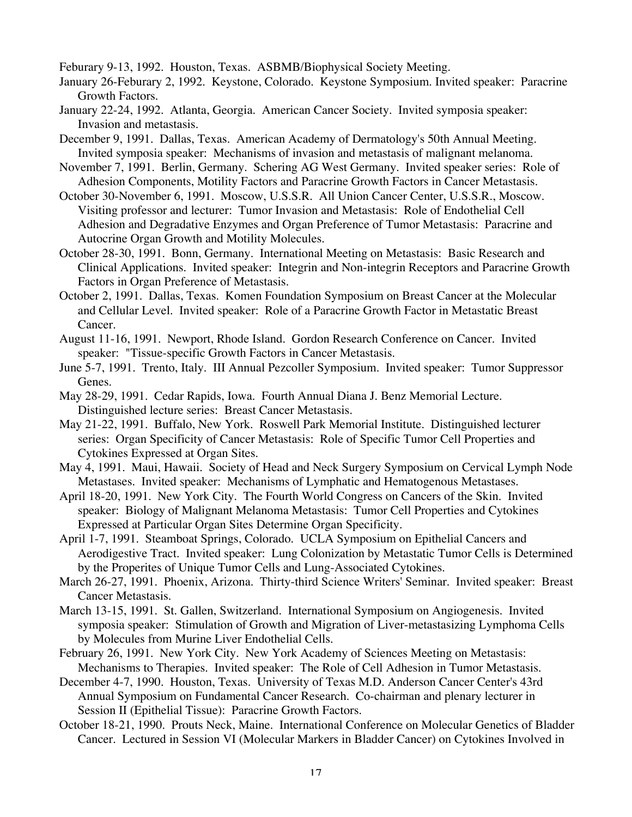Feburary 9-13, 1992. Houston, Texas. ASBMB/Biophysical Society Meeting.

- January 26-Feburary 2, 1992. Keystone, Colorado. Keystone Symposium. Invited speaker: Paracrine Growth Factors.
- January 22-24, 1992. Atlanta, Georgia. American Cancer Society. Invited symposia speaker: Invasion and metastasis.
- December 9, 1991. Dallas, Texas. American Academy of Dermatology's 50th Annual Meeting. Invited symposia speaker: Mechanisms of invasion and metastasis of malignant melanoma.
- November 7, 1991. Berlin, Germany. Schering AG West Germany. Invited speaker series: Role of Adhesion Components, Motility Factors and Paracrine Growth Factors in Cancer Metastasis.
- October 30-November 6, 1991. Moscow, U.S.S.R. All Union Cancer Center, U.S.S.R., Moscow. Visiting professor and lecturer: Tumor Invasion and Metastasis: Role of Endothelial Cell Adhesion and Degradative Enzymes and Organ Preference of Tumor Metastasis: Paracrine and Autocrine Organ Growth and Motility Molecules.
- October 28-30, 1991. Bonn, Germany. International Meeting on Metastasis: Basic Research and Clinical Applications. Invited speaker: Integrin and Non-integrin Receptors and Paracrine Growth Factors in Organ Preference of Metastasis.
- October 2, 1991. Dallas, Texas. Komen Foundation Symposium on Breast Cancer at the Molecular and Cellular Level. Invited speaker: Role of a Paracrine Growth Factor in Metastatic Breast Cancer.
- August 11-16, 1991. Newport, Rhode Island. Gordon Research Conference on Cancer. Invited speaker: "Tissue-specific Growth Factors in Cancer Metastasis.
- June 5-7, 1991. Trento, Italy. III Annual Pezcoller Symposium. Invited speaker: Tumor Suppressor Genes.
- May 28-29, 1991. Cedar Rapids, Iowa. Fourth Annual Diana J. Benz Memorial Lecture. Distinguished lecture series: Breast Cancer Metastasis.
- May 21-22, 1991. Buffalo, New York. Roswell Park Memorial Institute. Distinguished lecturer series: Organ Specificity of Cancer Metastasis: Role of Specific Tumor Cell Properties and Cytokines Expressed at Organ Sites.
- May 4, 1991. Maui, Hawaii. Society of Head and Neck Surgery Symposium on Cervical Lymph Node Metastases. Invited speaker: Mechanisms of Lymphatic and Hematogenous Metastases.
- April 18-20, 1991. New York City. The Fourth World Congress on Cancers of the Skin. Invited speaker: Biology of Malignant Melanoma Metastasis: Tumor Cell Properties and Cytokines Expressed at Particular Organ Sites Determine Organ Specificity.
- April 1-7, 1991. Steamboat Springs, Colorado. UCLA Symposium on Epithelial Cancers and Aerodigestive Tract. Invited speaker: Lung Colonization by Metastatic Tumor Cells is Determined by the Properites of Unique Tumor Cells and Lung-Associated Cytokines.
- March 26-27, 1991. Phoenix, Arizona. Thirty-third Science Writers' Seminar. Invited speaker: Breast Cancer Metastasis.
- March 13-15, 1991. St. Gallen, Switzerland. International Symposium on Angiogenesis. Invited symposia speaker: Stimulation of Growth and Migration of Liver-metastasizing Lymphoma Cells by Molecules from Murine Liver Endothelial Cells.
- February 26, 1991. New York City. New York Academy of Sciences Meeting on Metastasis: Mechanisms to Therapies. Invited speaker: The Role of Cell Adhesion in Tumor Metastasis.
- December 4-7, 1990. Houston, Texas. University of Texas M.D. Anderson Cancer Center's 43rd Annual Symposium on Fundamental Cancer Research. Co-chairman and plenary lecturer in Session II (Epithelial Tissue): Paracrine Growth Factors.
- October 18-21, 1990. Prouts Neck, Maine. International Conference on Molecular Genetics of Bladder Cancer. Lectured in Session VI (Molecular Markers in Bladder Cancer) on Cytokines Involved in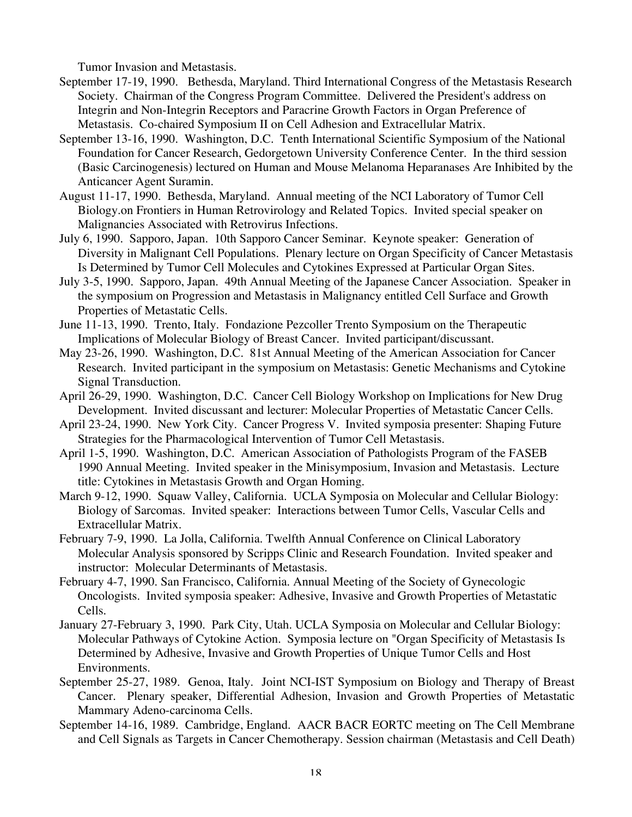Tumor Invasion and Metastasis.

- September 17-19, 1990. Bethesda, Maryland. Third International Congress of the Metastasis Research Society. Chairman of the Congress Program Committee. Delivered the President's address on Integrin and Non-Integrin Receptors and Paracrine Growth Factors in Organ Preference of Metastasis. Co-chaired Symposium II on Cell Adhesion and Extracellular Matrix.
- September 13-16, 1990. Washington, D.C. Tenth International Scientific Symposium of the National Foundation for Cancer Research, Gedorgetown University Conference Center. In the third session (Basic Carcinogenesis) lectured on Human and Mouse Melanoma Heparanases Are Inhibited by the Anticancer Agent Suramin.
- August 11-17, 1990. Bethesda, Maryland. Annual meeting of the NCI Laboratory of Tumor Cell Biology.on Frontiers in Human Retrovirology and Related Topics. Invited special speaker on Malignancies Associated with Retrovirus Infections.
- July 6, 1990. Sapporo, Japan. 10th Sapporo Cancer Seminar. Keynote speaker: Generation of Diversity in Malignant Cell Populations. Plenary lecture on Organ Specificity of Cancer Metastasis Is Determined by Tumor Cell Molecules and Cytokines Expressed at Particular Organ Sites.
- July 3-5, 1990. Sapporo, Japan. 49th Annual Meeting of the Japanese Cancer Association. Speaker in the symposium on Progression and Metastasis in Malignancy entitled Cell Surface and Growth Properties of Metastatic Cells.
- June 11-13, 1990. Trento, Italy. Fondazione Pezcoller Trento Symposium on the Therapeutic Implications of Molecular Biology of Breast Cancer. Invited participant/discussant.
- May 23-26, 1990. Washington, D.C. 81st Annual Meeting of the American Association for Cancer Research. Invited participant in the symposium on Metastasis: Genetic Mechanisms and Cytokine Signal Transduction.
- April 26-29, 1990. Washington, D.C. Cancer Cell Biology Workshop on Implications for New Drug Development. Invited discussant and lecturer: Molecular Properties of Metastatic Cancer Cells.
- April 23-24, 1990. New York City. Cancer Progress V. Invited symposia presenter: Shaping Future Strategies for the Pharmacological Intervention of Tumor Cell Metastasis.
- April 1-5, 1990. Washington, D.C. American Association of Pathologists Program of the FASEB 1990 Annual Meeting. Invited speaker in the Minisymposium, Invasion and Metastasis. Lecture title: Cytokines in Metastasis Growth and Organ Homing.
- March 9-12, 1990. Squaw Valley, California. UCLA Symposia on Molecular and Cellular Biology: Biology of Sarcomas. Invited speaker: Interactions between Tumor Cells, Vascular Cells and Extracellular Matrix.
- February 7-9, 1990. La Jolla, California. Twelfth Annual Conference on Clinical Laboratory Molecular Analysis sponsored by Scripps Clinic and Research Foundation. Invited speaker and instructor: Molecular Determinants of Metastasis.
- February 4-7, 1990. San Francisco, California. Annual Meeting of the Society of Gynecologic Oncologists. Invited symposia speaker: Adhesive, Invasive and Growth Properties of Metastatic Cells.
- January 27-February 3, 1990. Park City, Utah. UCLA Symposia on Molecular and Cellular Biology: Molecular Pathways of Cytokine Action. Symposia lecture on "Organ Specificity of Metastasis Is Determined by Adhesive, Invasive and Growth Properties of Unique Tumor Cells and Host Environments.
- September 25-27, 1989. Genoa, Italy. Joint NCI-IST Symposium on Biology and Therapy of Breast Cancer. Plenary speaker, Differential Adhesion, Invasion and Growth Properties of Metastatic Mammary Adeno-carcinoma Cells.
- September 14-16, 1989. Cambridge, England. AACR BACR EORTC meeting on The Cell Membrane and Cell Signals as Targets in Cancer Chemotherapy. Session chairman (Metastasis and Cell Death)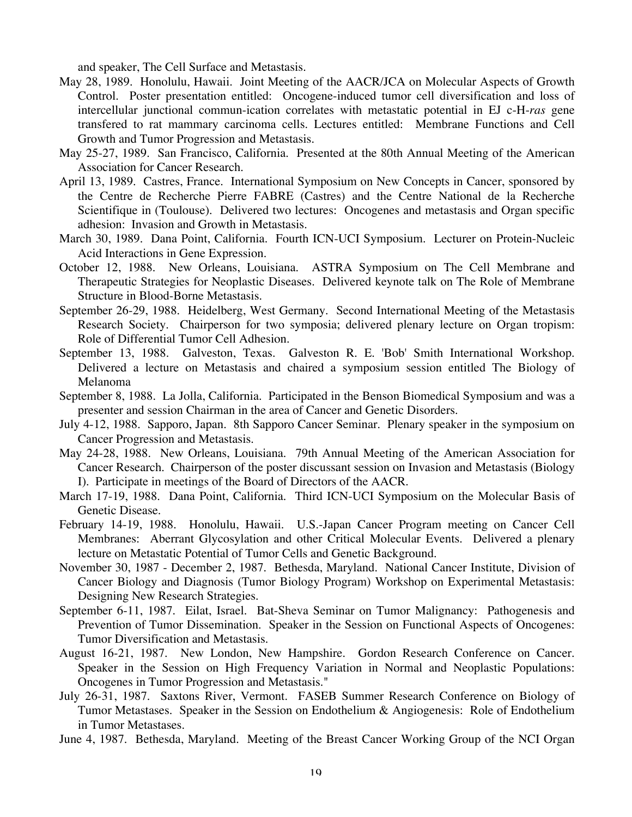and speaker, The Cell Surface and Metastasis.

- May 28, 1989. Honolulu, Hawaii. Joint Meeting of the AACR/JCA on Molecular Aspects of Growth Control. Poster presentation entitled: Oncogene-induced tumor cell diversification and loss of intercellular junctional commun-ication correlates with metastatic potential in EJ c-H-*ras* gene transfered to rat mammary carcinoma cells. Lectures entitled: Membrane Functions and Cell Growth and Tumor Progression and Metastasis.
- May 25-27, 1989. San Francisco, California. Presented at the 80th Annual Meeting of the American Association for Cancer Research.
- April 13, 1989. Castres, France. International Symposium on New Concepts in Cancer, sponsored by the Centre de Recherche Pierre FABRE (Castres) and the Centre National de la Recherche Scientifique in (Toulouse). Delivered two lectures: Oncogenes and metastasis and Organ specific adhesion: Invasion and Growth in Metastasis.
- March 30, 1989. Dana Point, California. Fourth ICN-UCI Symposium. Lecturer on Protein-Nucleic Acid Interactions in Gene Expression.
- October 12, 1988. New Orleans, Louisiana. ASTRA Symposium on The Cell Membrane and Therapeutic Strategies for Neoplastic Diseases. Delivered keynote talk on The Role of Membrane Structure in Blood-Borne Metastasis.
- September 26-29, 1988. Heidelberg, West Germany. Second International Meeting of the Metastasis Research Society. Chairperson for two symposia; delivered plenary lecture on Organ tropism: Role of Differential Tumor Cell Adhesion.
- September 13, 1988. Galveston, Texas. Galveston R. E. 'Bob' Smith International Workshop. Delivered a lecture on Metastasis and chaired a symposium session entitled The Biology of Melanoma
- September 8, 1988. La Jolla, California. Participated in the Benson Biomedical Symposium and was a presenter and session Chairman in the area of Cancer and Genetic Disorders.
- July 4-12, 1988. Sapporo, Japan. 8th Sapporo Cancer Seminar. Plenary speaker in the symposium on Cancer Progression and Metastasis.
- May 24-28, 1988. New Orleans, Louisiana. 79th Annual Meeting of the American Association for Cancer Research. Chairperson of the poster discussant session on Invasion and Metastasis (Biology I). Participate in meetings of the Board of Directors of the AACR.
- March 17-19, 1988. Dana Point, California. Third ICN-UCI Symposium on the Molecular Basis of Genetic Disease.
- February 14-19, 1988. Honolulu, Hawaii. U.S.-Japan Cancer Program meeting on Cancer Cell Membranes: Aberrant Glycosylation and other Critical Molecular Events. Delivered a plenary lecture on Metastatic Potential of Tumor Cells and Genetic Background.
- November 30, 1987 December 2, 1987. Bethesda, Maryland. National Cancer Institute, Division of Cancer Biology and Diagnosis (Tumor Biology Program) Workshop on Experimental Metastasis: Designing New Research Strategies.
- September 6-11, 1987. Eilat, Israel. Bat-Sheva Seminar on Tumor Malignancy: Pathogenesis and Prevention of Tumor Dissemination. Speaker in the Session on Functional Aspects of Oncogenes: Tumor Diversification and Metastasis.
- August 16-21, 1987. New London, New Hampshire. Gordon Research Conference on Cancer. Speaker in the Session on High Frequency Variation in Normal and Neoplastic Populations: Oncogenes in Tumor Progression and Metastasis."
- July 26-31, 1987. Saxtons River, Vermont. FASEB Summer Research Conference on Biology of Tumor Metastases. Speaker in the Session on Endothelium & Angiogenesis: Role of Endothelium in Tumor Metastases.
- June 4, 1987. Bethesda, Maryland. Meeting of the Breast Cancer Working Group of the NCI Organ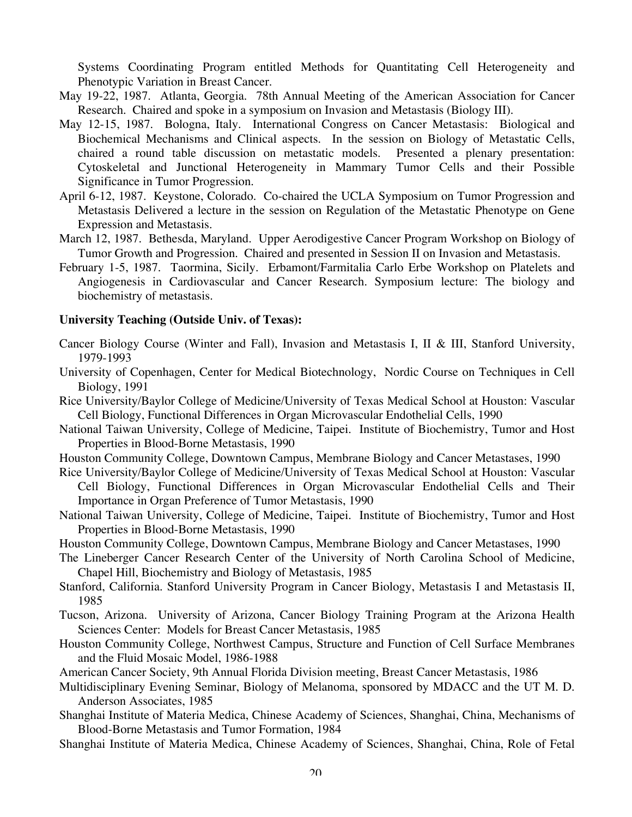Systems Coordinating Program entitled Methods for Quantitating Cell Heterogeneity and Phenotypic Variation in Breast Cancer.

- May 19-22, 1987. Atlanta, Georgia. 78th Annual Meeting of the American Association for Cancer Research. Chaired and spoke in a symposium on Invasion and Metastasis (Biology III).
- May 12-15, 1987. Bologna, Italy. International Congress on Cancer Metastasis: Biological and Biochemical Mechanisms and Clinical aspects. In the session on Biology of Metastatic Cells, chaired a round table discussion on metastatic models. Presented a plenary presentation: Cytoskeletal and Junctional Heterogeneity in Mammary Tumor Cells and their Possible Significance in Tumor Progression.
- April 6-12, 1987. Keystone, Colorado. Co-chaired the UCLA Symposium on Tumor Progression and Metastasis Delivered a lecture in the session on Regulation of the Metastatic Phenotype on Gene Expression and Metastasis.
- March 12, 1987. Bethesda, Maryland. Upper Aerodigestive Cancer Program Workshop on Biology of Tumor Growth and Progression. Chaired and presented in Session II on Invasion and Metastasis.
- February 1-5, 1987. Taormina, Sicily. Erbamont/Farmitalia Carlo Erbe Workshop on Platelets and Angiogenesis in Cardiovascular and Cancer Research. Symposium lecture: The biology and biochemistry of metastasis.

#### **University Teaching (Outside Univ. of Texas):**

- Cancer Biology Course (Winter and Fall), Invasion and Metastasis I, II & III, Stanford University, 1979-1993
- University of Copenhagen, Center for Medical Biotechnology, Nordic Course on Techniques in Cell Biology, 1991
- Rice University/Baylor College of Medicine/University of Texas Medical School at Houston: Vascular Cell Biology, Functional Differences in Organ Microvascular Endothelial Cells, 1990
- National Taiwan University, College of Medicine, Taipei. Institute of Biochemistry, Tumor and Host Properties in Blood-Borne Metastasis, 1990
- Houston Community College, Downtown Campus, Membrane Biology and Cancer Metastases, 1990
- Rice University/Baylor College of Medicine/University of Texas Medical School at Houston: Vascular Cell Biology, Functional Differences in Organ Microvascular Endothelial Cells and Their Importance in Organ Preference of Tumor Metastasis, 1990
- National Taiwan University, College of Medicine, Taipei. Institute of Biochemistry, Tumor and Host Properties in Blood-Borne Metastasis, 1990
- Houston Community College, Downtown Campus, Membrane Biology and Cancer Metastases, 1990
- The Lineberger Cancer Research Center of the University of North Carolina School of Medicine, Chapel Hill, Biochemistry and Biology of Metastasis, 1985
- Stanford, California. Stanford University Program in Cancer Biology, Metastasis I and Metastasis II, 1985
- Tucson, Arizona. University of Arizona, Cancer Biology Training Program at the Arizona Health Sciences Center: Models for Breast Cancer Metastasis, 1985
- Houston Community College, Northwest Campus, Structure and Function of Cell Surface Membranes and the Fluid Mosaic Model, 1986-1988
- American Cancer Society, 9th Annual Florida Division meeting, Breast Cancer Metastasis, 1986
- Multidisciplinary Evening Seminar, Biology of Melanoma, sponsored by MDACC and the UT M. D. Anderson Associates, 1985
- Shanghai Institute of Materia Medica, Chinese Academy of Sciences, Shanghai, China, Mechanisms of Blood-Borne Metastasis and Tumor Formation, 1984
- Shanghai Institute of Materia Medica, Chinese Academy of Sciences, Shanghai, China, Role of Fetal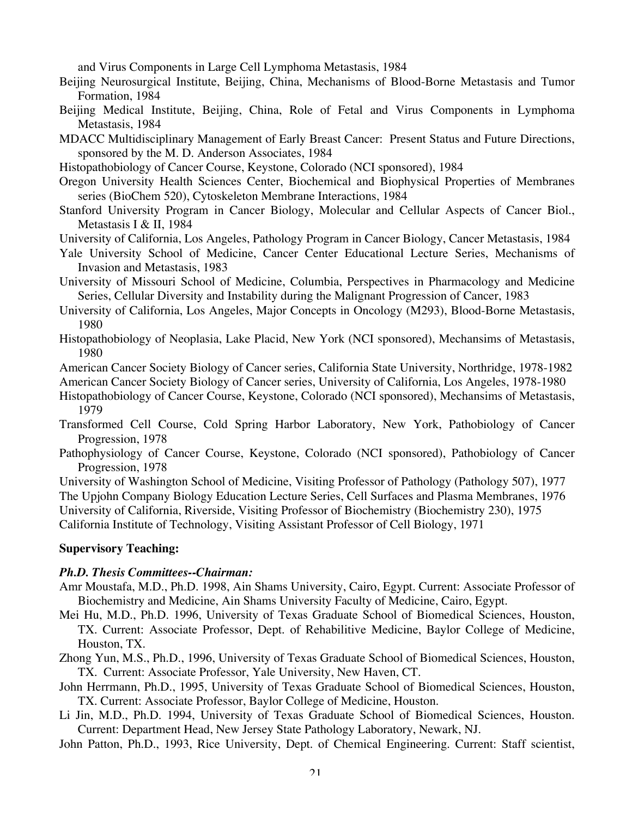and Virus Components in Large Cell Lymphoma Metastasis, 1984

- Beijing Neurosurgical Institute, Beijing, China, Mechanisms of Blood-Borne Metastasis and Tumor Formation, 1984
- Beijing Medical Institute, Beijing, China, Role of Fetal and Virus Components in Lymphoma Metastasis, 1984
- MDACC Multidisciplinary Management of Early Breast Cancer: Present Status and Future Directions, sponsored by the M. D. Anderson Associates, 1984
- Histopathobiology of Cancer Course, Keystone, Colorado (NCI sponsored), 1984
- Oregon University Health Sciences Center, Biochemical and Biophysical Properties of Membranes series (BioChem 520), Cytoskeleton Membrane Interactions, 1984
- Stanford University Program in Cancer Biology, Molecular and Cellular Aspects of Cancer Biol., Metastasis I & II, 1984
- University of California, Los Angeles, Pathology Program in Cancer Biology, Cancer Metastasis, 1984
- Yale University School of Medicine, Cancer Center Educational Lecture Series, Mechanisms of Invasion and Metastasis, 1983
- University of Missouri School of Medicine, Columbia, Perspectives in Pharmacology and Medicine Series, Cellular Diversity and Instability during the Malignant Progression of Cancer, 1983
- University of California, Los Angeles, Major Concepts in Oncology (M293), Blood-Borne Metastasis, 1980
- Histopathobiology of Neoplasia, Lake Placid, New York (NCI sponsored), Mechansims of Metastasis, 1980

American Cancer Society Biology of Cancer series, California State University, Northridge, 1978-1982

American Cancer Society Biology of Cancer series, University of California, Los Angeles, 1978-1980

- Histopathobiology of Cancer Course, Keystone, Colorado (NCI sponsored), Mechansims of Metastasis, 1979
- Transformed Cell Course, Cold Spring Harbor Laboratory, New York, Pathobiology of Cancer Progression, 1978
- Pathophysiology of Cancer Course, Keystone, Colorado (NCI sponsored), Pathobiology of Cancer Progression, 1978

University of Washington School of Medicine, Visiting Professor of Pathology (Pathology 507), 1977 The Upjohn Company Biology Education Lecture Series, Cell Surfaces and Plasma Membranes, 1976

University of California, Riverside, Visiting Professor of Biochemistry (Biochemistry 230), 1975

California Institute of Technology, Visiting Assistant Professor of Cell Biology, 1971

### **Supervisory Teaching:**

### *Ph.D. Thesis Committees--Chairman:*

- Amr Moustafa, M.D., Ph.D. 1998, Ain Shams University, Cairo, Egypt. Current: Associate Professor of Biochemistry and Medicine, Ain Shams University Faculty of Medicine, Cairo, Egypt.
- Mei Hu, M.D., Ph.D. 1996, University of Texas Graduate School of Biomedical Sciences, Houston, TX. Current: Associate Professor, Dept. of Rehabilitive Medicine, Baylor College of Medicine, Houston, TX.
- Zhong Yun, M.S., Ph.D., 1996, University of Texas Graduate School of Biomedical Sciences, Houston, TX. Current: Associate Professor, Yale University, New Haven, CT.
- John Herrmann, Ph.D., 1995, University of Texas Graduate School of Biomedical Sciences, Houston, TX. Current: Associate Professor, Baylor College of Medicine, Houston.
- Li Jin, M.D., Ph.D. 1994, University of Texas Graduate School of Biomedical Sciences, Houston. Current: Department Head, New Jersey State Pathology Laboratory, Newark, NJ.

John Patton, Ph.D., 1993, Rice University, Dept. of Chemical Engineering. Current: Staff scientist,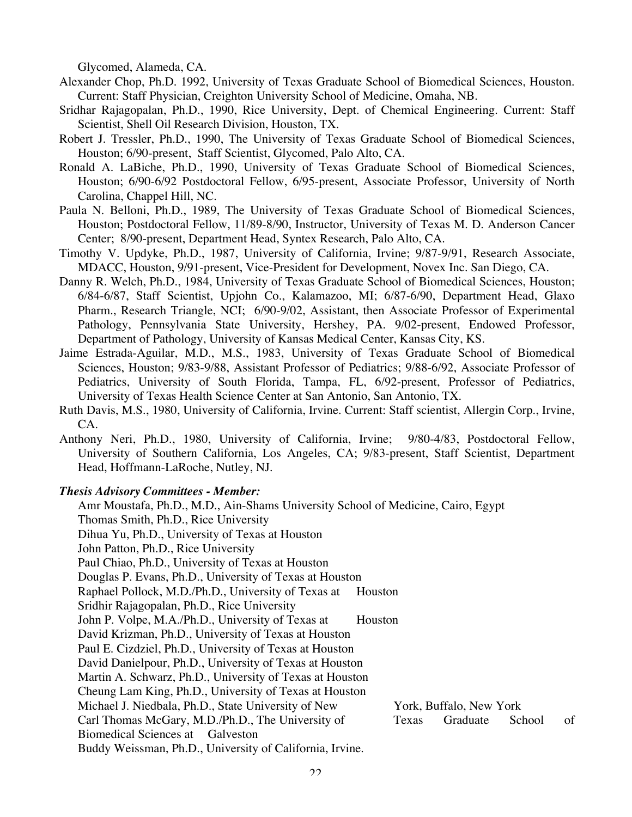Glycomed, Alameda, CA.

- Alexander Chop, Ph.D. 1992, University of Texas Graduate School of Biomedical Sciences, Houston. Current: Staff Physician, Creighton University School of Medicine, Omaha, NB.
- Sridhar Rajagopalan, Ph.D., 1990, Rice University, Dept. of Chemical Engineering. Current: Staff Scientist, Shell Oil Research Division, Houston, TX.
- Robert J. Tressler, Ph.D., 1990, The University of Texas Graduate School of Biomedical Sciences, Houston; 6/90-present, Staff Scientist, Glycomed, Palo Alto, CA.
- Ronald A. LaBiche, Ph.D., 1990, University of Texas Graduate School of Biomedical Sciences, Houston; 6/90-6/92 Postdoctoral Fellow, 6/95-present, Associate Professor, University of North Carolina, Chappel Hill, NC.
- Paula N. Belloni, Ph.D., 1989, The University of Texas Graduate School of Biomedical Sciences, Houston; Postdoctoral Fellow, 11/89-8/90, Instructor, University of Texas M. D. Anderson Cancer Center; 8/90-present, Department Head, Syntex Research, Palo Alto, CA.
- Timothy V. Updyke, Ph.D., 1987, University of California, Irvine; 9/87-9/91, Research Associate, MDACC, Houston, 9/91-present, Vice-President for Development, Novex Inc. San Diego, CA.
- Danny R. Welch, Ph.D., 1984, University of Texas Graduate School of Biomedical Sciences, Houston; 6/84-6/87, Staff Scientist, Upjohn Co., Kalamazoo, MI; 6/87-6/90, Department Head, Glaxo Pharm., Research Triangle, NCI; 6/90-9/02, Assistant, then Associate Professor of Experimental Pathology, Pennsylvania State University, Hershey, PA. 9/02-present, Endowed Professor, Department of Pathology, University of Kansas Medical Center, Kansas City, KS.
- Jaime Estrada-Aguilar, M.D., M.S., 1983, University of Texas Graduate School of Biomedical Sciences, Houston; 9/83-9/88, Assistant Professor of Pediatrics; 9/88-6/92, Associate Professor of Pediatrics, University of South Florida, Tampa, FL, 6/92-present, Professor of Pediatrics, University of Texas Health Science Center at San Antonio, San Antonio, TX.
- Ruth Davis, M.S., 1980, University of California, Irvine. Current: Staff scientist, Allergin Corp., Irvine, CA.
- Anthony Neri, Ph.D., 1980, University of California, Irvine; 9/80-4/83, Postdoctoral Fellow, University of Southern California, Los Angeles, CA; 9/83-present, Staff Scientist, Department Head, Hoffmann-LaRoche, Nutley, NJ.

#### *Thesis Advisory Committees - Member:*

Amr Moustafa, Ph.D., M.D., Ain-Shams University School of Medicine, Cairo, Egypt Thomas Smith, Ph.D., Rice University Dihua Yu, Ph.D., University of Texas at Houston John Patton, Ph.D., Rice University Paul Chiao, Ph.D., University of Texas at Houston Douglas P. Evans, Ph.D., University of Texas at Houston Raphael Pollock, M.D./Ph.D., University of Texas at Houston Sridhir Rajagopalan, Ph.D., Rice University John P. Volpe, M.A./Ph.D., University of Texas at Houston David Krizman, Ph.D., University of Texas at Houston Paul E. Cizdziel, Ph.D., University of Texas at Houston David Danielpour, Ph.D., University of Texas at Houston Martin A. Schwarz, Ph.D., University of Texas at Houston Cheung Lam King, Ph.D., University of Texas at Houston Michael J. Niedbala, Ph.D., State University of New York, Buffalo, New York Carl Thomas McGary, M.D./Ph.D., The University of Texas Graduate School of Biomedical Sciences at Galveston Buddy Weissman, Ph.D., University of California, Irvine.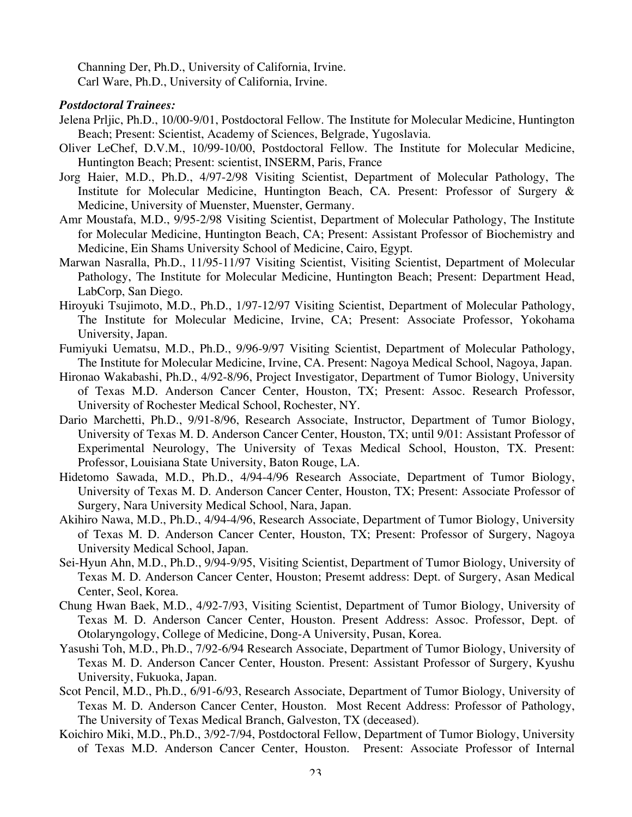Channing Der, Ph.D., University of California, Irvine. Carl Ware, Ph.D., University of California, Irvine.

### *Postdoctoral Trainees:*

- Jelena Prljic, Ph.D., 10/00-9/01, Postdoctoral Fellow. The Institute for Molecular Medicine, Huntington Beach; Present: Scientist, Academy of Sciences, Belgrade, Yugoslavia.
- Oliver LeChef, D.V.M., 10/99-10/00, Postdoctoral Fellow. The Institute for Molecular Medicine, Huntington Beach; Present: scientist, INSERM, Paris, France
- Jorg Haier, M.D., Ph.D., 4/97-2/98 Visiting Scientist, Department of Molecular Pathology, The Institute for Molecular Medicine, Huntington Beach, CA. Present: Professor of Surgery & Medicine, University of Muenster, Muenster, Germany.
- Amr Moustafa, M.D., 9/95-2/98 Visiting Scientist, Department of Molecular Pathology, The Institute for Molecular Medicine, Huntington Beach, CA; Present: Assistant Professor of Biochemistry and Medicine, Ein Shams University School of Medicine, Cairo, Egypt.
- Marwan Nasralla, Ph.D., 11/95-11/97 Visiting Scientist, Visiting Scientist, Department of Molecular Pathology, The Institute for Molecular Medicine, Huntington Beach; Present: Department Head, LabCorp, San Diego.
- Hiroyuki Tsujimoto, M.D., Ph.D., 1/97-12/97 Visiting Scientist, Department of Molecular Pathology, The Institute for Molecular Medicine, Irvine, CA; Present: Associate Professor, Yokohama University, Japan.
- Fumiyuki Uematsu, M.D., Ph.D., 9/96-9/97 Visiting Scientist, Department of Molecular Pathology, The Institute for Molecular Medicine, Irvine, CA. Present: Nagoya Medical School, Nagoya, Japan.
- Hironao Wakabashi, Ph.D., 4/92-8/96, Project Investigator, Department of Tumor Biology, University of Texas M.D. Anderson Cancer Center, Houston, TX; Present: Assoc. Research Professor, University of Rochester Medical School, Rochester, NY.
- Dario Marchetti, Ph.D., 9/91-8/96, Research Associate, Instructor, Department of Tumor Biology, University of Texas M. D. Anderson Cancer Center, Houston, TX; until 9/01: Assistant Professor of Experimental Neurology, The University of Texas Medical School, Houston, TX. Present: Professor, Louisiana State University, Baton Rouge, LA.
- Hidetomo Sawada, M.D., Ph.D., 4/94-4/96 Research Associate, Department of Tumor Biology, University of Texas M. D. Anderson Cancer Center, Houston, TX; Present: Associate Professor of Surgery, Nara University Medical School, Nara, Japan.
- Akihiro Nawa, M.D., Ph.D., 4/94-4/96, Research Associate, Department of Tumor Biology, University of Texas M. D. Anderson Cancer Center, Houston, TX; Present: Professor of Surgery, Nagoya University Medical School, Japan.
- Sei-Hyun Ahn, M.D., Ph.D., 9/94-9/95, Visiting Scientist, Department of Tumor Biology, University of Texas M. D. Anderson Cancer Center, Houston; Presemt address: Dept. of Surgery, Asan Medical Center, Seol, Korea.
- Chung Hwan Baek, M.D., 4/92-7/93, Visiting Scientist, Department of Tumor Biology, University of Texas M. D. Anderson Cancer Center, Houston. Present Address: Assoc. Professor, Dept. of Otolaryngology, College of Medicine, Dong-A University, Pusan, Korea.
- Yasushi Toh, M.D., Ph.D., 7/92-6/94 Research Associate, Department of Tumor Biology, University of Texas M. D. Anderson Cancer Center, Houston. Present: Assistant Professor of Surgery, Kyushu University, Fukuoka, Japan.
- Scot Pencil, M.D., Ph.D., 6/91-6/93, Research Associate, Department of Tumor Biology, University of Texas M. D. Anderson Cancer Center, Houston. Most Recent Address: Professor of Pathology, The University of Texas Medical Branch, Galveston, TX (deceased).
- Koichiro Miki, M.D., Ph.D., 3/92-7/94, Postdoctoral Fellow, Department of Tumor Biology, University of Texas M.D. Anderson Cancer Center, Houston. Present: Associate Professor of Internal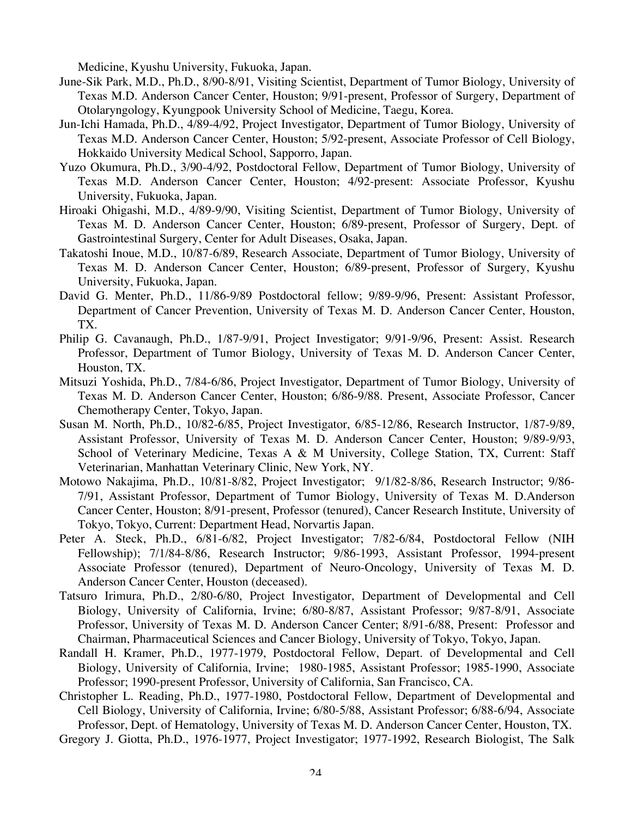Medicine, Kyushu University, Fukuoka, Japan.

- June-Sik Park, M.D., Ph.D., 8/90-8/91, Visiting Scientist, Department of Tumor Biology, University of Texas M.D. Anderson Cancer Center, Houston; 9/91-present, Professor of Surgery, Department of Otolaryngology, Kyungpook University School of Medicine, Taegu, Korea.
- Jun-Ichi Hamada, Ph.D., 4/89-4/92, Project Investigator, Department of Tumor Biology, University of Texas M.D. Anderson Cancer Center, Houston; 5/92-present, Associate Professor of Cell Biology, Hokkaido University Medical School, Sapporro, Japan.
- Yuzo Okumura, Ph.D., 3/90-4/92, Postdoctoral Fellow, Department of Tumor Biology, University of Texas M.D. Anderson Cancer Center, Houston; 4/92-present: Associate Professor, Kyushu University, Fukuoka, Japan.
- Hiroaki Ohigashi, M.D., 4/89-9/90, Visiting Scientist, Department of Tumor Biology, University of Texas M. D. Anderson Cancer Center, Houston; 6/89-present, Professor of Surgery, Dept. of Gastrointestinal Surgery, Center for Adult Diseases, Osaka, Japan.
- Takatoshi Inoue, M.D., 10/87-6/89, Research Associate, Department of Tumor Biology, University of Texas M. D. Anderson Cancer Center, Houston; 6/89-present, Professor of Surgery, Kyushu University, Fukuoka, Japan.
- David G. Menter, Ph.D., 11/86-9/89 Postdoctoral fellow; 9/89-9/96, Present: Assistant Professor, Department of Cancer Prevention, University of Texas M. D. Anderson Cancer Center, Houston, TX.
- Philip G. Cavanaugh, Ph.D., 1/87-9/91, Project Investigator; 9/91-9/96, Present: Assist. Research Professor, Department of Tumor Biology, University of Texas M. D. Anderson Cancer Center, Houston, TX.
- Mitsuzi Yoshida, Ph.D., 7/84-6/86, Project Investigator, Department of Tumor Biology, University of Texas M. D. Anderson Cancer Center, Houston; 6/86-9/88. Present, Associate Professor, Cancer Chemotherapy Center, Tokyo, Japan.
- Susan M. North, Ph.D., 10/82-6/85, Project Investigator, 6/85-12/86, Research Instructor, 1/87-9/89, Assistant Professor, University of Texas M. D. Anderson Cancer Center, Houston; 9/89-9/93, School of Veterinary Medicine, Texas A & M University, College Station, TX, Current: Staff Veterinarian, Manhattan Veterinary Clinic, New York, NY.
- Motowo Nakajima, Ph.D., 10/81-8/82, Project Investigator; 9/1/82-8/86, Research Instructor; 9/86- 7/91, Assistant Professor, Department of Tumor Biology, University of Texas M. D.Anderson Cancer Center, Houston; 8/91-present, Professor (tenured), Cancer Research Institute, University of Tokyo, Tokyo, Current: Department Head, Norvartis Japan.
- Peter A. Steck, Ph.D., 6/81-6/82, Project Investigator; 7/82-6/84, Postdoctoral Fellow (NIH Fellowship); 7/1/84-8/86, Research Instructor; 9/86-1993, Assistant Professor, 1994-present Associate Professor (tenured), Department of Neuro-Oncology, University of Texas M. D. Anderson Cancer Center, Houston (deceased).
- Tatsuro Irimura, Ph.D., 2/80-6/80, Project Investigator, Department of Developmental and Cell Biology, University of California, Irvine; 6/80-8/87, Assistant Professor; 9/87-8/91, Associate Professor, University of Texas M. D. Anderson Cancer Center; 8/91-6/88, Present: Professor and Chairman, Pharmaceutical Sciences and Cancer Biology, University of Tokyo, Tokyo, Japan.
- Randall H. Kramer, Ph.D., 1977-1979, Postdoctoral Fellow, Depart. of Developmental and Cell Biology, University of California, Irvine; 1980-1985, Assistant Professor; 1985-1990, Associate Professor; 1990-present Professor, University of California, San Francisco, CA.
- Christopher L. Reading, Ph.D., 1977-1980, Postdoctoral Fellow, Department of Developmental and Cell Biology, University of California, Irvine; 6/80-5/88, Assistant Professor; 6/88-6/94, Associate Professor, Dept. of Hematology, University of Texas M. D. Anderson Cancer Center, Houston, TX.
- Gregory J. Giotta, Ph.D., 1976-1977, Project Investigator; 1977-1992, Research Biologist, The Salk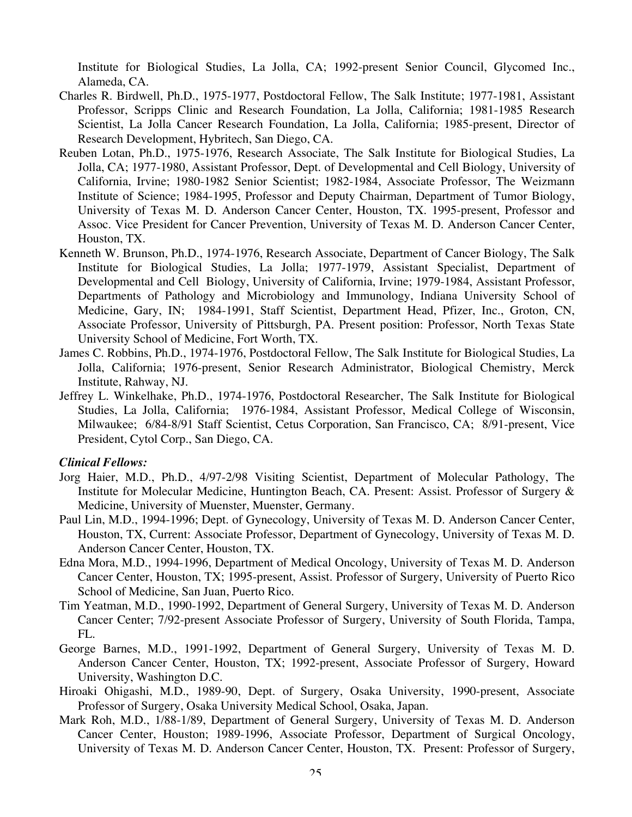Institute for Biological Studies, La Jolla, CA; 1992-present Senior Council, Glycomed Inc., Alameda, CA.

- Charles R. Birdwell, Ph.D., 1975-1977, Postdoctoral Fellow, The Salk Institute; 1977-1981, Assistant Professor, Scripps Clinic and Research Foundation, La Jolla, California; 1981-1985 Research Scientist, La Jolla Cancer Research Foundation, La Jolla, California; 1985-present, Director of Research Development, Hybritech, San Diego, CA.
- Reuben Lotan, Ph.D., 1975-1976, Research Associate, The Salk Institute for Biological Studies, La Jolla, CA; 1977-1980, Assistant Professor, Dept. of Developmental and Cell Biology, University of California, Irvine; 1980-1982 Senior Scientist; 1982-1984, Associate Professor, The Weizmann Institute of Science; 1984-1995, Professor and Deputy Chairman, Department of Tumor Biology, University of Texas M. D. Anderson Cancer Center, Houston, TX. 1995-present, Professor and Assoc. Vice President for Cancer Prevention, University of Texas M. D. Anderson Cancer Center, Houston, TX.
- Kenneth W. Brunson, Ph.D., 1974-1976, Research Associate, Department of Cancer Biology, The Salk Institute for Biological Studies, La Jolla; 1977-1979, Assistant Specialist, Department of Developmental and Cell Biology, University of California, Irvine; 1979-1984, Assistant Professor, Departments of Pathology and Microbiology and Immunology, Indiana University School of Medicine, Gary, IN; 1984-1991, Staff Scientist, Department Head, Pfizer, Inc., Groton, CN, Associate Professor, University of Pittsburgh, PA. Present position: Professor, North Texas State University School of Medicine, Fort Worth, TX.
- James C. Robbins, Ph.D., 1974-1976, Postdoctoral Fellow, The Salk Institute for Biological Studies, La Jolla, California; 1976-present, Senior Research Administrator, Biological Chemistry, Merck Institute, Rahway, NJ.
- Jeffrey L. Winkelhake, Ph.D., 1974-1976, Postdoctoral Researcher, The Salk Institute for Biological Studies, La Jolla, California; 1976-1984, Assistant Professor, Medical College of Wisconsin, Milwaukee; 6/84-8/91 Staff Scientist, Cetus Corporation, San Francisco, CA; 8/91-present, Vice President, Cytol Corp., San Diego, CA.

### *Clinical Fellows:*

- Jorg Haier, M.D., Ph.D., 4/97-2/98 Visiting Scientist, Department of Molecular Pathology, The Institute for Molecular Medicine, Huntington Beach, CA. Present: Assist. Professor of Surgery & Medicine, University of Muenster, Muenster, Germany.
- Paul Lin, M.D., 1994-1996; Dept. of Gynecology, University of Texas M. D. Anderson Cancer Center, Houston, TX, Current: Associate Professor, Department of Gynecology, University of Texas M. D. Anderson Cancer Center, Houston, TX.
- Edna Mora, M.D., 1994-1996, Department of Medical Oncology, University of Texas M. D. Anderson Cancer Center, Houston, TX; 1995-present, Assist. Professor of Surgery, University of Puerto Rico School of Medicine, San Juan, Puerto Rico.
- Tim Yeatman, M.D., 1990-1992, Department of General Surgery, University of Texas M. D. Anderson Cancer Center; 7/92-present Associate Professor of Surgery, University of South Florida, Tampa, FL.
- George Barnes, M.D., 1991-1992, Department of General Surgery, University of Texas M. D. Anderson Cancer Center, Houston, TX; 1992-present, Associate Professor of Surgery, Howard University, Washington D.C.
- Hiroaki Ohigashi, M.D., 1989-90, Dept. of Surgery, Osaka University, 1990-present, Associate Professor of Surgery, Osaka University Medical School, Osaka, Japan.
- Mark Roh, M.D., 1/88-1/89, Department of General Surgery, University of Texas M. D. Anderson Cancer Center, Houston; 1989-1996, Associate Professor, Department of Surgical Oncology, University of Texas M. D. Anderson Cancer Center, Houston, TX. Present: Professor of Surgery,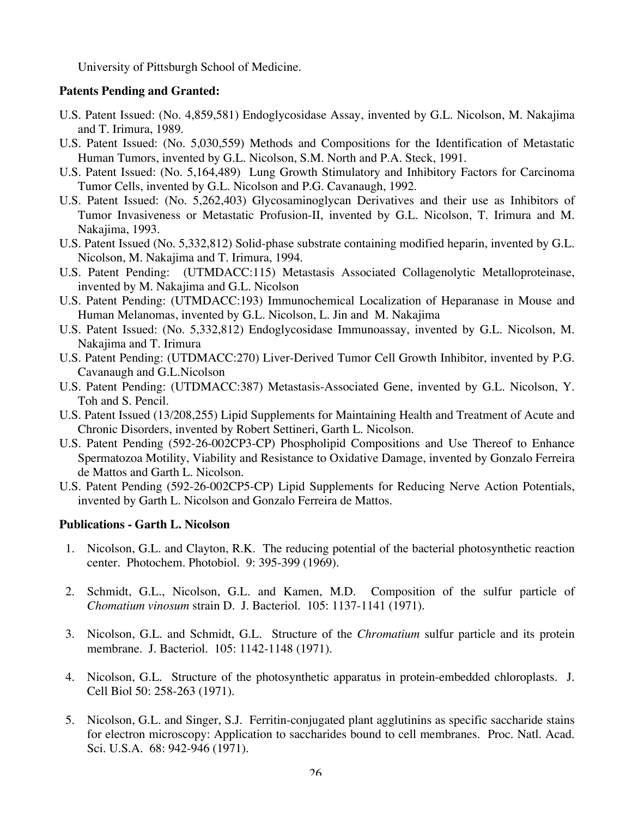University of Pittsburgh School of Medicine.

### **Patents Pending and Granted:**

- U.S. Patent Issued: (No. 4,859,581) Endoglycosidase Assay, invented by G.L. Nicolson, M. Nakajima and T. Irimura, 1989.
- U.S. Patent Issued: (No. 5,030,559) Methods and Compositions for the Identification of Metastatic Human Tumors, invented by G.L. Nicolson, S.M. North and P.A. Steck, 1991.
- U.S. Patent Issued: (No. 5,164,489) Lung Growth Stimulatory and Inhibitory Factors for Carcinoma Tumor Cells, invented by G.L. Nicolson and P.G. Cavanaugh, 1992.
- U.S. Patent Issued: (No. 5,262,403) Glycosaminoglycan Derivatives and their use as Inhibitors of Tumor Invasiveness or Metastatic Profusion-II, invented by G.L. Nicolson, T. Irimura and M. Nakajima, 1993.
- U.S. Patent Issued (No. 5,332,812) Solid-phase substrate containing modified heparin, invented by G.L. Nicolson, M. Nakajima and T. Irimura, 1994.
- U.S. Patent Pending: (UTMDACC:115) Metastasis Associated Collagenolytic Metalloproteinase, invented by M. Nakajima and G.L. Nicolson
- U.S. Patent Pending: (UTMDACC:193) Immunochemical Localization of Heparanase in Mouse and Human Melanomas, invented by G.L. Nicolson, L. Jin and M. Nakajima
- U.S. Patent Issued: (No. 5,332,812) Endoglycosidase Immunoassay, invented by G.L. Nicolson, M. Nakajima and T. Irimura
- U.S. Patent Pending: (UTDMACC:270) Liver-Derived Tumor Cell Growth Inhibitor, invented by P.G. Cavanaugh and G.L.Nicolson
- U.S. Patent Pending: (UTDMACC:387) Metastasis-Associated Gene, invented by G.L. Nicolson, Y. Toh and S. Pencil.
- U.S. Patent Issued (13/208,255) Lipid Supplements for Maintaining Health and Treatment of Acute and Chronic Disorders, invented by Robert Settineri, Garth L. Nicolson.
- U.S. Patent Pending (592-26-002CP3-CP) Phospholipid Compositions and Use Thereof to Enhance Spermatozoa Motility, Viability and Resistance to Oxidative Damage, invented by Gonzalo Ferreira de Mattos and Garth L. Nicolson.
- U.S. Patent Pending (592-26-002CP5-CP) Lipid Supplements for Reducing Nerve Action Potentials, invented by Garth L. Nicolson and Gonzalo Ferreira de Mattos.

### **Publications - Garth L. Nicolson**

- 1. Nicolson, G.L. and Clayton, R.K. The reducing potential of the bacterial photosynthetic reaction center. Photochem. Photobiol.9: 395-399 (1969).
- 2. Schmidt, G.L., Nicolson, G.L. and Kamen, M.D. Composition of the sulfur particle of *Chomatium vinosum* strain D. J. Bacteriol. 105: 1137-1141 (1971).
- 3. Nicolson, G.L. and Schmidt, G.L. Structure of the *Chromatium* sulfur particle and its protein membrane. J. Bacteriol. 105: 1142-1148 (1971).
- 4. Nicolson, G.L. Structure of the photosynthetic apparatus in protein-embedded chloroplasts. J. Cell Biol 50: 258-263 (1971).
- 5. Nicolson, G.L. and Singer, S.J. Ferritin-conjugated plant agglutinins as specific saccharide stains for electron microscopy: Application to saccharides bound to cell membranes. Proc. Natl. Acad. Sci. U.S.A. 68: 942-946 (1971).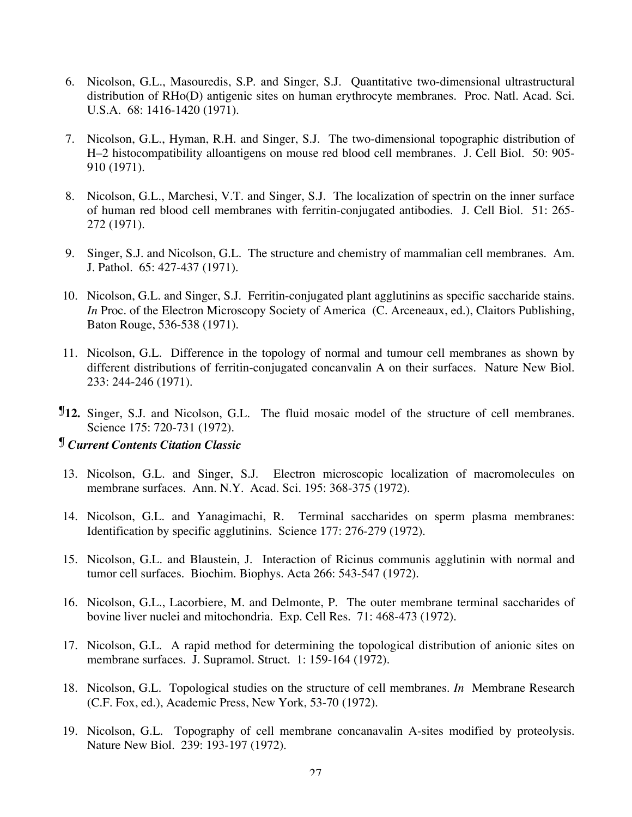- 6. Nicolson, G.L., Masouredis, S.P. and Singer, S.J. Quantitative two-dimensional ultrastructural distribution of RHo(D) antigenic sites on human erythrocyte membranes. Proc. Natl. Acad. Sci. U.S.A. 68: 1416-1420 (1971).
- 7. Nicolson, G.L., Hyman, R.H. and Singer, S.J. The two-dimensional topographic distribution of H–2 histocompatibility alloantigens on mouse red blood cell membranes. J. Cell Biol. 50: 905- 910 (1971).
- 8. Nicolson, G.L., Marchesi, V.T. and Singer, S.J. The localization of spectrin on the inner surface of human red blood cell membranes with ferritin-conjugated antibodies. J. Cell Biol. 51: 265- 272 (1971).
- 9. Singer, S.J. and Nicolson, G.L. The structure and chemistry of mammalian cell membranes. Am. J. Pathol. 65: 427-437 (1971).
- 10. Nicolson, G.L. and Singer, S.J. Ferritin-conjugated plant agglutinins as specific saccharide stains. *In* Proc. of the Electron Microscopy Society of America (C. Arceneaux, ed.), Claitors Publishing, Baton Rouge, 536-538 (1971).
- 11. Nicolson, G.L. Difference in the topology of normal and tumour cell membranes as shown by different distributions of ferritin-conjugated concanvalin A on their surfaces. Nature New Biol. 233: 244-246 (1971).
- ¶**12.** Singer, S.J. and Nicolson, G.L. The fluid mosaic model of the structure of cell membranes. Science 175: 720-731 (1972).

### ¶ *Current Contents Citation Classic*

- 13. Nicolson, G.L. and Singer, S.J. Electron microscopic localization of macromolecules on membrane surfaces. Ann. N.Y. Acad. Sci. 195: 368-375 (1972).
- 14. Nicolson, G.L. and Yanagimachi, R. Terminal saccharides on sperm plasma membranes: Identification by specific agglutinins. Science 177: 276-279 (1972).
- 15. Nicolson, G.L. and Blaustein, J. Interaction of Ricinus communis agglutinin with normal and tumor cell surfaces. Biochim. Biophys. Acta 266: 543-547 (1972).
- 16. Nicolson, G.L., Lacorbiere, M. and Delmonte, P. The outer membrane terminal saccharides of bovine liver nuclei and mitochondria. Exp. Cell Res. 71: 468-473 (1972).
- 17. Nicolson, G.L. A rapid method for determining the topological distribution of anionic sites on membrane surfaces. J. Supramol. Struct. 1: 159-164 (1972).
- 18. Nicolson, G.L. Topological studies on the structure of cell membranes. *In* Membrane Research (C.F. Fox, ed.), Academic Press, New York, 53-70 (1972).
- 19. Nicolson, G.L. Topography of cell membrane concanavalin A-sites modified by proteolysis. Nature New Biol. 239: 193-197 (1972).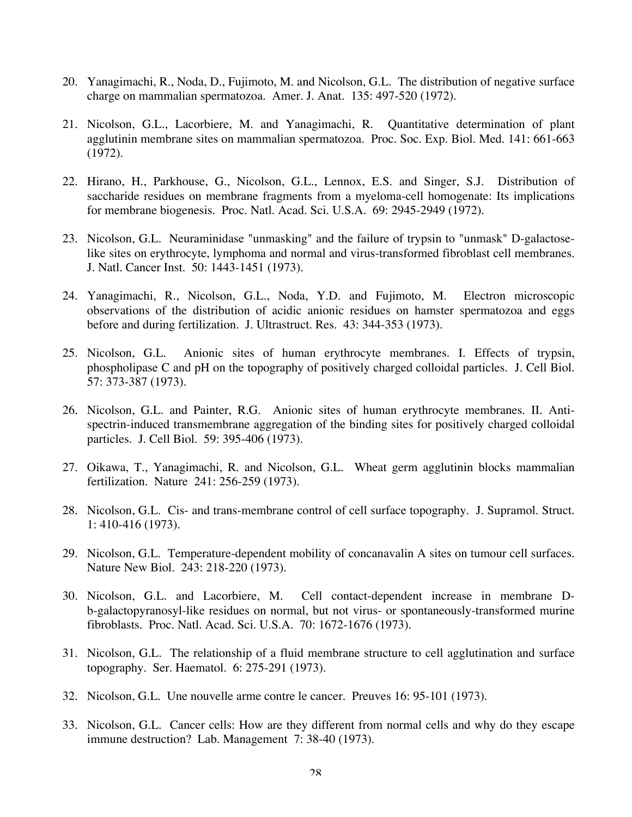- 20. Yanagimachi, R., Noda, D., Fujimoto, M. and Nicolson, G.L. The distribution of negative surface charge on mammalian spermatozoa. Amer. J. Anat. 135: 497-520 (1972).
- 21. Nicolson, G.L., Lacorbiere, M. and Yanagimachi, R. Quantitative determination of plant agglutinin membrane sites on mammalian spermatozoa. Proc. Soc. Exp. Biol. Med. 141: 661-663 (1972).
- 22. Hirano, H., Parkhouse, G., Nicolson, G.L., Lennox, E.S. and Singer, S.J. Distribution of saccharide residues on membrane fragments from a myeloma-cell homogenate: Its implications for membrane biogenesis. Proc. Natl. Acad. Sci. U.S.A. 69: 2945-2949 (1972).
- 23. Nicolson, G.L. Neuraminidase "unmasking" and the failure of trypsin to "unmask" D-galactoselike sites on erythrocyte, lymphoma and normal and virus-transformed fibroblast cell membranes. J. Natl. Cancer Inst. 50: 1443-1451 (1973).
- 24. Yanagimachi, R., Nicolson, G.L., Noda, Y.D. and Fujimoto, M. Electron microscopic observations of the distribution of acidic anionic residues on hamster spermatozoa and eggs before and during fertilization. J. Ultrastruct. Res. 43: 344-353 (1973).
- 25. Nicolson, G.L. Anionic sites of human erythrocyte membranes. I. Effects of trypsin, phospholipase C and pH on the topography of positively charged colloidal particles. J. Cell Biol. 57: 373-387 (1973).
- 26. Nicolson, G.L. and Painter, R.G. Anionic sites of human erythrocyte membranes. II. Antispectrin-induced transmembrane aggregation of the binding sites for positively charged colloidal particles. J. Cell Biol. 59: 395-406 (1973).
- 27. Oikawa, T., Yanagimachi, R. and Nicolson, G.L. Wheat germ agglutinin blocks mammalian fertilization. Nature 241: 256-259 (1973).
- 28. Nicolson, G.L. Cis- and trans-membrane control of cell surface topography. J. Supramol. Struct. 1: 410-416 (1973).
- 29. Nicolson, G.L. Temperature-dependent mobility of concanavalin A sites on tumour cell surfaces. Nature New Biol. 243: 218-220 (1973).
- 30. Nicolson, G.L. and Lacorbiere, M. Cell contact-dependent increase in membrane Db-galactopyranosyl-like residues on normal, but not virus- or spontaneously-transformed murine fibroblasts. Proc. Natl. Acad. Sci. U.S.A. 70: 1672-1676 (1973).
- 31. Nicolson, G.L. The relationship of a fluid membrane structure to cell agglutination and surface topography. Ser. Haematol. 6: 275-291 (1973).
- 32. Nicolson, G.L. Une nouvelle arme contre le cancer. Preuves 16: 95-101 (1973).
- 33. Nicolson, G.L. Cancer cells: How are they different from normal cells and why do they escape immune destruction? Lab. Management 7: 38-40 (1973).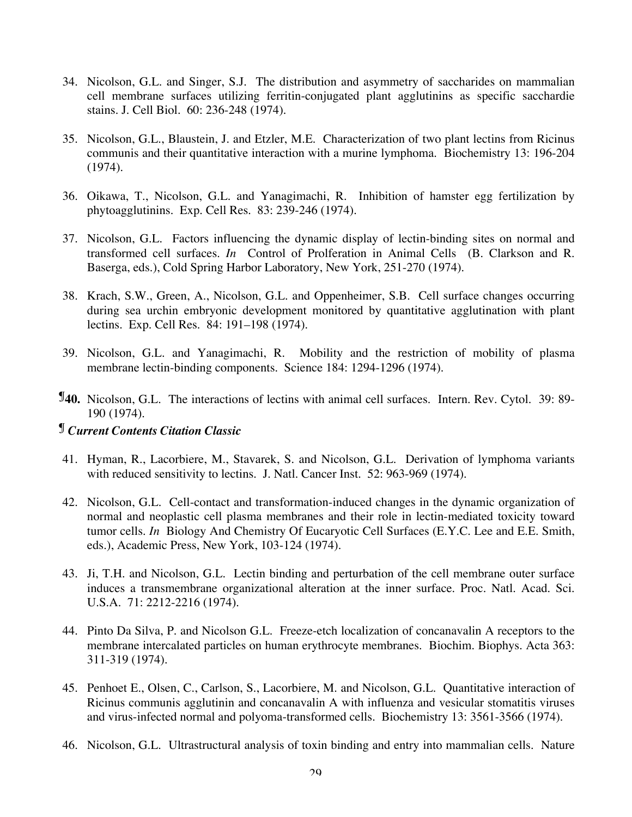- 34. Nicolson, G.L. and Singer, S.J. The distribution and asymmetry of saccharides on mammalian cell membrane surfaces utilizing ferritin-conjugated plant agglutinins as specific sacchardie stains. J. Cell Biol. 60: 236-248 (1974).
- 35. Nicolson, G.L., Blaustein, J. and Etzler, M.E. Characterization of two plant lectins from Ricinus communis and their quantitative interaction with a murine lymphoma. Biochemistry 13: 196-204 (1974).
- 36. Oikawa, T., Nicolson, G.L. and Yanagimachi, R. Inhibition of hamster egg fertilization by phytoagglutinins. Exp. Cell Res. 83: 239-246 (1974).
- 37. Nicolson, G.L. Factors influencing the dynamic display of lectin-binding sites on normal and transformed cell surfaces. *In* Control of Prolferation in Animal Cells (B. Clarkson and R. Baserga, eds.), Cold Spring Harbor Laboratory, New York, 251-270 (1974).
- 38. Krach, S.W., Green, A., Nicolson, G.L. and Oppenheimer, S.B. Cell surface changes occurring during sea urchin embryonic development monitored by quantitative agglutination with plant lectins. Exp. Cell Res. 84: 191–198 (1974).
- 39. Nicolson, G.L. and Yanagimachi, R. Mobility and the restriction of mobility of plasma membrane lectin-binding components. Science 184: 1294-1296 (1974).
- ¶**40.** Nicolson, G.L. The interactions of lectins with animal cell surfaces. Intern. Rev. Cytol. 39: 89- 190 (1974).

### ¶ *Current Contents Citation Classic*

- 41. Hyman, R., Lacorbiere, M., Stavarek, S. and Nicolson, G.L. Derivation of lymphoma variants with reduced sensitivity to lectins. J. Natl. Cancer Inst. 52: 963-969 (1974).
- 42. Nicolson, G.L. Cell-contact and transformation-induced changes in the dynamic organization of normal and neoplastic cell plasma membranes and their role in lectin-mediated toxicity toward tumor cells. *In* Biology And Chemistry Of Eucaryotic Cell Surfaces (E.Y.C. Lee and E.E. Smith, eds.), Academic Press, New York, 103-124 (1974).
- 43. Ji, T.H. and Nicolson, G.L. Lectin binding and perturbation of the cell membrane outer surface induces a transmembrane organizational alteration at the inner surface. Proc. Natl. Acad. Sci. U.S.A. 71: 2212-2216 (1974).
- 44. Pinto Da Silva, P. and Nicolson G.L. Freeze-etch localization of concanavalin A receptors to the membrane intercalated particles on human erythrocyte membranes. Biochim. Biophys. Acta 363: 311-319 (1974).
- 45. Penhoet E., Olsen, C., Carlson, S., Lacorbiere, M. and Nicolson, G.L. Quantitative interaction of Ricinus communis agglutinin and concanavalin A with influenza and vesicular stomatitis viruses and virus-infected normal and polyoma-transformed cells. Biochemistry 13: 3561-3566 (1974).
- 46. Nicolson, G.L. Ultrastructural analysis of toxin binding and entry into mammalian cells. Nature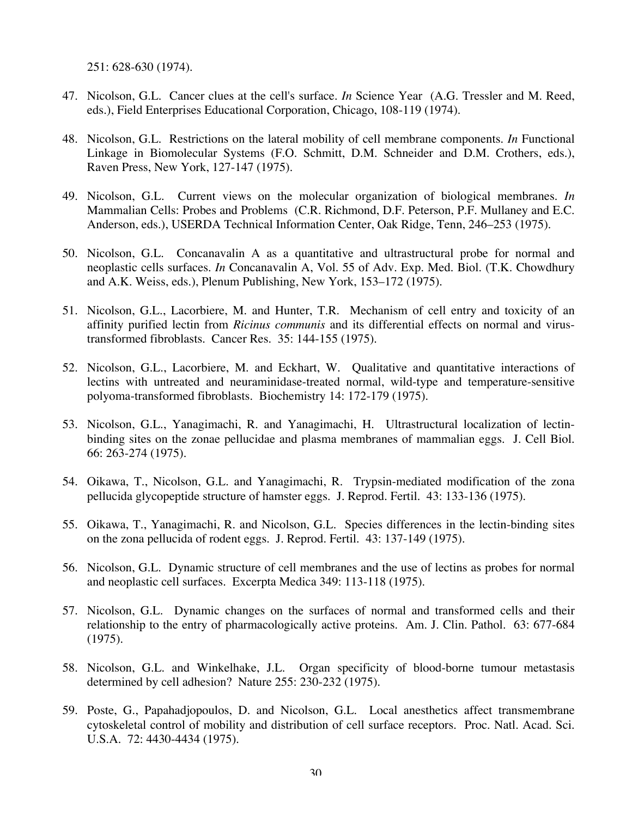251: 628-630 (1974).

- 47. Nicolson, G.L. Cancer clues at the cell's surface. *In* Science Year (A.G. Tressler and M. Reed, eds.), Field Enterprises Educational Corporation, Chicago, 108-119 (1974).
- 48. Nicolson, G.L. Restrictions on the lateral mobility of cell membrane components. *In* Functional Linkage in Biomolecular Systems (F.O. Schmitt, D.M. Schneider and D.M. Crothers, eds.), Raven Press, New York, 127-147 (1975).
- 49. Nicolson, G.L. Current views on the molecular organization of biological membranes. *In* Mammalian Cells: Probes and Problems (C.R. Richmond, D.F. Peterson, P.F. Mullaney and E.C. Anderson, eds.), USERDA Technical Information Center, Oak Ridge, Tenn, 246–253 (1975).
- 50. Nicolson, G.L. Concanavalin A as a quantitative and ultrastructural probe for normal and neoplastic cells surfaces. *In* Concanavalin A, Vol. 55 of Adv. Exp. Med. Biol. (T.K. Chowdhury and A.K. Weiss, eds.), Plenum Publishing, New York, 153–172 (1975).
- 51. Nicolson, G.L., Lacorbiere, M. and Hunter, T.R. Mechanism of cell entry and toxicity of an affinity purified lectin from *Ricinus communis* and its differential effects on normal and virustransformed fibroblasts. Cancer Res. 35: 144-155 (1975).
- 52. Nicolson, G.L., Lacorbiere, M. and Eckhart, W. Qualitative and quantitative interactions of lectins with untreated and neuraminidase-treated normal, wild-type and temperature-sensitive polyoma-transformed fibroblasts. Biochemistry 14: 172-179 (1975).
- 53. Nicolson, G.L., Yanagimachi, R. and Yanagimachi, H. Ultrastructural localization of lectinbinding sites on the zonae pellucidae and plasma membranes of mammalian eggs. J. Cell Biol. 66: 263-274 (1975).
- 54. Oikawa, T., Nicolson, G.L. and Yanagimachi, R. Trypsin-mediated modification of the zona pellucida glycopeptide structure of hamster eggs. J. Reprod. Fertil. 43: 133-136 (1975).
- 55. Oikawa, T., Yanagimachi, R. and Nicolson, G.L. Species differences in the lectin-binding sites on the zona pellucida of rodent eggs. J. Reprod. Fertil. 43: 137-149 (1975).
- 56. Nicolson, G.L. Dynamic structure of cell membranes and the use of lectins as probes for normal and neoplastic cell surfaces. Excerpta Medica 349: 113-118 (1975).
- 57. Nicolson, G.L. Dynamic changes on the surfaces of normal and transformed cells and their relationship to the entry of pharmacologically active proteins. Am. J. Clin. Pathol. 63: 677-684 (1975).
- 58. Nicolson, G.L. and Winkelhake, J.L. Organ specificity of blood-borne tumour metastasis determined by cell adhesion? Nature 255: 230-232 (1975).
- 59. Poste, G., Papahadjopoulos, D. and Nicolson, G.L. Local anesthetics affect transmembrane cytoskeletal control of mobility and distribution of cell surface receptors. Proc. Natl. Acad. Sci. U.S.A. 72: 4430-4434 (1975).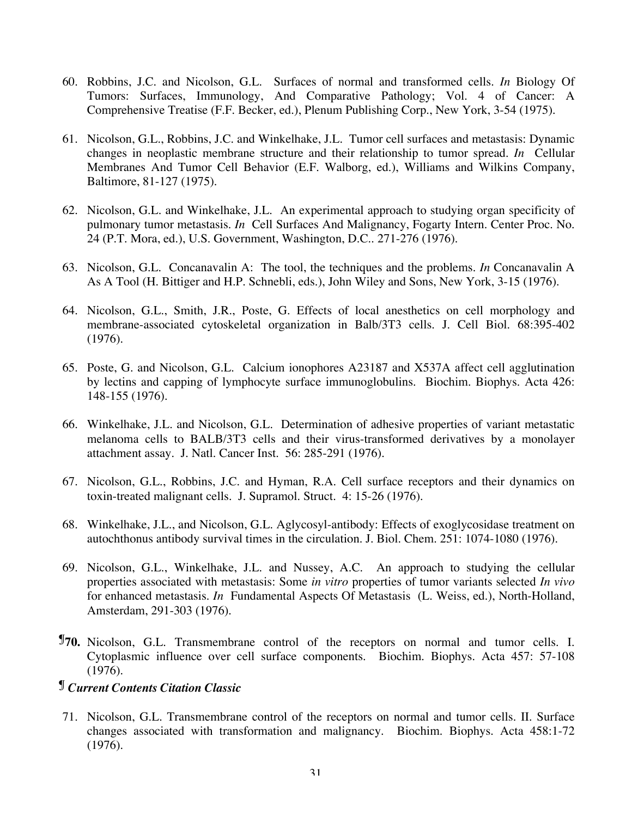- 60. Robbins, J.C. and Nicolson, G.L. Surfaces of normal and transformed cells. *In* Biology Of Tumors: Surfaces, Immunology, And Comparative Pathology; Vol. 4 of Cancer: A Comprehensive Treatise (F.F. Becker, ed.), Plenum Publishing Corp., New York, 3-54 (1975).
- 61. Nicolson, G.L., Robbins, J.C. and Winkelhake, J.L. Tumor cell surfaces and metastasis: Dynamic changes in neoplastic membrane structure and their relationship to tumor spread. *In* Cellular Membranes And Tumor Cell Behavior (E.F. Walborg, ed.), Williams and Wilkins Company, Baltimore, 81-127 (1975).
- 62. Nicolson, G.L. and Winkelhake, J.L. An experimental approach to studying organ specificity of pulmonary tumor metastasis. *In* Cell Surfaces And Malignancy, Fogarty Intern. Center Proc. No. 24 (P.T. Mora, ed.), U.S. Government, Washington, D.C.. 271-276 (1976).
- 63. Nicolson, G.L. Concanavalin A: The tool, the techniques and the problems. *In* Concanavalin A As A Tool (H. Bittiger and H.P. Schnebli, eds.), John Wiley and Sons, New York, 3-15 (1976).
- 64. Nicolson, G.L., Smith, J.R., Poste, G. Effects of local anesthetics on cell morphology and membrane-associated cytoskeletal organization in Balb/3T3 cells. J. Cell Biol. 68:395-402 (1976).
- 65. Poste, G. and Nicolson, G.L. Calcium ionophores A23187 and X537A affect cell agglutination by lectins and capping of lymphocyte surface immunoglobulins. Biochim. Biophys. Acta 426: 148-155 (1976).
- 66. Winkelhake, J.L. and Nicolson, G.L. Determination of adhesive properties of variant metastatic melanoma cells to BALB/3T3 cells and their virus-transformed derivatives by a monolayer attachment assay. J. Natl. Cancer Inst. 56: 285-291 (1976).
- 67. Nicolson, G.L., Robbins, J.C. and Hyman, R.A. Cell surface receptors and their dynamics on toxin-treated malignant cells. J. Supramol. Struct. 4: 15-26 (1976).
- 68. Winkelhake, J.L., and Nicolson, G.L. Aglycosyl-antibody: Effects of exoglycosidase treatment on autochthonus antibody survival times in the circulation. J. Biol. Chem. 251: 1074-1080 (1976).
- 69. Nicolson, G.L., Winkelhake, J.L. and Nussey, A.C. An approach to studying the cellular properties associated with metastasis: Some *in vitro* properties of tumor variants selected *In vivo* for enhanced metastasis. *In* Fundamental Aspects Of Metastasis (L. Weiss, ed.), North-Holland, Amsterdam, 291-303 (1976).
- ¶**70.** Nicolson, G.L. Transmembrane control of the receptors on normal and tumor cells. I. Cytoplasmic influence over cell surface components. Biochim. Biophys. Acta 457: 57-108 (1976).

## ¶ *Current Contents Citation Classic*

71. Nicolson, G.L. Transmembrane control of the receptors on normal and tumor cells. II. Surface changes associated with transformation and malignancy. Biochim. Biophys. Acta 458:1-72 (1976).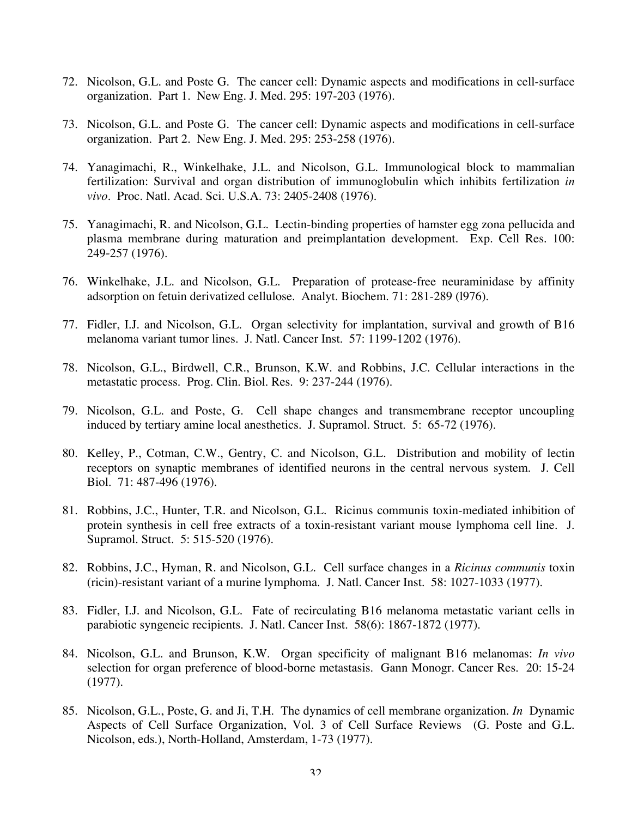- 72. Nicolson, G.L. and Poste G. The cancer cell: Dynamic aspects and modifications in cell-surface organization. Part 1. New Eng. J. Med. 295: 197-203 (1976).
- 73. Nicolson, G.L. and Poste G. The cancer cell: Dynamic aspects and modifications in cell-surface organization. Part 2. New Eng. J. Med. 295: 253-258 (1976).
- 74. Yanagimachi, R., Winkelhake, J.L. and Nicolson, G.L. Immunological block to mammalian fertilization: Survival and organ distribution of immunoglobulin which inhibits fertilization *in vivo*. Proc. Natl. Acad. Sci. U.S.A. 73: 2405-2408 (1976).
- 75. Yanagimachi, R. and Nicolson, G.L. Lectin-binding properties of hamster egg zona pellucida and plasma membrane during maturation and preimplantation development. Exp. Cell Res. 100: 249‑257 (1976).
- 76. Winkelhake, J.L. and Nicolson, G.L. Preparation of protease-free neuraminidase by affinity adsorption on fetuin derivatized cellulose. Analyt. Biochem. 71: 281-289 (l976).
- 77. Fidler, I.J. and Nicolson, G.L. Organ selectivity for implantation, survival and growth of B16 melanoma variant tumor lines. J. Natl. Cancer Inst. 57: 1199-1202 (1976).
- 78. Nicolson, G.L., Birdwell, C.R., Brunson, K.W. and Robbins, J.C. Cellular interactions in the metastatic process. Prog. Clin. Biol. Res. 9: 237-244 (1976).
- 79. Nicolson, G.L. and Poste, G. Cell shape changes and transmembrane receptor uncoupling induced by tertiary amine local anesthetics. J. Supramol. Struct. 5: 65-72 (1976).
- 80. Kelley, P., Cotman, C.W., Gentry, C. and Nicolson, G.L. Distribution and mobility of lectin receptors on synaptic membranes of identified neurons in the central nervous system. J. Cell Biol. 71: 487-496 (1976).
- 81. Robbins, J.C., Hunter, T.R. and Nicolson, G.L. Ricinus communis toxin-mediated inhibition of protein synthesis in cell free extracts of a toxin-resistant variant mouse lymphoma cell line. J. Supramol. Struct. 5: 515-520 (1976).
- 82. Robbins, J.C., Hyman, R. and Nicolson, G.L. Cell surface changes in a *Ricinus communis* toxin (ricin)-resistant variant of a murine lymphoma. J. Natl. Cancer Inst. 58: 1027-1033 (1977).
- 83. Fidler, I.J. and Nicolson, G.L. Fate of recirculating B16 melanoma metastatic variant cells in parabiotic syngeneic recipients. J. Natl. Cancer Inst. 58(6): 1867-1872 (1977).
- 84. Nicolson, G.L. and Brunson, K.W. Organ specificity of malignant B16 melanomas: *In vivo* selection for organ preference of blood-borne metastasis. Gann Monogr. Cancer Res. 20: 15-24 (1977).
- 85. Nicolson, G.L., Poste, G. and Ji, T.H. The dynamics of cell membrane organization. *In* Dynamic Aspects of Cell Surface Organization, Vol. 3 of Cell Surface Reviews (G. Poste and G.L. Nicolson, eds.), North-Holland, Amsterdam, 1-73 (1977).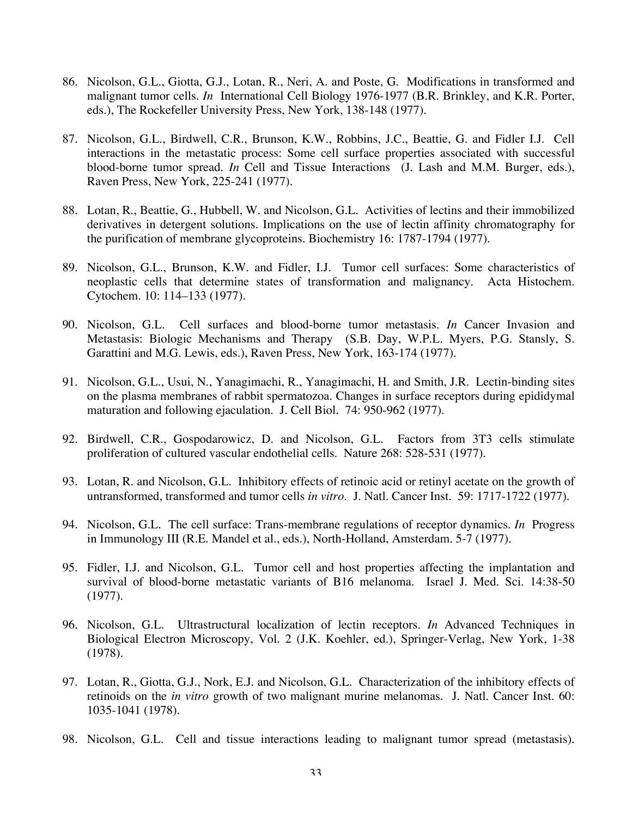- 86. Nicolson, G.L., Giotta, G.J., Lotan, R., Neri, A. and Poste, G. Modifications in transformed and malignant tumor cells. *In* International Cell Biology 1976-1977 (B.R. Brinkley, and K.R. Porter, eds.), The Rockefeller University Press, New York, 138-148 (1977).
- 87. Nicolson, G.L., Birdwell, C.R., Brunson, K.W., Robbins, J.C., Beattie, G. and Fidler I.J. Cell interactions in the metastatic process: Some cell surface properties associated with successful blood-borne tumor spread. *In* Cell and Tissue Interactions (J. Lash and M.M. Burger, eds.), Raven Press, New York, 225-241 (1977).
- 88. Lotan, R., Beattie, G., Hubbell, W. and Nicolson, G.L. Activities of lectins and their immobilized derivatives in detergent solutions. Implications on the use of lectin affinity chromatography for the purification of membrane glycoproteins. Biochemistry 16: 1787-1794 (1977).
- 89. Nicolson, G.L., Brunson, K.W. and Fidler, I.J. Tumor cell surfaces: Some characteristics of neoplastic cells that determine states of transformation and malignancy. Acta Histochem. Cytochem. 10: 114–133 (1977).
- 90. Nicolson, G.L. Cell surfaces and blood-borne tumor metastasis. *In* Cancer Invasion and Metastasis: Biologic Mechanisms and Therapy (S.B. Day, W.P.L. Myers, P.G. Stansly, S. Garattini and M.G. Lewis, eds.), Raven Press, New York, 163-174 (1977).
- 91. Nicolson, G.L., Usui, N., Yanagimachi, R., Yanagimachi, H. and Smith, J.R. Lectin-binding sites on the plasma membranes of rabbit spermatozoa. Changes in surface receptors during epididymal maturation and following ejaculation. J. Cell Biol. 74: 950-962 (1977).
- 92. Birdwell, C.R., Gospodarowicz, D. and Nicolson, G.L. Factors from 3T3 cells stimulate proliferation of cultured vascular endothelial cells. Nature 268: 528-531 (1977).
- 93. Lotan, R. and Nicolson, G.L. Inhibitory effects of retinoic acid or retinyl acetate on the growth of untransformed, transformed and tumor cells *in vitro*. J. Natl. Cancer Inst. 59: 1717-1722 (1977).
- 94. Nicolson, G.L. The cell surface: Trans-membrane regulations of receptor dynamics. *In* Progress in Immunology III (R.E. Mandel et al., eds.), North-Holland, Amsterdam. 5-7 (1977).
- 95. Fidler, I.J. and Nicolson, G.L. Tumor cell and host properties affecting the implantation and survival of blood-borne metastatic variants of B16 melanoma. Israel J. Med. Sci. 14:38-50 (1977).
- 96. Nicolson, G.L. Ultrastructural localization of lectin receptors. *In* Advanced Techniques in Biological Electron Microscopy, Vol. 2 (J.K. Koehler, ed.), Springer-Verlag, New York, 1-38 (1978).
- 97. Lotan, R., Giotta, G.J., Nork, E.J. and Nicolson, G.L. Characterization of the inhibitory effects of retinoids on the *in vitro* growth of two malignant murine melanomas. J. Natl. Cancer Inst. 60: 1035-1041 (1978).
- 98. Nicolson, G.L. Cell and tissue interactions leading to malignant tumor spread (metastasis).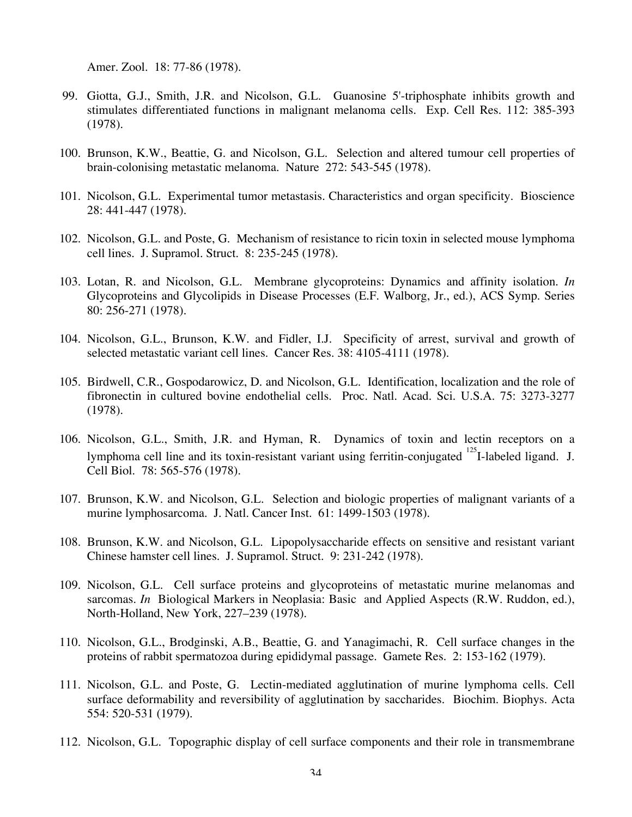Amer. Zool. 18: 77-86 (1978).

- 99. Giotta, G.J., Smith, J.R. and Nicolson, G.L. Guanosine 5'-triphosphate inhibits growth and stimulates differentiated functions in malignant melanoma cells. Exp. Cell Res. 112: 385-393 (1978).
- 100. Brunson, K.W., Beattie, G. and Nicolson, G.L. Selection and altered tumour cell properties of brain-colonising metastatic melanoma. Nature 272: 543-545 (1978).
- 101. Nicolson, G.L. Experimental tumor metastasis. Characteristics and organ specificity. Bioscience 28: 441-447 (1978).
- 102. Nicolson, G.L. and Poste, G. Mechanism of resistance to ricin toxin in selected mouse lymphoma cell lines. J. Supramol. Struct. 8: 235-245 (1978).
- 103. Lotan, R. and Nicolson, G.L. Membrane glycoproteins: Dynamics and affinity isolation. *In* Glycoproteins and Glycolipids in Disease Processes (E.F. Walborg, Jr., ed.), ACS Symp. Series 80: 256-271 (1978).
- 104. Nicolson, G.L., Brunson, K.W. and Fidler, I.J. Specificity of arrest, survival and growth of selected metastatic variant cell lines. Cancer Res. 38: 4105-4111 (1978).
- 105. Birdwell, C.R., Gospodarowicz, D. and Nicolson, G.L. Identification, localization and the role of fibronectin in cultured bovine endothelial cells. Proc. Natl. Acad. Sci. U.S.A. 75: 3273-3277 (1978).
- 106. Nicolson, G.L., Smith, J.R. and Hyman, R. Dynamics of toxin and lectin receptors on a lymphoma cell line and its toxin-resistant variant using ferritin-conjugated <sup>125</sup>I-labeled ligand. J. Cell Biol. 78: 565-576 (1978).
- 107. Brunson, K.W. and Nicolson, G.L. Selection and biologic properties of malignant variants of a murine lymphosarcoma. J. Natl. Cancer Inst. 61: 1499-1503 (1978).
- 108. Brunson, K.W. and Nicolson, G.L. Lipopolysaccharide effects on sensitive and resistant variant Chinese hamster cell lines. J. Supramol. Struct. 9: 231-242 (1978).
- 109. Nicolson, G.L. Cell surface proteins and glycoproteins of metastatic murine melanomas and sarcomas. *In* Biological Markers in Neoplasia: Basic and Applied Aspects (R.W. Ruddon, ed.), North-Holland, New York, 227–239 (1978).
- 110. Nicolson, G.L., Brodginski, A.B., Beattie, G. and Yanagimachi, R. Cell surface changes in the proteins of rabbit spermatozoa during epididymal passage. Gamete Res. 2: 153-162 (1979).
- 111. Nicolson, G.L. and Poste, G. Lectin-mediated agglutination of murine lymphoma cells. Cell surface deformability and reversibility of agglutination by saccharides. Biochim. Biophys. Acta 554: 520-531 (1979).
- 112. Nicolson, G.L. Topographic display of cell surface components and their role in transmembrane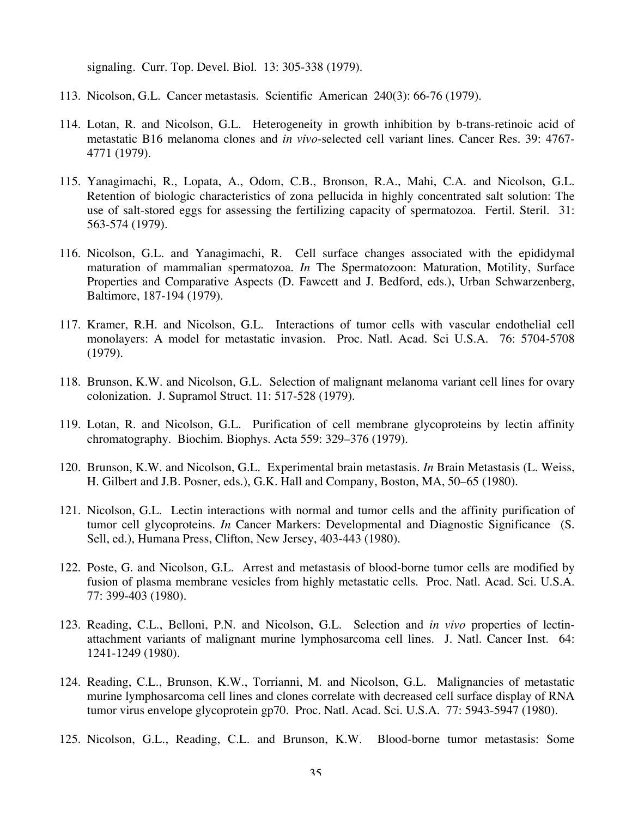signaling. Curr. Top. Devel. Biol. 13: 305-338 (1979).

- 113. Nicolson, G.L. Cancer metastasis. Scientific American 240(3): 66-76 (1979).
- 114. Lotan, R. and Nicolson, G.L. Heterogeneity in growth inhibition by b-trans-retinoic acid of metastatic B16 melanoma clones and *in vivo*-selected cell variant lines. Cancer Res. 39: 4767- 4771 (1979).
- 115. Yanagimachi, R., Lopata, A., Odom, C.B., Bronson, R.A., Mahi, C.A. and Nicolson, G.L. Retention of biologic characteristics of zona pellucida in highly concentrated salt solution: The use of salt-stored eggs for assessing the fertilizing capacity of spermatozoa. Fertil. Steril. 31: 563-574 (1979).
- 116. Nicolson, G.L. and Yanagimachi, R. Cell surface changes associated with the epididymal maturation of mammalian spermatozoa. *In* The Spermatozoon: Maturation, Motility, Surface Properties and Comparative Aspects (D. Fawcett and J. Bedford, eds.), Urban Schwarzenberg, Baltimore, 187-194 (1979).
- 117. Kramer, R.H. and Nicolson, G.L. Interactions of tumor cells with vascular endothelial cell monolayers: A model for metastatic invasion. Proc. Natl. Acad. Sci U.S.A. 76: 5704-5708 (1979).
- 118. Brunson, K.W. and Nicolson, G.L. Selection of malignant melanoma variant cell lines for ovary colonization. J. Supramol Struct. 11: 517-528 (1979).
- 119. Lotan, R. and Nicolson, G.L. Purification of cell membrane glycoproteins by lectin affinity chromatography. Biochim. Biophys. Acta 559: 329–376 (1979).
- 120. Brunson, K.W. and Nicolson, G.L. Experimental brain metastasis. *In* Brain Metastasis (L. Weiss, H. Gilbert and J.B. Posner, eds.), G.K. Hall and Company, Boston, MA, 50–65 (1980).
- 121. Nicolson, G.L. Lectin interactions with normal and tumor cells and the affinity purification of tumor cell glycoproteins. *In* Cancer Markers: Developmental and Diagnostic Significance (S. Sell, ed.), Humana Press, Clifton, New Jersey, 403-443 (1980).
- 122. Poste, G. and Nicolson, G.L. Arrest and metastasis of blood-borne tumor cells are modified by fusion of plasma membrane vesicles from highly metastatic cells. Proc. Natl. Acad. Sci. U.S.A. 77: 399-403 (1980).
- 123. Reading, C.L., Belloni, P.N. and Nicolson, G.L. Selection and *in vivo* properties of lectinattachment variants of malignant murine lymphosarcoma cell lines. J. Natl. Cancer Inst. 64: 1241-1249 (1980).
- 124. Reading, C.L., Brunson, K.W., Torrianni, M. and Nicolson, G.L. Malignancies of metastatic murine lymphosarcoma cell lines and clones correlate with decreased cell surface display of RNA tumor virus envelope glycoprotein gp70. Proc. Natl. Acad. Sci. U.S.A. 77: 5943-5947 (1980).
- 125. Nicolson, G.L., Reading, C.L. and Brunson, K.W. Blood-borne tumor metastasis: Some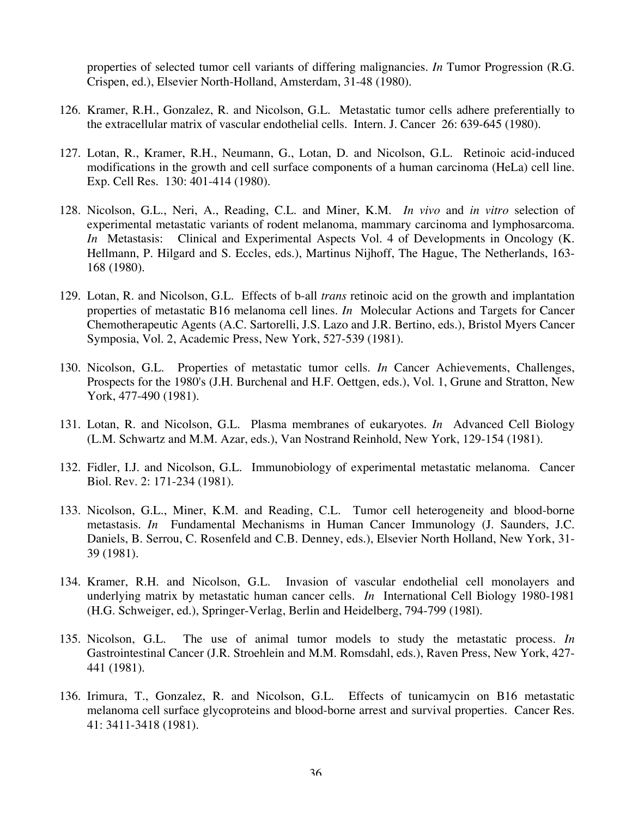properties of selected tumor cell variants of differing malignancies. *In* Tumor Progression (R.G. Crispen, ed.), Elsevier North-Holland, Amsterdam, 31-48 (1980).

- 126. Kramer, R.H., Gonzalez, R. and Nicolson, G.L. Metastatic tumor cells adhere preferentially to the extracellular matrix of vascular endothelial cells. Intern. J. Cancer 26: 639-645 (1980).
- 127. Lotan, R., Kramer, R.H., Neumann, G., Lotan, D. and Nicolson, G.L. Retinoic acid-induced modifications in the growth and cell surface components of a human carcinoma (HeLa) cell line. Exp. Cell Res. 130: 401-414 (1980).
- 128. Nicolson, G.L., Neri, A., Reading, C.L. and Miner, K.M. *In vivo* and *in vitro* selection of experimental metastatic variants of rodent melanoma, mammary carcinoma and lymphosarcoma. *In* Metastasis: Clinical and Experimental Aspects Vol. 4 of Developments in Oncology (K. Hellmann, P. Hilgard and S. Eccles, eds.), Martinus Nijhoff, The Hague, The Netherlands, 163- 168 (1980).
- 129. Lotan, R. and Nicolson, G.L. Effects of b-all *trans* retinoic acid on the growth and implantation properties of metastatic B16 melanoma cell lines. *In* Molecular Actions and Targets for Cancer Chemotherapeutic Agents (A.C. Sartorelli, J.S. Lazo and J.R. Bertino, eds.), Bristol Myers Cancer Symposia, Vol. 2, Academic Press, New York, 527-539 (1981).
- 130. Nicolson, G.L. Properties of metastatic tumor cells. *In* Cancer Achievements, Challenges, Prospects for the 1980's (J.H. Burchenal and H.F. Oettgen, eds.), Vol. 1, Grune and Stratton, New York, 477-490 (1981).
- 131. Lotan, R. and Nicolson, G.L. Plasma membranes of eukaryotes. *In* Advanced Cell Biology (L.M. Schwartz and M.M. Azar, eds.), Van Nostrand Reinhold, New York, 129-154 (1981).
- 132. Fidler, I.J. and Nicolson, G.L. Immunobiology of experimental metastatic melanoma. Cancer Biol. Rev. 2: 171-234 (1981).
- 133. Nicolson, G.L., Miner, K.M. and Reading, C.L. Tumor cell heterogeneity and blood-borne metastasis. *In* Fundamental Mechanisms in Human Cancer Immunology (J. Saunders, J.C. Daniels, B. Serrou, C. Rosenfeld and C.B. Denney, eds.), Elsevier North Holland, New York, 31- 39 (1981).
- 134. Kramer, R.H. and Nicolson, G.L. Invasion of vascular endothelial cell monolayers and underlying matrix by metastatic human cancer cells. *In* International Cell Biology 1980-1981 (H.G. Schweiger, ed.), Springer-Verlag, Berlin and Heidelberg, 794-799 (198l).
- 135. Nicolson, G.L. The use of animal tumor models to study the metastatic process. *In* Gastrointestinal Cancer (J.R. Stroehlein and M.M. Romsdahl, eds.), Raven Press, New York, 427- 441 (1981).
- 136. Irimura, T., Gonzalez, R. and Nicolson, G.L. Effects of tunicamycin on B16 metastatic melanoma cell surface glycoproteins and blood-borne arrest and survival properties. Cancer Res. 41: 3411-3418 (1981).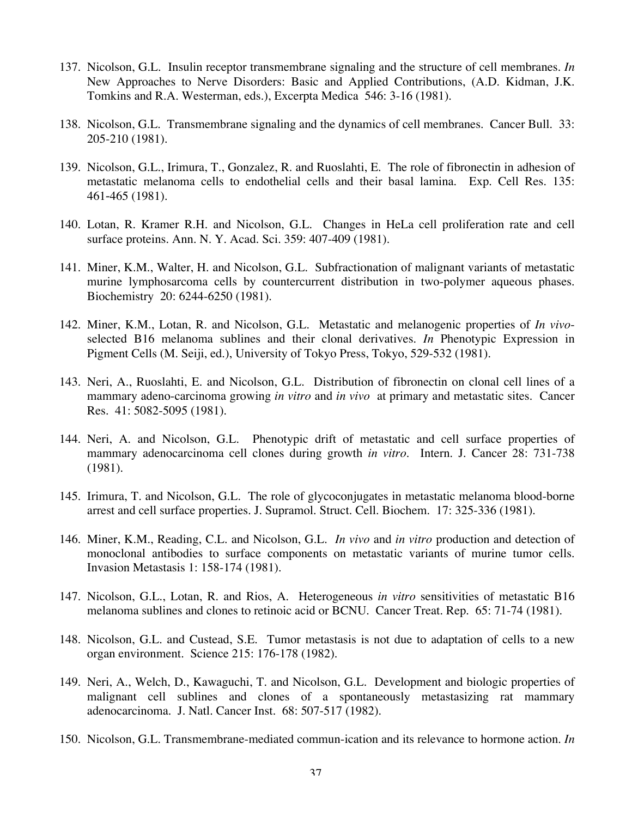- 137. Nicolson, G.L. Insulin receptor transmembrane signaling and the structure of cell membranes. *In* New Approaches to Nerve Disorders: Basic and Applied Contributions, (A.D. Kidman, J.K. Tomkins and R.A. Westerman, eds.), Excerpta Medica 546: 3-16 (1981).
- 138. Nicolson, G.L. Transmembrane signaling and the dynamics of cell membranes. Cancer Bull. 33: 205-210 (1981).
- 139. Nicolson, G.L., Irimura, T., Gonzalez, R. and Ruoslahti, E. The role of fibronectin in adhesion of metastatic melanoma cells to endothelial cells and their basal lamina. Exp. Cell Res. 135: 461‑465 (1981).
- 140. Lotan, R. Kramer R.H. and Nicolson, G.L. Changes in HeLa cell proliferation rate and cell surface proteins. Ann. N. Y. Acad. Sci. 359: 407-409 (1981).
- 141. Miner, K.M., Walter, H. and Nicolson, G.L. Subfractionation of malignant variants of metastatic murine lymphosarcoma cells by countercurrent distribution in two-polymer aqueous phases. Biochemistry 20: 6244-6250 (1981).
- 142. Miner, K.M., Lotan, R. and Nicolson, G.L. Metastatic and melanogenic properties of *In vivo*selected B16 melanoma sublines and their clonal derivatives. *In* Phenotypic Expression in Pigment Cells (M. Seiji, ed.), University of Tokyo Press, Tokyo, 529-532 (1981).
- 143. Neri, A., Ruoslahti, E. and Nicolson, G.L. Distribution of fibronectin on clonal cell lines of a mammary adeno-carcinoma growing *in vitro* and *in vivo* at primary and metastatic sites. Cancer Res. 41: 5082-5095 (1981).
- 144. Neri, A. and Nicolson, G.L. Phenotypic drift of metastatic and cell surface properties of mammary adenocarcinoma cell clones during growth *in vitro*. Intern. J. Cancer 28: 731-738 (1981).
- 145. Irimura, T. and Nicolson, G.L. The role of glycoconjugates in metastatic melanoma blood-borne arrest and cell surface properties. J. Supramol. Struct. Cell. Biochem. 17: 325-336 (1981).
- 146. Miner, K.M., Reading, C.L. and Nicolson, G.L. *In vivo* and *in vitro* production and detection of monoclonal antibodies to surface components on metastatic variants of murine tumor cells. Invasion Metastasis 1: 158-174 (1981).
- 147. Nicolson, G.L., Lotan, R. and Rios, A. Heterogeneous *in vitro* sensitivities of metastatic B16 melanoma sublines and clones to retinoic acid or BCNU. Cancer Treat. Rep. 65: 71-74 (1981).
- 148. Nicolson, G.L. and Custead, S.E. Tumor metastasis is not due to adaptation of cells to a new organ environment. Science 215: 176-178 (1982).
- 149. Neri, A., Welch, D., Kawaguchi, T. and Nicolson, G.L. Development and biologic properties of malignant cell sublines and clones of a spontaneously metastasizing rat mammary adenocarcinoma. J. Natl. Cancer Inst. 68: 507-517 (1982).
- 150. Nicolson, G.L. Transmembrane-mediated commun-ication and its relevance to hormone action. *In*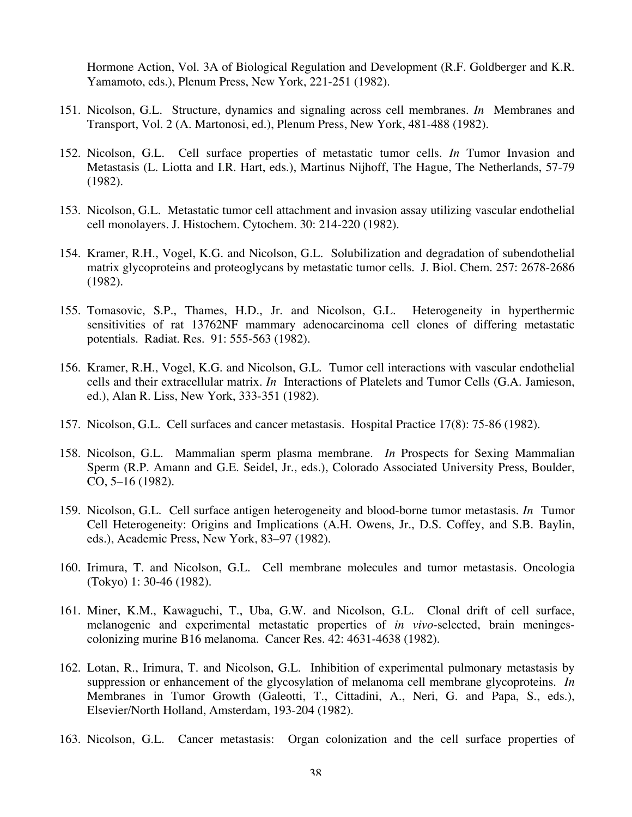Hormone Action, Vol. 3A of Biological Regulation and Development (R.F. Goldberger and K.R. Yamamoto, eds.), Plenum Press, New York, 221-251 (1982).

- 151. Nicolson, G.L. Structure, dynamics and signaling across cell membranes. *In* Membranes and Transport, Vol. 2 (A. Martonosi, ed.), Plenum Press, New York, 481-488 (1982).
- 152. Nicolson, G.L. Cell surface properties of metastatic tumor cells. *In* Tumor Invasion and Metastasis (L. Liotta and I.R. Hart, eds.), Martinus Nijhoff, The Hague, The Netherlands, 57-79 (1982).
- 153. Nicolson, G.L. Metastatic tumor cell attachment and invasion assay utilizing vascular endothelial cell monolayers. J. Histochem. Cytochem. 30: 214-220 (1982).
- 154. Kramer, R.H., Vogel, K.G. and Nicolson, G.L. Solubilization and degradation of subendothelial matrix glycoproteins and proteoglycans by metastatic tumor cells. J. Biol. Chem. 257: 2678-2686 (1982).
- 155. Tomasovic, S.P., Thames, H.D., Jr. and Nicolson, G.L. Heterogeneity in hyperthermic sensitivities of rat 13762NF mammary adenocarcinoma cell clones of differing metastatic potentials. Radiat. Res. 91: 555-563 (1982).
- 156. Kramer, R.H., Vogel, K.G. and Nicolson, G.L. Tumor cell interactions with vascular endothelial cells and their extracellular matrix. *In* Interactions of Platelets and Tumor Cells (G.A. Jamieson, ed.), Alan R. Liss, New York, 333-351 (1982).
- 157. Nicolson, G.L. Cell surfaces and cancer metastasis. Hospital Practice 17(8): 75-86 (1982).
- 158. Nicolson, G.L. Mammalian sperm plasma membrane. *In* Prospects for Sexing Mammalian Sperm (R.P. Amann and G.E. Seidel, Jr., eds.), Colorado Associated University Press, Boulder, CO, 5–16 (1982).
- 159. Nicolson, G.L. Cell surface antigen heterogeneity and blood-borne tumor metastasis. *In* Tumor Cell Heterogeneity: Origins and Implications (A.H. Owens, Jr., D.S. Coffey, and S.B. Baylin, eds.), Academic Press, New York, 83–97 (1982).
- 160. Irimura, T. and Nicolson, G.L. Cell membrane molecules and tumor metastasis. Oncologia (Tokyo) 1: 30-46 (1982).
- 161. Miner, K.M., Kawaguchi, T., Uba, G.W. and Nicolson, G.L. Clonal drift of cell surface, melanogenic and experimental metastatic properties of *in vivo*-selected, brain meningescolonizing murine B16 melanoma. Cancer Res. 42: 4631-4638 (1982).
- 162. Lotan, R., Irimura, T. and Nicolson, G.L. Inhibition of experimental pulmonary metastasis by suppression or enhancement of the glycosylation of melanoma cell membrane glycoproteins. *In* Membranes in Tumor Growth (Galeotti, T., Cittadini, A., Neri, G. and Papa, S., eds.), Elsevier/North Holland, Amsterdam, 193-204 (1982).
- 163. Nicolson, G.L. Cancer metastasis: Organ colonization and the cell surface properties of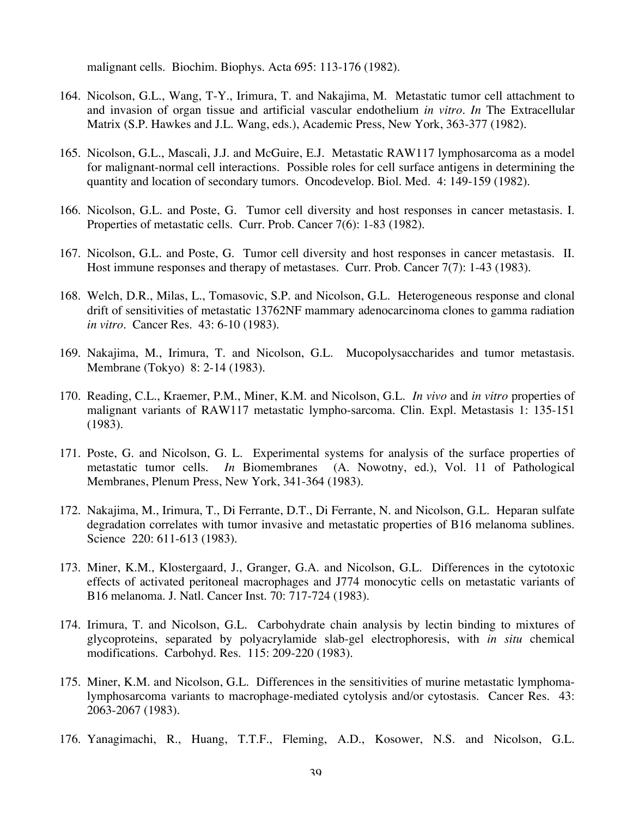malignant cells. Biochim. Biophys. Acta 695: 113-176 (1982).

- 164. Nicolson, G.L., Wang, T-Y., Irimura, T. and Nakajima, M. Metastatic tumor cell attachment to and invasion of organ tissue and artificial vascular endothelium *in vitro*. *In* The Extracellular Matrix (S.P. Hawkes and J.L. Wang, eds.), Academic Press, New York, 363-377 (1982).
- 165. Nicolson, G.L., Mascali, J.J. and McGuire, E.J. Metastatic RAW117 lymphosarcoma as a model for malignant-normal cell interactions. Possible roles for cell surface antigens in determining the quantity and location of secondary tumors. Oncodevelop. Biol. Med. 4: 149-159 (1982).
- 166. Nicolson, G.L. and Poste, G. Tumor cell diversity and host responses in cancer metastasis. I. Properties of metastatic cells. Curr. Prob. Cancer 7(6): 1-83 (1982).
- 167. Nicolson, G.L. and Poste, G. Tumor cell diversity and host responses in cancer metastasis. II. Host immune responses and therapy of metastases. Curr. Prob. Cancer 7(7): 1-43 (1983).
- 168. Welch, D.R., Milas, L., Tomasovic, S.P. and Nicolson, G.L. Heterogeneous response and clonal drift of sensitivities of metastatic 13762NF mammary adenocarcinoma clones to gamma radiation *in vitro*. Cancer Res. 43: 6-10 (1983).
- 169. Nakajima, M., Irimura, T. and Nicolson, G.L. Mucopolysaccharides and tumor metastasis. Membrane (Tokyo) 8: 2-14 (1983).
- 170. Reading, C.L., Kraemer, P.M., Miner, K.M. and Nicolson, G.L. *In vivo* and *in vitro* properties of malignant variants of RAW117 metastatic lympho-sarcoma. Clin. Expl. Metastasis 1: 135-151 (1983).
- 171. Poste, G. and Nicolson, G. L. Experimental systems for analysis of the surface properties of metastatic tumor cells. *In* Biomembranes (A. Nowotny, ed.), Vol. 11 of Pathological Membranes, Plenum Press, New York, 341-364 (1983).
- 172. Nakajima, M., Irimura, T., Di Ferrante, D.T., Di Ferrante, N. and Nicolson, G.L. Heparan sulfate degradation correlates with tumor invasive and metastatic properties of B16 melanoma sublines. Science 220: 611-613 (1983).
- 173. Miner, K.M., Klostergaard, J., Granger, G.A. and Nicolson, G.L. Differences in the cytotoxic effects of activated peritoneal macrophages and J774 monocytic cells on metastatic variants of B16 melanoma. J. Natl. Cancer Inst. 70: 717-724 (1983).
- 174. Irimura, T. and Nicolson, G.L. Carbohydrate chain analysis by lectin binding to mixtures of glycoproteins, separated by polyacrylamide slab-gel electrophoresis, with *in situ* chemical modifications. Carbohyd. Res. 115: 209-220 (1983).
- 175. Miner, K.M. and Nicolson, G.L. Differences in the sensitivities of murine metastatic lymphomalymphosarcoma variants to macrophage-mediated cytolysis and/or cytostasis. Cancer Res. 43: 2063-2067 (1983).
- 176. Yanagimachi, R., Huang, T.T.F., Fleming, A.D., Kosower, N.S. and Nicolson, G.L.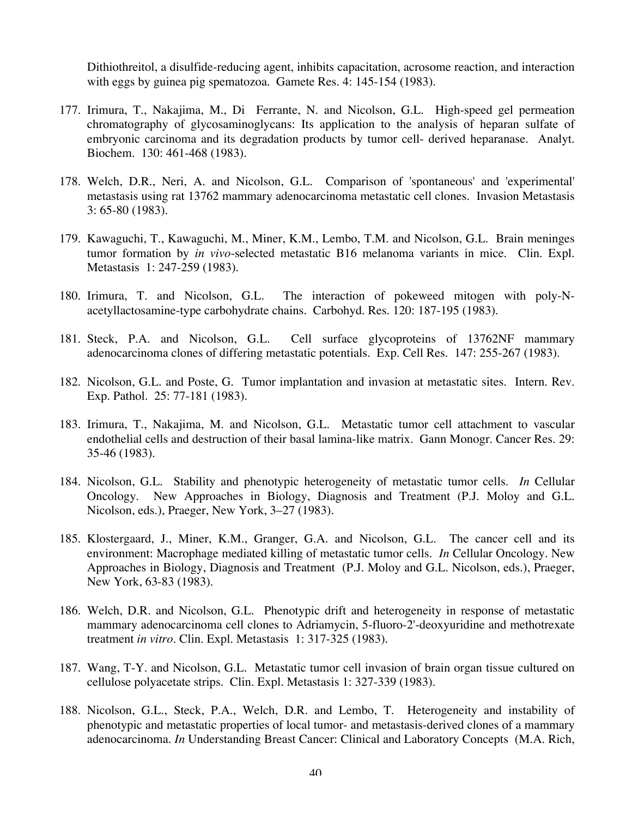Dithiothreitol, a disulfide-reducing agent, inhibits capacitation, acrosome reaction, and interaction with eggs by guinea pig spematozoa. Gamete Res. 4: 145-154 (1983).

- 177. Irimura, T., Nakajima, M., Di Ferrante, N. and Nicolson, G.L. High-speed gel permeation chromatography of glycosaminoglycans: Its application to the analysis of heparan sulfate of embryonic carcinoma and its degradation products by tumor cell- derived heparanase. Analyt. Biochem. 130: 461-468 (1983).
- 178. Welch, D.R., Neri, A. and Nicolson, G.L. Comparison of 'spontaneous' and 'experimental' metastasis using rat 13762 mammary adenocarcinoma metastatic cell clones. Invasion Metastasis 3: 65-80 (1983).
- 179. Kawaguchi, T., Kawaguchi, M., Miner, K.M., Lembo, T.M. and Nicolson, G.L. Brain meninges tumor formation by *in vivo*-selected metastatic B16 melanoma variants in mice. Clin. Expl. Metastasis 1: 247-259 (1983).
- 180. Irimura, T. and Nicolson, G.L. The interaction of pokeweed mitogen with poly-Nacetyllactosamine-type carbohydrate chains. Carbohyd. Res. 120: 187-195 (1983).
- 181. Steck, P.A. and Nicolson, G.L. Cell surface glycoproteins of 13762NF mammary adenocarcinoma clones of differing metastatic potentials. Exp. Cell Res. 147: 255-267 (1983).
- 182. Nicolson, G.L. and Poste, G. Tumor implantation and invasion at metastatic sites. Intern. Rev. Exp. Pathol. 25: 77-181 (1983).
- 183. Irimura, T., Nakajima, M. and Nicolson, G.L. Metastatic tumor cell attachment to vascular endothelial cells and destruction of their basal lamina-like matrix. Gann Monogr. Cancer Res. 29: 35-46 (1983).
- 184. Nicolson, G.L. Stability and phenotypic heterogeneity of metastatic tumor cells. *In* Cellular Oncology. New Approaches in Biology, Diagnosis and Treatment (P.J. Moloy and G.L. Nicolson, eds.), Praeger, New York, 3–27 (1983).
- 185. Klostergaard, J., Miner, K.M., Granger, G.A. and Nicolson, G.L. The cancer cell and its environment: Macrophage mediated killing of metastatic tumor cells. *In* Cellular Oncology. New Approaches in Biology, Diagnosis and Treatment (P.J. Moloy and G.L. Nicolson, eds.), Praeger, New York, 63-83 (1983).
- 186. Welch, D.R. and Nicolson, G.L. Phenotypic drift and heterogeneity in response of metastatic mammary adenocarcinoma cell clones to Adriamycin, 5-fluoro-2'-deoxyuridine and methotrexate treatment *in vitro*. Clin. Expl. Metastasis 1: 317-325 (1983).
- 187. Wang, T-Y. and Nicolson, G.L. Metastatic tumor cell invasion of brain organ tissue cultured on cellulose polyacetate strips. Clin. Expl. Metastasis 1: 327-339 (1983).
- 188. Nicolson, G.L., Steck, P.A., Welch, D.R. and Lembo, T. Heterogeneity and instability of phenotypic and metastatic properties of local tumor- and metastasis-derived clones of a mammary adenocarcinoma. *In* Understanding Breast Cancer: Clinical and Laboratory Concepts (M.A. Rich,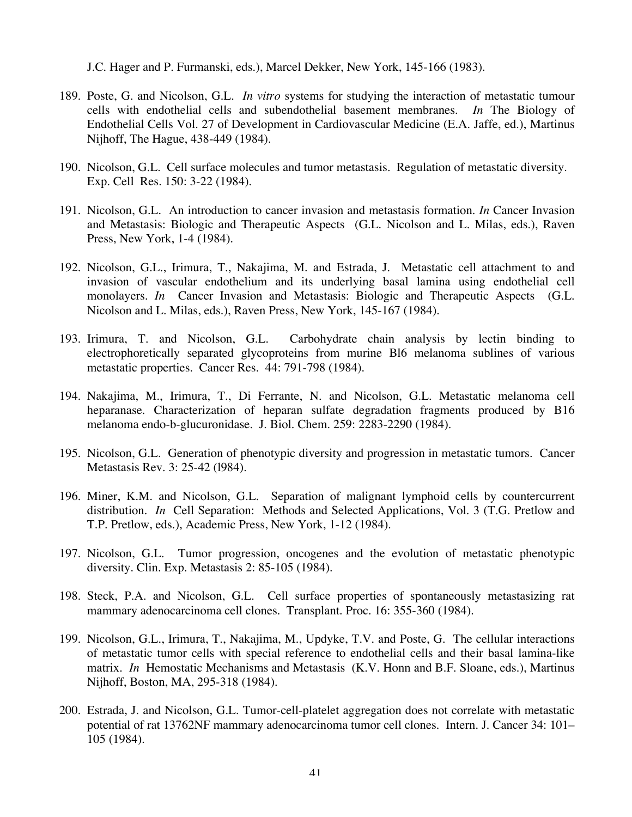J.C. Hager and P. Furmanski, eds.), Marcel Dekker, New York, 145-166 (1983).

- 189. Poste, G. and Nicolson, G.L. *In vitro* systems for studying the interaction of metastatic tumour cells with endothelial cells and subendothelial basement membranes. *In* The Biology of Endothelial Cells Vol. 27 of Development in Cardiovascular Medicine (E.A. Jaffe, ed.), Martinus Nijhoff, The Hague, 438-449 (1984).
- 190. Nicolson, G.L. Cell surface molecules and tumor metastasis. Regulation of metastatic diversity. Exp. Cell Res. 150: 3-22 (1984).
- 191. Nicolson, G.L. An introduction to cancer invasion and metastasis formation. *In* Cancer Invasion and Metastasis: Biologic and Therapeutic Aspects (G.L. Nicolson and L. Milas, eds.), Raven Press, New York, 1-4 (1984).
- 192. Nicolson, G.L., Irimura, T., Nakajima, M. and Estrada, J. Metastatic cell attachment to and invasion of vascular endothelium and its underlying basal lamina using endothelial cell monolayers. *In* Cancer Invasion and Metastasis: Biologic and Therapeutic Aspects (G.L. Nicolson and L. Milas, eds.), Raven Press, New York, 145-167 (1984).
- 193. Irimura, T. and Nicolson, G.L. Carbohydrate chain analysis by lectin binding to electrophoretically separated glycoproteins from murine Bl6 melanoma sublines of various metastatic properties. Cancer Res. 44: 791-798 (1984).
- 194. Nakajima, M., Irimura, T., Di Ferrante, N. and Nicolson, G.L. Metastatic melanoma cell heparanase. Characterization of heparan sulfate degradation fragments produced by B16 melanoma endo-b-glucuronidase. J. Biol. Chem. 259: 2283-2290 (1984).
- 195. Nicolson, G.L. Generation of phenotypic diversity and progression in metastatic tumors. Cancer Metastasis Rev. 3: 25-42 (l984).
- 196. Miner, K.M. and Nicolson, G.L. Separation of malignant lymphoid cells by countercurrent distribution. *In* Cell Separation: Methods and Selected Applications, Vol. 3 (T.G. Pretlow and T.P. Pretlow, eds.), Academic Press, New York, 1-12 (1984).
- 197. Nicolson, G.L. Tumor progression, oncogenes and the evolution of metastatic phenotypic diversity. Clin. Exp. Metastasis 2: 85-105 (1984).
- 198. Steck, P.A. and Nicolson, G.L. Cell surface properties of spontaneously metastasizing rat mammary adenocarcinoma cell clones. Transplant. Proc. 16: 355-360 (1984).
- 199. Nicolson, G.L., Irimura, T., Nakajima, M., Updyke, T.V. and Poste, G. The cellular interactions of metastatic tumor cells with special reference to endothelial cells and their basal lamina-like matrix. *In* Hemostatic Mechanisms and Metastasis (K.V. Honn and B.F. Sloane, eds.), Martinus Nijhoff, Boston, MA, 295-318 (1984).
- 200. Estrada, J. and Nicolson, G.L. Tumor-cell-platelet aggregation does not correlate with metastatic potential of rat 13762NF mammary adenocarcinoma tumor cell clones. Intern. J. Cancer 34: 101– 105 (1984).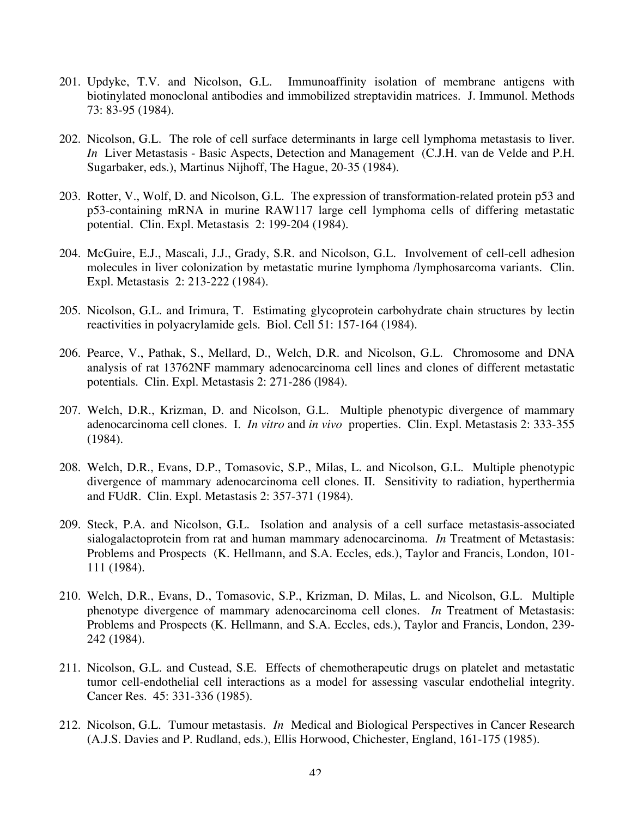- 201. Updyke, T.V. and Nicolson, G.L. Immunoaffinity isolation of membrane antigens with biotinylated monoclonal antibodies and immobilized streptavidin matrices. J. Immunol. Methods 73: 83-95 (1984).
- 202. Nicolson, G.L. The role of cell surface determinants in large cell lymphoma metastasis to liver. *In* Liver Metastasis - Basic Aspects, Detection and Management (C.J.H. van de Velde and P.H. Sugarbaker, eds.), Martinus Nijhoff, The Hague, 20-35 (1984).
- 203. Rotter, V., Wolf, D. and Nicolson, G.L. The expression of transformation-related protein p53 and p53-containing mRNA in murine RAW117 large cell lymphoma cells of differing metastatic potential. Clin. Expl. Metastasis 2: 199-204 (1984).
- 204. McGuire, E.J., Mascali, J.J., Grady, S.R. and Nicolson, G.L. Involvement of cell-cell adhesion molecules in liver colonization by metastatic murine lymphoma /lymphosarcoma variants. Clin. Expl. Metastasis 2: 213-222 (1984).
- 205. Nicolson, G.L. and Irimura, T. Estimating glycoprotein carbohydrate chain structures by lectin reactivities in polyacrylamide gels. Biol. Cell 51: 157-164 (1984).
- 206. Pearce, V., Pathak, S., Mellard, D., Welch, D.R. and Nicolson, G.L. Chromosome and DNA analysis of rat 13762NF mammary adenocarcinoma cell lines and clones of different metastatic potentials. Clin. Expl. Metastasis 2: 271-286 (l984).
- 207. Welch, D.R., Krizman, D. and Nicolson, G.L. Multiple phenotypic divergence of mammary adenocarcinoma cell clones. I. *In vitro* and *in vivo* properties. Clin. Expl. Metastasis 2: 333-355 (1984).
- 208. Welch, D.R., Evans, D.P., Tomasovic, S.P., Milas, L. and Nicolson, G.L. Multiple phenotypic divergence of mammary adenocarcinoma cell clones. II. Sensitivity to radiation, hyperthermia and FUdR. Clin. Expl. Metastasis 2: 357-371 (1984).
- 209. Steck, P.A. and Nicolson, G.L. Isolation and analysis of a cell surface metastasis-associated sialogalactoprotein from rat and human mammary adenocarcinoma. *In* Treatment of Metastasis: Problems and Prospects (K. Hellmann, and S.A. Eccles, eds.), Taylor and Francis, London, 101- 111 (1984).
- 210. Welch, D.R., Evans, D., Tomasovic, S.P., Krizman, D. Milas, L. and Nicolson, G.L. Multiple phenotype divergence of mammary adenocarcinoma cell clones. *In* Treatment of Metastasis: Problems and Prospects (K. Hellmann, and S.A. Eccles, eds.), Taylor and Francis, London, 239- 242 (1984).
- 211. Nicolson, G.L. and Custead, S.E. Effects of chemotherapeutic drugs on platelet and metastatic tumor cell-endothelial cell interactions as a model for assessing vascular endothelial integrity. Cancer Res. 45: 331-336 (1985).
- 212. Nicolson, G.L. Tumour metastasis. *In* Medical and Biological Perspectives in Cancer Research (A.J.S. Davies and P. Rudland, eds.), Ellis Horwood, Chichester, England, 161-175 (1985).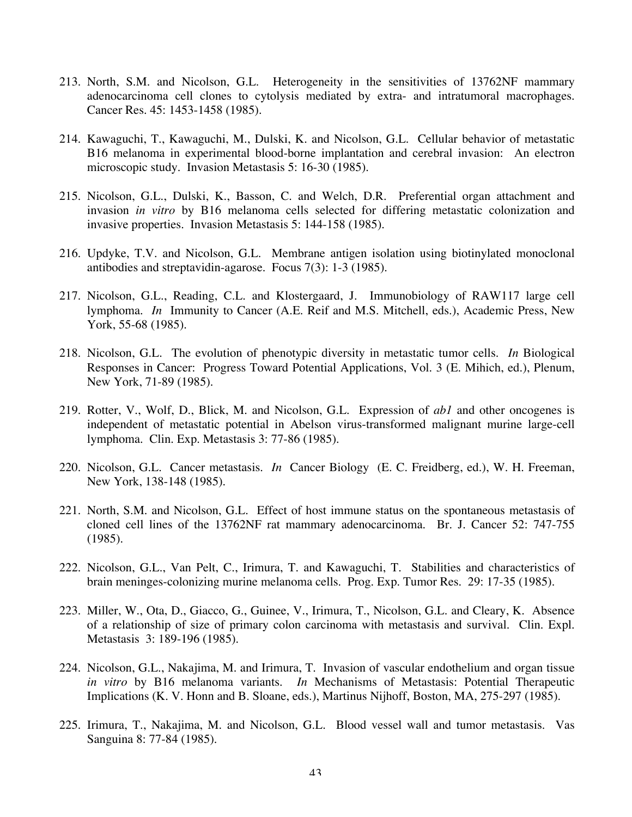- 213. North, S.M. and Nicolson, G.L. Heterogeneity in the sensitivities of 13762NF mammary adenocarcinoma cell clones to cytolysis mediated by extra- and intratumoral macrophages. Cancer Res. 45: 1453-1458 (1985).
- 214. Kawaguchi, T., Kawaguchi, M., Dulski, K. and Nicolson, G.L. Cellular behavior of metastatic B16 melanoma in experimental blood-borne implantation and cerebral invasion: An electron microscopic study. Invasion Metastasis 5: 16-30 (1985).
- 215. Nicolson, G.L., Dulski, K., Basson, C. and Welch, D.R. Preferential organ attachment and invasion *in vitro* by B16 melanoma cells selected for differing metastatic colonization and invasive properties. Invasion Metastasis 5: 144-158 (1985).
- 216. Updyke, T.V. and Nicolson, G.L. Membrane antigen isolation using biotinylated monoclonal antibodies and streptavidin-agarose. Focus 7(3): 1-3 (1985).
- 217. Nicolson, G.L., Reading, C.L. and Klostergaard, J. Immunobiology of RAW117 large cell lymphoma. *In* Immunity to Cancer (A.E. Reif and M.S. Mitchell, eds.), Academic Press, New York, 55-68 (1985).
- 218. Nicolson, G.L. The evolution of phenotypic diversity in metastatic tumor cells. *In* Biological Responses in Cancer: Progress Toward Potential Applications, Vol. 3 (E. Mihich, ed.), Plenum, New York, 71-89 (1985).
- 219. Rotter, V., Wolf, D., Blick, M. and Nicolson, G.L. Expression of *ab1* and other oncogenes is independent of metastatic potential in Abelson virus-transformed malignant murine large-cell lymphoma. Clin. Exp. Metastasis 3: 77-86 (1985).
- 220. Nicolson, G.L. Cancer metastasis. *In* Cancer Biology (E. C. Freidberg, ed.), W. H. Freeman, New York, 138-148 (1985).
- 221. North, S.M. and Nicolson, G.L. Effect of host immune status on the spontaneous metastasis of cloned cell lines of the 13762NF rat mammary adenocarcinoma. Br. J. Cancer 52: 747-755 (1985).
- 222. Nicolson, G.L., Van Pelt, C., Irimura, T. and Kawaguchi, T. Stabilities and characteristics of brain meninges-colonizing murine melanoma cells. Prog. Exp. Tumor Res. 29: 17-35 (1985).
- 223. Miller, W., Ota, D., Giacco, G., Guinee, V., Irimura, T., Nicolson, G.L. and Cleary, K. Absence of a relationship of size of primary colon carcinoma with metastasis and survival. Clin. Expl. Metastasis 3: 189-196 (1985).
- 224. Nicolson, G.L., Nakajima, M. and Irimura, T. Invasion of vascular endothelium and organ tissue *in vitro* by B16 melanoma variants. *In* Mechanisms of Metastasis: Potential Therapeutic Implications (K. V. Honn and B. Sloane, eds.), Martinus Nijhoff, Boston, MA, 275-297 (1985).
- 225. Irimura, T., Nakajima, M. and Nicolson, G.L. Blood vessel wall and tumor metastasis. Vas Sanguina 8: 77-84 (1985).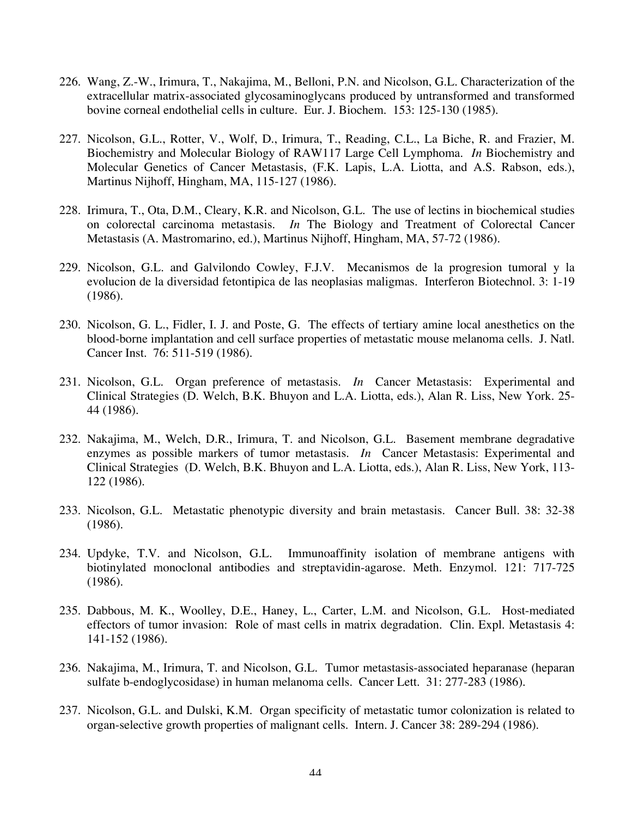- 226. Wang, Z.-W., Irimura, T., Nakajima, M., Belloni, P.N. and Nicolson, G.L. Characterization of the extracellular matrix-associated glycosaminoglycans produced by untransformed and transformed bovine corneal endothelial cells in culture. Eur. J. Biochem. 153: 125-130 (1985).
- 227. Nicolson, G.L., Rotter, V., Wolf, D., Irimura, T., Reading, C.L., La Biche, R. and Frazier, M. Biochemistry and Molecular Biology of RAW117 Large Cell Lymphoma. *In* Biochemistry and Molecular Genetics of Cancer Metastasis, (F.K. Lapis, L.A. Liotta, and A.S. Rabson, eds.), Martinus Nijhoff, Hingham, MA, 115-127 (1986).
- 228. Irimura, T., Ota, D.M., Cleary, K.R. and Nicolson, G.L. The use of lectins in biochemical studies on colorectal carcinoma metastasis. *In* The Biology and Treatment of Colorectal Cancer Metastasis (A. Mastromarino, ed.), Martinus Nijhoff, Hingham, MA, 57-72 (1986).
- 229. Nicolson, G.L. and Galvilondo Cowley, F.J.V. Mecanismos de la progresion tumoral y la evolucion de la diversidad fetontipica de las neoplasias maligmas. Interferon Biotechnol. 3: 1-19 (1986).
- 230. Nicolson, G. L., Fidler, I. J. and Poste, G. The effects of tertiary amine local anesthetics on the blood-borne implantation and cell surface properties of metastatic mouse melanoma cells. J. Natl. Cancer Inst. 76: 511-519 (1986).
- 231. Nicolson, G.L. Organ preference of metastasis. *In* Cancer Metastasis: Experimental and Clinical Strategies (D. Welch, B.K. Bhuyon and L.A. Liotta, eds.), Alan R. Liss, New York. 25- 44 (1986).
- 232. Nakajima, M., Welch, D.R., Irimura, T. and Nicolson, G.L. Basement membrane degradative enzymes as possible markers of tumor metastasis. *In* Cancer Metastasis: Experimental and Clinical Strategies (D. Welch, B.K. Bhuyon and L.A. Liotta, eds.), Alan R. Liss, New York, 113- 122 (1986).
- 233. Nicolson, G.L. Metastatic phenotypic diversity and brain metastasis. Cancer Bull. 38: 32-38 (1986).
- 234. Updyke, T.V. and Nicolson, G.L. Immunoaffinity isolation of membrane antigens with biotinylated monoclonal antibodies and streptavidin-agarose. Meth. Enzymol. 121: 717-725 (1986).
- 235. Dabbous, M. K., Woolley, D.E., Haney, L., Carter, L.M. and Nicolson, G.L. Host-mediated effectors of tumor invasion: Role of mast cells in matrix degradation. Clin. Expl. Metastasis 4: 141-152 (1986).
- 236. Nakajima, M., Irimura, T. and Nicolson, G.L. Tumor metastasis-associated heparanase (heparan sulfate b-endoglycosidase) in human melanoma cells. Cancer Lett. 31: 277-283 (1986).
- 237. Nicolson, G.L. and Dulski, K.M. Organ specificity of metastatic tumor colonization is related to organ-selective growth properties of malignant cells. Intern. J. Cancer 38: 289-294 (1986).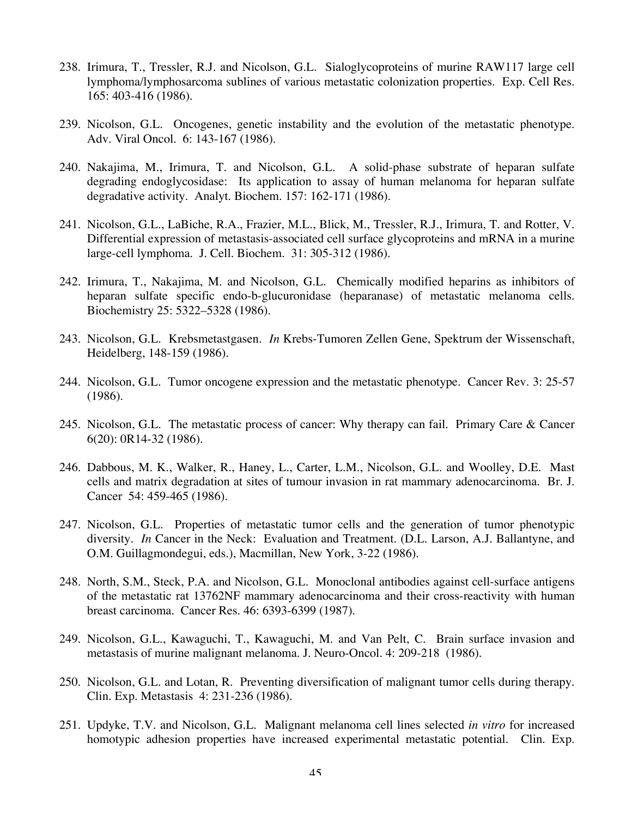- 238. Irimura, T., Tressler, R.J. and Nicolson, G.L. Sialoglycoproteins of murine RAW117 large cell lymphoma/lymphosarcoma sublines of various metastatic colonization properties. Exp. Cell Res. 165: 403-416 (1986).
- 239. Nicolson, G.L. Oncogenes, genetic instability and the evolution of the metastatic phenotype. Adv. Viral Oncol. 6: 143-167 (1986).
- 240. Nakajima, M., Irimura, T. and Nicolson, G.L. A solid-phase substrate of heparan sulfate degrading endoglycosidase: Its application to assay of human melanoma for heparan sulfate degradative activity. Analyt. Biochem. 157: 162-171 (1986).
- 241. Nicolson, G.L., LaBiche, R.A., Frazier, M.L., Blick, M., Tressler, R.J., Irimura, T. and Rotter, V. Differential expression of metastasis-associated cell surface glycoproteins and mRNA in a murine large-cell lymphoma. J. Cell. Biochem. 31: 305-312 (1986).
- 242. Irimura, T., Nakajima, M. and Nicolson, G.L. Chemically modified heparins as inhibitors of heparan sulfate specific endo-b-glucuronidase (heparanase) of metastatic melanoma cells. Biochemistry 25: 5322–5328 (1986).
- 243. Nicolson, G.L. Krebsmetastgasen. *In* Krebs-Tumoren Zellen Gene, Spektrum der Wissenschaft, Heidelberg, 148-159 (1986).
- 244. Nicolson, G.L. Tumor oncogene expression and the metastatic phenotype. Cancer Rev. 3: 25-57 (1986).
- 245. Nicolson, G.L. The metastatic process of cancer: Why therapy can fail. Primary Care & Cancer 6(20): 0R14-32 (1986).
- 246. Dabbous, M. K., Walker, R., Haney, L., Carter, L.M., Nicolson, G.L. and Woolley, D.E. Mast cells and matrix degradation at sites of tumour invasion in rat mammary adenocarcinoma. Br. J. Cancer 54: 459-465 (1986).
- 247. Nicolson, G.L. Properties of metastatic tumor cells and the generation of tumor phenotypic diversity. *In* Cancer in the Neck: Evaluation and Treatment. (D.L. Larson, A.J. Ballantyne, and O.M. Guillagmondegui, eds.), Macmillan, New York, 3-22 (1986).
- 248. North, S.M., Steck, P.A. and Nicolson, G.L. Monoclonal antibodies against cell-surface antigens of the metastatic rat 13762NF mammary adenocarcinoma and their cross-reactivity with human breast carcinoma. Cancer Res. 46: 6393-6399 (1987).
- 249. Nicolson, G.L., Kawaguchi, T., Kawaguchi, M. and Van Pelt, C. Brain surface invasion and metastasis of murine malignant melanoma. J. Neuro-Oncol. 4: 209-218 (1986).
- 250. Nicolson, G.L. and Lotan, R. Preventing diversification of malignant tumor cells during therapy. Clin. Exp. Metastasis 4: 231-236 (1986).
- 251. Updyke, T.V. and Nicolson, G.L. Malignant melanoma cell lines selected *in vitro* for increased homotypic adhesion properties have increased experimental metastatic potential. Clin. Exp.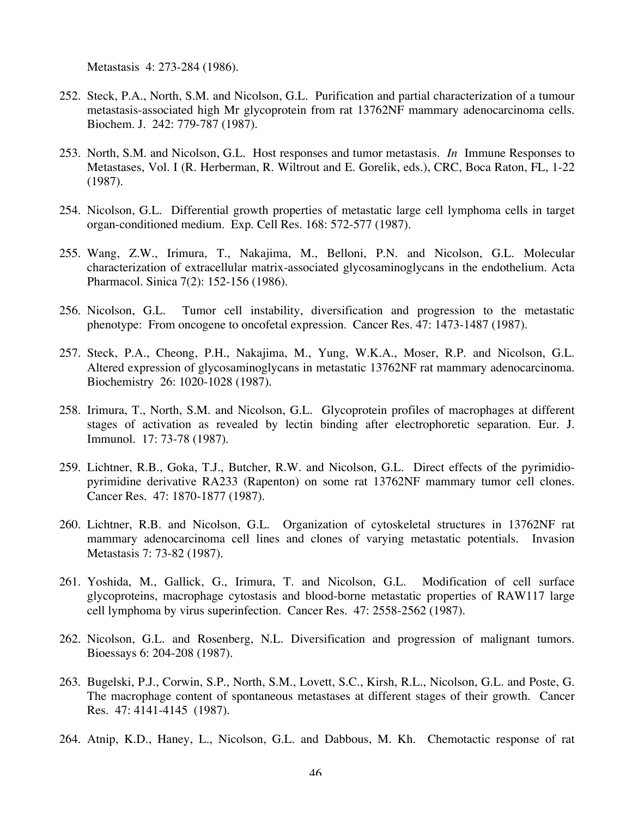Metastasis 4: 273-284 (1986).

- 252. Steck, P.A., North, S.M. and Nicolson, G.L. Purification and partial characterization of a tumour metastasis-associated high Mr glycoprotein from rat 13762NF mammary adenocarcinoma cells. Biochem. J. 242: 779-787 (1987).
- 253. North, S.M. and Nicolson, G.L. Host responses and tumor metastasis. *In* Immune Responses to Metastases, Vol. I (R. Herberman, R. Wiltrout and E. Gorelik, eds.), CRC, Boca Raton, FL, 1-22 (1987).
- 254. Nicolson, G.L. Differential growth properties of metastatic large cell lymphoma cells in target organ-conditioned medium. Exp. Cell Res. 168: 572-577 (1987).
- 255. Wang, Z.W., Irimura, T., Nakajima, M., Belloni, P.N. and Nicolson, G.L. Molecular characterization of extracellular matrix-associated glycosaminoglycans in the endothelium. Acta Pharmacol. Sinica 7(2): 152-156 (1986).
- 256. Nicolson, G.L. Tumor cell instability, diversification and progression to the metastatic phenotype: From oncogene to oncofetal expression. Cancer Res. 47: 1473-1487 (1987).
- 257. Steck, P.A., Cheong, P.H., Nakajima, M., Yung, W.K.A., Moser, R.P. and Nicolson, G.L. Altered expression of glycosaminoglycans in metastatic 13762NF rat mammary adenocarcinoma. Biochemistry 26: 1020-1028 (1987).
- 258. Irimura, T., North, S.M. and Nicolson, G.L. Glycoprotein profiles of macrophages at different stages of activation as revealed by lectin binding after electrophoretic separation. Eur. J. Immunol. 17: 73-78 (1987).
- 259. Lichtner, R.B., Goka, T.J., Butcher, R.W. and Nicolson, G.L. Direct effects of the pyrimidiopyrimidine derivative RA233 (Rapenton) on some rat 13762NF mammary tumor cell clones. Cancer Res. 47: 1870-1877 (1987).
- 260. Lichtner, R.B. and Nicolson, G.L. Organization of cytoskeletal structures in 13762NF rat mammary adenocarcinoma cell lines and clones of varying metastatic potentials. Invasion Metastasis 7: 73-82 (1987).
- 261. Yoshida, M., Gallick, G., Irimura, T. and Nicolson, G.L. Modification of cell surface glycoproteins, macrophage cytostasis and blood-borne metastatic properties of RAW117 large cell lymphoma by virus superinfection. Cancer Res. 47: 2558-2562 (1987).
- 262. Nicolson, G.L. and Rosenberg, N.L. Diversification and progression of malignant tumors. Bioessays 6: 204-208 (1987).
- 263. Bugelski, P.J., Corwin, S.P., North, S.M., Lovett, S.C., Kirsh, R.L., Nicolson, G.L. and Poste, G. The macrophage content of spontaneous metastases at different stages of their growth. Cancer Res. 47: 4141-4145 (1987).
- 264. Atnip, K.D., Haney, L., Nicolson, G.L. and Dabbous, M. Kh. Chemotactic response of rat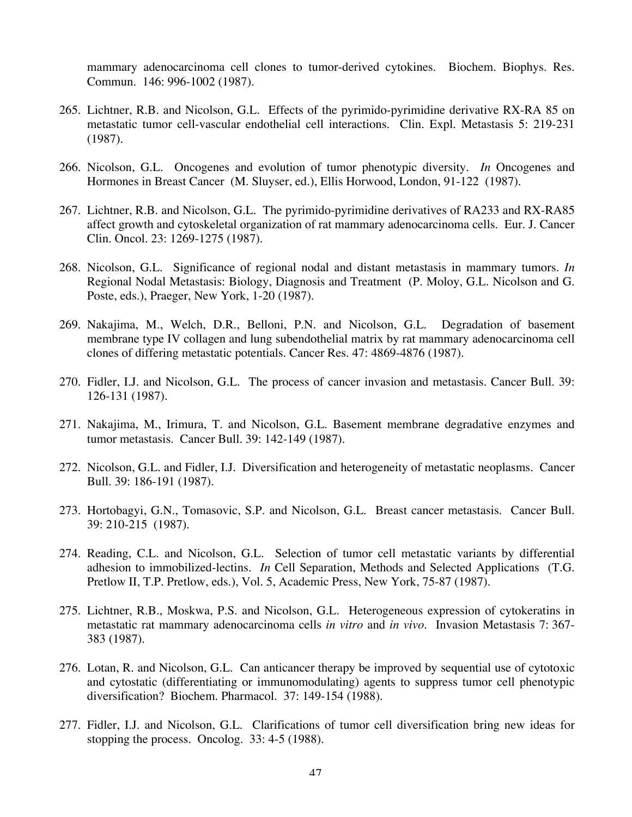mammary adenocarcinoma cell clones to tumor-derived cytokines. Biochem. Biophys. Res. Commun. 146: 996-1002 (1987).

- 265. Lichtner, R.B. and Nicolson, G.L. Effects of the pyrimido-pyrimidine derivative RX-RA 85 on metastatic tumor cell-vascular endothelial cell interactions. Clin. Expl. Metastasis 5: 219-231 (1987).
- 266. Nicolson, G.L. Oncogenes and evolution of tumor phenotypic diversity. *In* Oncogenes and Hormones in Breast Cancer (M. Sluyser, ed.), Ellis Horwood, London, 91-122 (1987).
- 267. Lichtner, R.B. and Nicolson, G.L. The pyrimido-pyrimidine derivatives of RA233 and RX-RA85 affect growth and cytoskeletal organization of rat mammary adenocarcinoma cells. Eur. J. Cancer Clin. Oncol. 23: 1269-1275 (1987).
- 268. Nicolson, G.L. Significance of regional nodal and distant metastasis in mammary tumors. *In* Regional Nodal Metastasis: Biology, Diagnosis and Treatment (P. Moloy, G.L. Nicolson and G. Poste, eds.), Praeger, New York, 1-20 (1987).
- 269. Nakajima, M., Welch, D.R., Belloni, P.N. and Nicolson, G.L. Degradation of basement membrane type IV collagen and lung subendothelial matrix by rat mammary adenocarcinoma cell clones of differing metastatic potentials. Cancer Res. 47: 4869-4876 (1987).
- 270. Fidler, I.J. and Nicolson, G.L. The process of cancer invasion and metastasis. Cancer Bull. 39: 126-131 (1987).
- 271. Nakajima, M., Irimura, T. and Nicolson, G.L. Basement membrane degradative enzymes and tumor metastasis. Cancer Bull. 39: 142-149 (1987).
- 272. Nicolson, G.L. and Fidler, I.J. Diversification and heterogeneity of metastatic neoplasms. Cancer Bull. 39: 186-191 (1987).
- 273. Hortobagyi, G.N., Tomasovic, S.P. and Nicolson, G.L. Breast cancer metastasis. Cancer Bull. 39: 210-215 (1987).
- 274. Reading, C.L. and Nicolson, G.L. Selection of tumor cell metastatic variants by differential adhesion to immobilized-lectins. *In* Cell Separation, Methods and Selected Applications (T.G. Pretlow II, T.P. Pretlow, eds.), Vol. 5, Academic Press, New York, 75-87 (1987).
- 275. Lichtner, R.B., Moskwa, P.S. and Nicolson, G.L. Heterogeneous expression of cytokeratins in metastatic rat mammary adenocarcinoma cells *in vitro* and *in vivo*. Invasion Metastasis 7: 367- 383 (1987).
- 276. Lotan, R. and Nicolson, G.L. Can anticancer therapy be improved by sequential use of cytotoxic and cytostatic (differentiating or immunomodulating) agents to suppress tumor cell phenotypic diversification? Biochem. Pharmacol. 37: 149-154 (1988).
- 277. Fidler, I.J. and Nicolson, G.L. Clarifications of tumor cell diversification bring new ideas for stopping the process. Oncolog. 33: 4-5 (1988).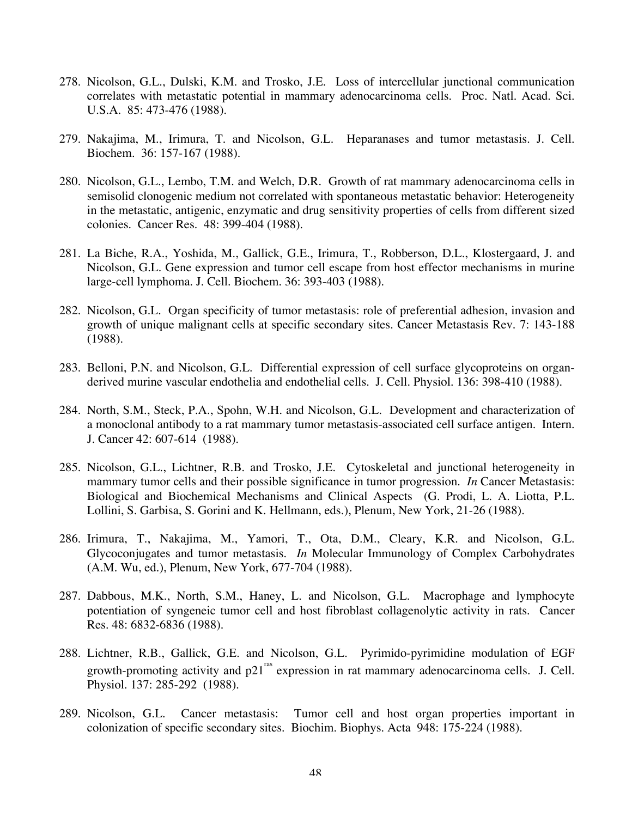- 278. Nicolson, G.L., Dulski, K.M. and Trosko, J.E. Loss of intercellular junctional communication correlates with metastatic potential in mammary adenocarcinoma cells. Proc. Natl. Acad. Sci. U.S.A. 85: 473-476 (1988).
- 279. Nakajima, M., Irimura, T. and Nicolson, G.L. Heparanases and tumor metastasis. J. Cell. Biochem. 36: 157-167 (1988).
- 280. Nicolson, G.L., Lembo, T.M. and Welch, D.R. Growth of rat mammary adenocarcinoma cells in semisolid clonogenic medium not correlated with spontaneous metastatic behavior: Heterogeneity in the metastatic, antigenic, enzymatic and drug sensitivity properties of cells from different sized colonies. Cancer Res. 48: 399-404 (1988).
- 281. La Biche, R.A., Yoshida, M., Gallick, G.E., Irimura, T., Robberson, D.L., Klostergaard, J. and Nicolson, G.L. Gene expression and tumor cell escape from host effector mechanisms in murine large-cell lymphoma. J. Cell. Biochem. 36: 393-403 (1988).
- 282. Nicolson, G.L. Organ specificity of tumor metastasis: role of preferential adhesion, invasion and growth of unique malignant cells at specific secondary sites. Cancer Metastasis Rev. 7: 143-188 (1988).
- 283. Belloni, P.N. and Nicolson, G.L. Differential expression of cell surface glycoproteins on organderived murine vascular endothelia and endothelial cells. J. Cell. Physiol. 136: 398-410 (1988).
- 284. North, S.M., Steck, P.A., Spohn, W.H. and Nicolson, G.L. Development and characterization of a monoclonal antibody to a rat mammary tumor metastasis-associated cell surface antigen. Intern. J. Cancer 42: 607-614 (1988).
- 285. Nicolson, G.L., Lichtner, R.B. and Trosko, J.E. Cytoskeletal and junctional heterogeneity in mammary tumor cells and their possible significance in tumor progression. *In* Cancer Metastasis: Biological and Biochemical Mechanisms and Clinical Aspects (G. Prodi, L. A. Liotta, P.L. Lollini, S. Garbisa, S. Gorini and K. Hellmann, eds.), Plenum, New York, 21-26 (1988).
- 286. Irimura, T., Nakajima, M., Yamori, T., Ota, D.M., Cleary, K.R. and Nicolson, G.L. Glycoconjugates and tumor metastasis. *In* Molecular Immunology of Complex Carbohydrates (A.M. Wu, ed.), Plenum, New York, 677-704 (1988).
- 287. Dabbous, M.K., North, S.M., Haney, L. and Nicolson, G.L. Macrophage and lymphocyte potentiation of syngeneic tumor cell and host fibroblast collagenolytic activity in rats. Cancer Res. 48: 6832-6836 (1988).
- 288. Lichtner, R.B., Gallick, G.E. and Nicolson, G.L. Pyrimido-pyrimidine modulation of EGF growth-promoting activity and  $p21^{\text{ras}}$  expression in rat mammary adenocarcinoma cells. J. Cell. Physiol. 137: 285-292 (1988).
- 289. Nicolson, G.L. Cancer metastasis: Tumor cell and host organ properties important in colonization of specific secondary sites. Biochim. Biophys. Acta 948: 175-224 (1988).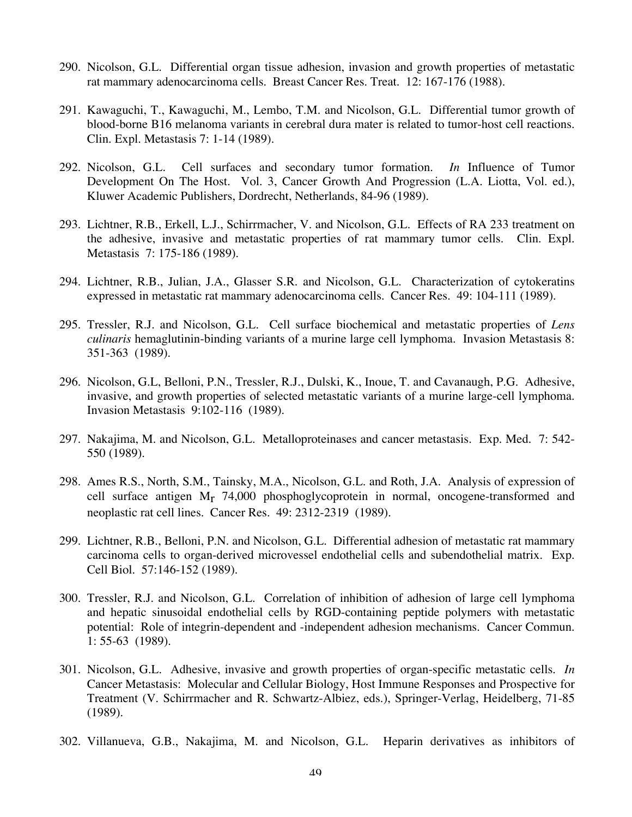- 290. Nicolson, G.L. Differential organ tissue adhesion, invasion and growth properties of metastatic rat mammary adenocarcinoma cells. Breast Cancer Res. Treat. 12: 167-176 (1988).
- 291. Kawaguchi, T., Kawaguchi, M., Lembo, T.M. and Nicolson, G.L. Differential tumor growth of blood-borne B16 melanoma variants in cerebral dura mater is related to tumor-host cell reactions. Clin. Expl. Metastasis 7: 1-14 (1989).
- 292. Nicolson, G.L. Cell surfaces and secondary tumor formation. *In* Influence of Tumor Development On The Host. Vol. 3, Cancer Growth And Progression (L.A. Liotta, Vol. ed.), Kluwer Academic Publishers, Dordrecht, Netherlands, 84-96 (1989).
- 293. Lichtner, R.B., Erkell, L.J., Schirrmacher, V. and Nicolson, G.L. Effects of RA 233 treatment on the adhesive, invasive and metastatic properties of rat mammary tumor cells. Clin. Expl. Metastasis 7: 175-186 (1989).
- 294. Lichtner, R.B., Julian, J.A., Glasser S.R. and Nicolson, G.L. Characterization of cytokeratins expressed in metastatic rat mammary adenocarcinoma cells. Cancer Res. 49: 104-111 (1989).
- 295. Tressler, R.J. and Nicolson, G.L. Cell surface biochemical and metastatic properties of *Lens culinaris* hemaglutinin-binding variants of a murine large cell lymphoma. Invasion Metastasis 8: 351-363 (1989).
- 296. Nicolson, G.L, Belloni, P.N., Tressler, R.J., Dulski, K., Inoue, T. and Cavanaugh, P.G. Adhesive, invasive, and growth properties of selected metastatic variants of a murine large-cell lymphoma. Invasion Metastasis 9:102-116 (1989).
- 297. Nakajima, M. and Nicolson, G.L. Metalloproteinases and cancer metastasis. Exp. Med. 7: 542- 550 (1989).
- 298. Ames R.S., North, S.M., Tainsky, M.A., Nicolson, G.L. and Roth, J.A. Analysis of expression of cell surface antigen  $M_r$  74,000 phosphoglycoprotein in normal, oncogene-transformed and neoplastic rat cell lines. Cancer Res. 49: 2312-2319 (1989).
- 299. Lichtner, R.B., Belloni, P.N. and Nicolson, G.L. Differential adhesion of metastatic rat mammary carcinoma cells to organ-derived microvessel endothelial cells and subendothelial matrix. Exp. Cell Biol. 57:146-152 (1989).
- 300. Tressler, R.J. and Nicolson, G.L. Correlation of inhibition of adhesion of large cell lymphoma and hepatic sinusoidal endothelial cells by RGD-containing peptide polymers with metastatic potential: Role of integrin-dependent and -independent adhesion mechanisms. Cancer Commun. 1: 55-63 (1989).
- 301. Nicolson, G.L. Adhesive, invasive and growth properties of organ-specific metastatic cells. *In* Cancer Metastasis: Molecular and Cellular Biology, Host Immune Responses and Prospective for Treatment (V. Schirrmacher and R. Schwartz-Albiez, eds.), Springer-Verlag, Heidelberg, 71-85 (1989).
- 302. Villanueva, G.B., Nakajima, M. and Nicolson, G.L. Heparin derivatives as inhibitors of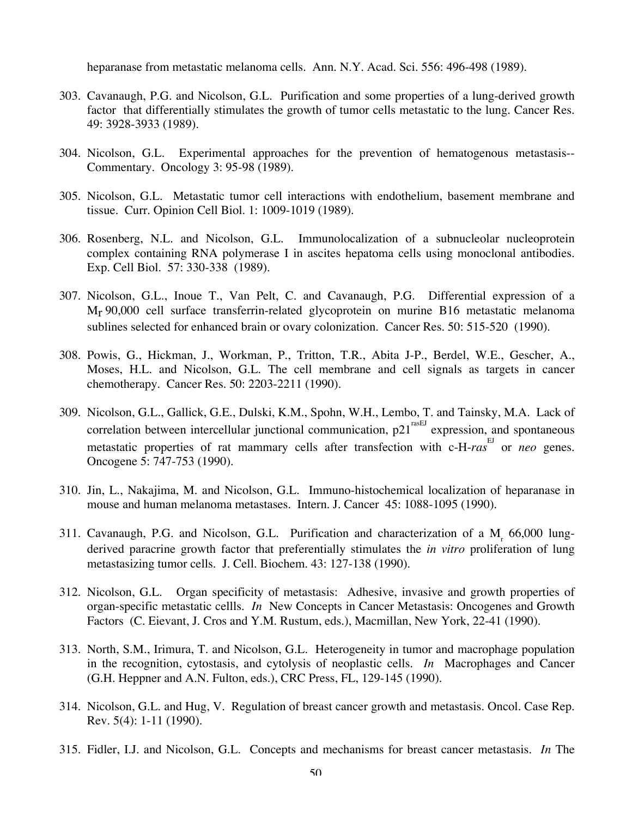heparanase from metastatic melanoma cells. Ann. N.Y. Acad. Sci. 556: 496-498 (1989).

- 303. Cavanaugh, P.G. and Nicolson, G.L. Purification and some properties of a lung-derived growth factor that differentially stimulates the growth of tumor cells metastatic to the lung. Cancer Res. 49: 3928-3933 (1989).
- 304. Nicolson, G.L. Experimental approaches for the prevention of hematogenous metastasis-- Commentary. Oncology 3: 95-98 (1989).
- 305. Nicolson, G.L. Metastatic tumor cell interactions with endothelium, basement membrane and tissue. Curr. Opinion Cell Biol. 1: 1009-1019 (1989).
- 306. Rosenberg, N.L. and Nicolson, G.L. Immunolocalization of a subnucleolar nucleoprotein complex containing RNA polymerase I in ascites hepatoma cells using monoclonal antibodies. Exp. Cell Biol. 57: 330-338 (1989).
- 307. Nicolson, G.L., Inoue T., Van Pelt, C. and Cavanaugh, P.G. Differential expression of a Mr 90,000 cell surface transferrin-related glycoprotein on murine B16 metastatic melanoma sublines selected for enhanced brain or ovary colonization. Cancer Res. 50: 515-520 (1990).
- 308. Powis, G., Hickman, J., Workman, P., Tritton, T.R., Abita J-P., Berdel, W.E., Gescher, A., Moses, H.L. and Nicolson, G.L. The cell membrane and cell signals as targets in cancer chemotherapy. Cancer Res. 50: 2203-2211 (1990).
- 309. Nicolson, G.L., Gallick, G.E., Dulski, K.M., Spohn, W.H., Lembo, T. and Tainsky, M.A. Lack of correlation between intercellular junctional communication,  $p21^{rasEJ}$  expression, and spontaneous metastatic properties of rat mammary cells after transfection with c-H-ras<sup>EJ</sup> or *neo* genes. Oncogene 5: 747-753 (1990).
- 310. Jin, L., Nakajima, M. and Nicolson, G.L. Immuno-histochemical localization of heparanase in mouse and human melanoma metastases. Intern. J. Cancer 45: 1088-1095 (1990).
- 311. Cavanaugh, P.G. and Nicolson, G.L. Purification and characterization of a M 66,000 lungderived paracrine growth factor that preferentially stimulates the *in vitro* proliferation of lung metastasizing tumor cells. J. Cell. Biochem. 43: 127-138 (1990).
- 312. Nicolson, G.L. Organ specificity of metastasis: Adhesive, invasive and growth properties of organ-specific metastatic cellls. *In* New Concepts in Cancer Metastasis: Oncogenes and Growth Factors (C. Eievant, J. Cros and Y.M. Rustum, eds.), Macmillan, New York, 22-41 (1990).
- 313. North, S.M., Irimura, T. and Nicolson, G.L. Heterogeneity in tumor and macrophage population in the recognition, cytostasis, and cytolysis of neoplastic cells. *In* Macrophages and Cancer (G.H. Heppner and A.N. Fulton, eds.), CRC Press, FL, 129-145 (1990).
- 314. Nicolson, G.L. and Hug, V. Regulation of breast cancer growth and metastasis. Oncol. Case Rep. Rev. 5(4): 1-11 (1990).
- 315. Fidler, I.J. and Nicolson, G.L. Concepts and mechanisms for breast cancer metastasis. *In* The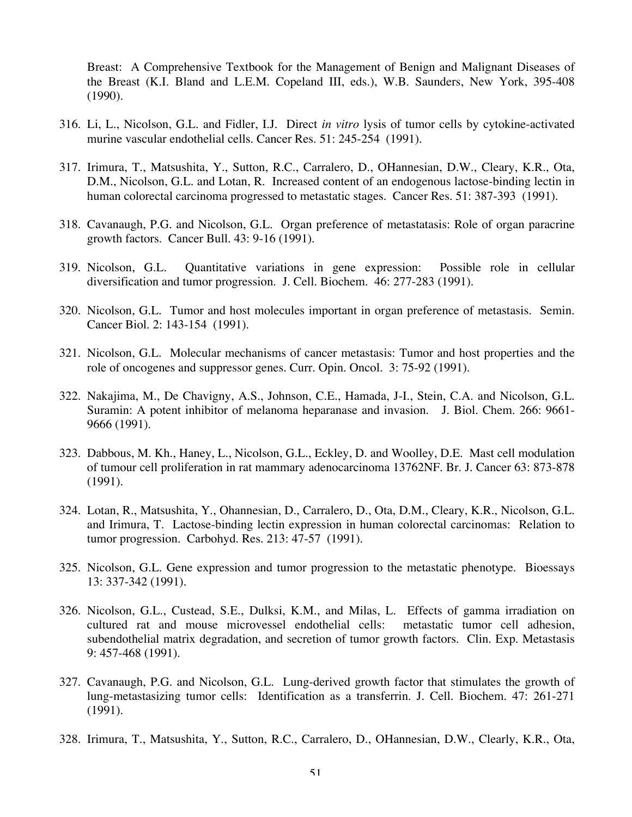Breast: A Comprehensive Textbook for the Management of Benign and Malignant Diseases of the Breast (K.I. Bland and L.E.M. Copeland III, eds.), W.B. Saunders, New York, 395-408 (1990).

- 316. Li, L., Nicolson, G.L. and Fidler, I.J. Direct *in vitro* lysis of tumor cells by cytokine-activated murine vascular endothelial cells. Cancer Res. 51: 245-254 (1991).
- 317. Irimura, T., Matsushita, Y., Sutton, R.C., Carralero, D., OHannesian, D.W., Cleary, K.R., Ota, D.M., Nicolson, G.L. and Lotan, R. Increased content of an endogenous lactose-binding lectin in human colorectal carcinoma progressed to metastatic stages. Cancer Res. 51: 387-393 (1991).
- 318. Cavanaugh, P.G. and Nicolson, G.L. Organ preference of metastatasis: Role of organ paracrine growth factors. Cancer Bull. 43: 9-16 (1991).
- 319. Nicolson, G.L. Quantitative variations in gene expression: Possible role in cellular diversification and tumor progression. J. Cell. Biochem. 46: 277-283 (1991).
- 320. Nicolson, G.L. Tumor and host molecules important in organ preference of metastasis. Semin. Cancer Biol. 2: 143-154 (1991).
- 321. Nicolson, G.L. Molecular mechanisms of cancer metastasis: Tumor and host properties and the role of oncogenes and suppressor genes. Curr. Opin. Oncol. 3: 75-92 (1991).
- 322. Nakajima, M., De Chavigny, A.S., Johnson, C.E., Hamada, J-I., Stein, C.A. and Nicolson, G.L. Suramin: A potent inhibitor of melanoma heparanase and invasion. J. Biol. Chem. 266: 9661- 9666 (1991).
- 323. Dabbous, M. Kh., Haney, L., Nicolson, G.L., Eckley, D. and Woolley, D.E. Mast cell modulation of tumour cell proliferation in rat mammary adenocarcinoma 13762NF. Br. J. Cancer 63: 873-878 (1991).
- 324. Lotan, R., Matsushita, Y., Ohannesian, D., Carralero, D., Ota, D.M., Cleary, K.R., Nicolson, G.L. and Irimura, T. Lactose-binding lectin expression in human colorectal carcinomas: Relation to tumor progression. Carbohyd. Res. 213: 47-57 (1991).
- 325. Nicolson, G.L. Gene expression and tumor progression to the metastatic phenotype. Bioessays 13: 337-342 (1991).
- 326. Nicolson, G.L., Custead, S.E., Dulksi, K.M., and Milas, L. Effects of gamma irradiation on cultured rat and mouse microvessel endothelial cells: metastatic tumor cell adhesion, subendothelial matrix degradation, and secretion of tumor growth factors. Clin. Exp. Metastasis 9: 457-468 (1991).
- 327. Cavanaugh, P.G. and Nicolson, G.L. Lung-derived growth factor that stimulates the growth of lung-metastasizing tumor cells: Identification as a transferrin. J. Cell. Biochem. 47: 261-271 (1991).
- 328. Irimura, T., Matsushita, Y., Sutton, R.C., Carralero, D., OHannesian, D.W., Clearly, K.R., Ota,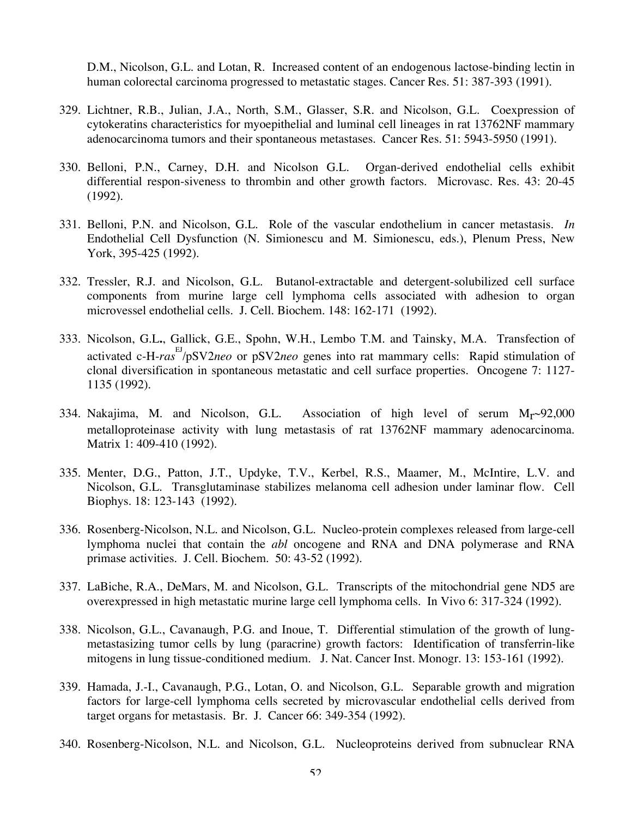D.M., Nicolson, G.L. and Lotan, R. Increased content of an endogenous lactose-binding lectin in human colorectal carcinoma progressed to metastatic stages. Cancer Res. 51: 387-393 (1991).

- 329. Lichtner, R.B., Julian, J.A., North, S.M., Glasser, S.R. and Nicolson, G.L. Coexpression of cytokeratins characteristics for myoepithelial and luminal cell lineages in rat 13762NF mammary adenocarcinoma tumors and their spontaneous metastases. Cancer Res. 51: 5943-5950 (1991).
- 330. Belloni, P.N., Carney, D.H. and Nicolson G.L. Organ-derived endothelial cells exhibit differential respon-siveness to thrombin and other growth factors. Microvasc. Res. 43: 20-45 (1992).
- 331. Belloni, P.N. and Nicolson, G.L. Role of the vascular endothelium in cancer metastasis. *In* Endothelial Cell Dysfunction (N. Simionescu and M. Simionescu, eds.), Plenum Press, New York, 395-425 (1992).
- 332. Tressler, R.J. and Nicolson, G.L. Butanol-extractable and detergent-solubilized cell surface components from murine large cell lymphoma cells associated with adhesion to organ microvessel endothelial cells. J. Cell. Biochem. 148: 162-171 (1992).
- 333. Nicolson, G.L**.**, Gallick, G.E., Spohn, W.H., Lembo T.M. and Tainsky, M.A. Transfection of activated c-H-*ras*<sup>EJ</sup>/pSV2*neo* or pSV2*neo* genes into rat mammary cells: Rapid stimulation of clonal diversification in spontaneous metastatic and cell surface properties. Oncogene 7: 1127- 1135 (1992).
- 334. Nakajima, M. and Nicolson, G.L. Association of high level of serum  $M_r \sim 92,000$ metalloproteinase activity with lung metastasis of rat 13762NF mammary adenocarcinoma. Matrix 1: 409-410 (1992).
- 335. Menter, D.G., Patton, J.T., Updyke, T.V., Kerbel, R.S., Maamer, M., McIntire, L.V. and Nicolson, G.L. Transglutaminase stabilizes melanoma cell adhesion under laminar flow. Cell Biophys. 18: 123-143 (1992).
- 336. Rosenberg-Nicolson, N.L. and Nicolson, G.L. Nucleo-protein complexes released from large-cell lymphoma nuclei that contain the *abl* oncogene and RNA and DNA polymerase and RNA primase activities. J. Cell. Biochem. 50: 43-52 (1992).
- 337. LaBiche, R.A., DeMars, M. and Nicolson, G.L. Transcripts of the mitochondrial gene ND5 are overexpressed in high metastatic murine large cell lymphoma cells. In Vivo 6: 317-324 (1992).
- 338. Nicolson, G.L., Cavanaugh, P.G. and Inoue, T. Differential stimulation of the growth of lungmetastasizing tumor cells by lung (paracrine) growth factors: Identification of transferrin-like mitogens in lung tissue-conditioned medium. J. Nat. Cancer Inst. Monogr. 13: 153-161 (1992).
- 339. Hamada, J.-I., Cavanaugh, P.G., Lotan, O. and Nicolson, G.L. Separable growth and migration factors for large-cell lymphoma cells secreted by microvascular endothelial cells derived from target organs for metastasis. Br. J. Cancer 66: 349-354 (1992).
- 340. Rosenberg-Nicolson, N.L. and Nicolson, G.L. Nucleoproteins derived from subnuclear RNA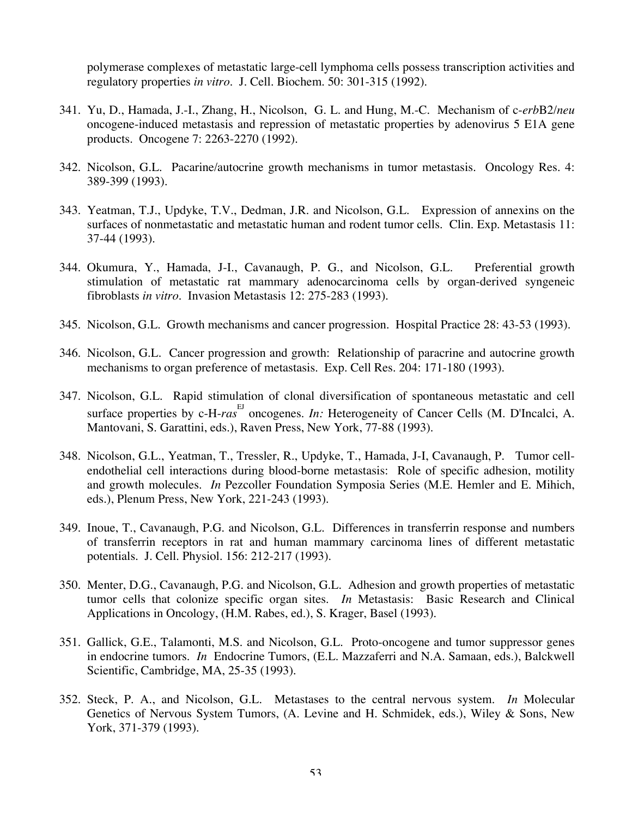polymerase complexes of metastatic large-cell lymphoma cells possess transcription activities and regulatory properties *in vitro*. J. Cell. Biochem. 50: 301-315 (1992).

- 341. Yu, D., Hamada, J.-I., Zhang, H., Nicolson, G. L. and Hung, M.-C. Mechanism of c-*erb*B2/*neu*  oncogene-induced metastasis and repression of metastatic properties by adenovirus 5 E1A gene products. Oncogene 7: 2263-2270 (1992).
- 342. Nicolson, G.L. Pacarine/autocrine growth mechanisms in tumor metastasis. Oncology Res. 4: 389-399 (1993).
- 343. Yeatman, T.J., Updyke, T.V., Dedman, J.R. and Nicolson, G.L. Expression of annexins on the surfaces of nonmetastatic and metastatic human and rodent tumor cells. Clin. Exp. Metastasis 11: 37-44 (1993).
- 344. Okumura, Y., Hamada, J-I., Cavanaugh, P. G., and Nicolson, G.L. Preferential growth stimulation of metastatic rat mammary adenocarcinoma cells by organ-derived syngeneic fibroblasts *in vitro.* Invasion Metastasis 12: 275-283 (1993).
- 345. Nicolson, G.L. Growth mechanisms and cancer progression. Hospital Practice 28: 43-53 (1993).
- 346. Nicolson, G.L. Cancer progression and growth: Relationship of paracrine and autocrine growth mechanisms to organ preference of metastasis. Exp. Cell Res. 204: 171-180 (1993).
- 347. Nicolson, G.L. Rapid stimulation of clonal diversification of spontaneous metastatic and cell surface properties by c-H-ras<sup>EJ</sup> oncogenes. *In:* Heterogeneity of Cancer Cells (M. D'Incalci, A. Mantovani, S. Garattini, eds.), Raven Press, New York, 77-88 (1993).
- 348. Nicolson, G.L., Yeatman, T., Tressler, R., Updyke, T., Hamada, J-I, Cavanaugh, P. Tumor cellendothelial cell interactions during blood-borne metastasis: Role of specific adhesion, motility and growth molecules. *In* Pezcoller Foundation Symposia Series (M.E. Hemler and E. Mihich, eds.), Plenum Press, New York, 221-243 (1993).
- 349. Inoue, T., Cavanaugh, P.G. and Nicolson, G.L. Differences in transferrin response and numbers of transferrin receptors in rat and human mammary carcinoma lines of different metastatic potentials. J. Cell. Physiol. 156: 212-217 (1993).
- 350. Menter, D.G., Cavanaugh, P.G. and Nicolson, G.L. Adhesion and growth properties of metastatic tumor cells that colonize specific organ sites. *In* Metastasis: Basic Research and Clinical Applications in Oncology, (H.M. Rabes, ed.), S. Krager, Basel (1993).
- 351. Gallick, G.E., Talamonti, M.S. and Nicolson, G.L. Proto-oncogene and tumor suppressor genes in endocrine tumors. *In* Endocrine Tumors, (E.L. Mazzaferri and N.A. Samaan, eds.), Balckwell Scientific, Cambridge, MA, 25-35 (1993).
- 352. Steck, P. A., and Nicolson, G.L. Metastases to the central nervous system. *In* Molecular Genetics of Nervous System Tumors, (A. Levine and H. Schmidek, eds.), Wiley & Sons, New York, 371-379 (1993).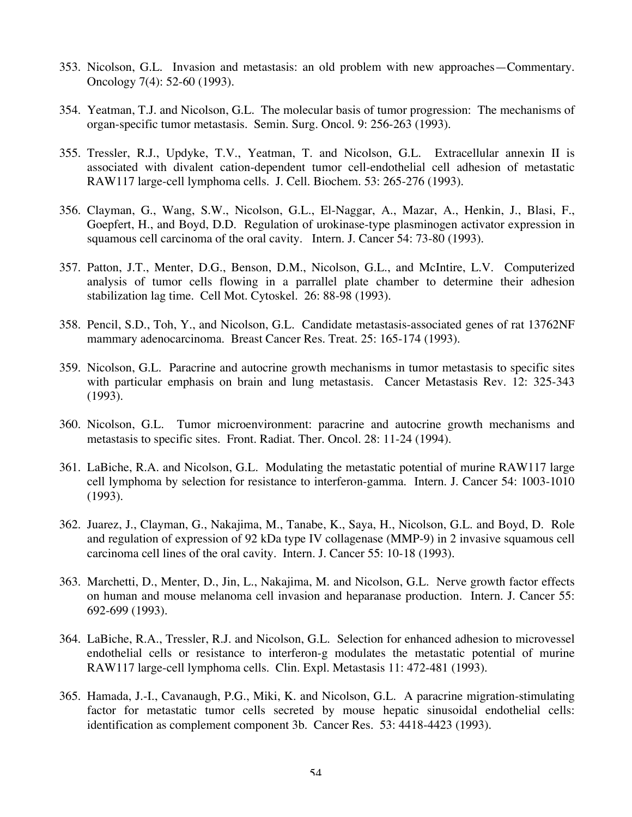- 353. Nicolson, G.L. Invasion and metastasis: an old problem with new approaches—Commentary. Oncology 7(4): 52-60 (1993).
- 354. Yeatman, T.J. and Nicolson, G.L. The molecular basis of tumor progression: The mechanisms of organ-specific tumor metastasis. Semin. Surg. Oncol. 9: 256-263 (1993).
- 355. Tressler, R.J., Updyke, T.V., Yeatman, T. and Nicolson, G.L. Extracellular annexin II is associated with divalent cation-dependent tumor cell-endothelial cell adhesion of metastatic RAW117 large-cell lymphoma cells. J. Cell. Biochem. 53: 265-276 (1993).
- 356. Clayman, G., Wang, S.W., Nicolson, G.L., El-Naggar, A., Mazar, A., Henkin, J., Blasi, F., Goepfert, H., and Boyd, D.D. Regulation of urokinase-type plasminogen activator expression in squamous cell carcinoma of the oral cavity. Intern. J. Cancer 54: 73-80 (1993).
- 357. Patton, J.T., Menter, D.G., Benson, D.M., Nicolson, G.L., and McIntire, L.V. Computerized analysis of tumor cells flowing in a parrallel plate chamber to determine their adhesion stabilization lag time. Cell Mot. Cytoskel. 26: 88-98 (1993).
- 358. Pencil, S.D., Toh, Y., and Nicolson, G.L. Candidate metastasis-associated genes of rat 13762NF mammary adenocarcinoma. Breast Cancer Res. Treat. 25: 165-174 (1993).
- 359. Nicolson, G.L. Paracrine and autocrine growth mechanisms in tumor metastasis to specific sites with particular emphasis on brain and lung metastasis. Cancer Metastasis Rev. 12: 325-343 (1993).
- 360. Nicolson, G.L. Tumor microenvironment: paracrine and autocrine growth mechanisms and metastasis to specific sites. Front. Radiat. Ther. Oncol. 28: 11-24 (1994).
- 361. LaBiche, R.A. and Nicolson, G.L. Modulating the metastatic potential of murine RAW117 large cell lymphoma by selection for resistance to interferon-gamma. Intern. J. Cancer 54: 1003-1010 (1993).
- 362. Juarez, J., Clayman, G., Nakajima, M., Tanabe, K., Saya, H., Nicolson, G.L. and Boyd, D. Role and regulation of expression of 92 kDa type IV collagenase (MMP-9) in 2 invasive squamous cell carcinoma cell lines of the oral cavity. Intern. J. Cancer 55: 10-18 (1993).
- 363. Marchetti, D., Menter, D., Jin, L., Nakajima, M. and Nicolson, G.L. Nerve growth factor effects on human and mouse melanoma cell invasion and heparanase production. Intern. J. Cancer 55: 692-699 (1993).
- 364. LaBiche, R.A., Tressler, R.J. and Nicolson, G.L. Selection for enhanced adhesion to microvessel endothelial cells or resistance to interferon-g modulates the metastatic potential of murine RAW117 large-cell lymphoma cells. Clin. Expl. Metastasis 11: 472-481 (1993).
- 365. Hamada, J.-I., Cavanaugh, P.G., Miki, K. and Nicolson, G.L. A paracrine migration-stimulating factor for metastatic tumor cells secreted by mouse hepatic sinusoidal endothelial cells: identification as complement component 3b. Cancer Res. 53: 4418-4423 (1993).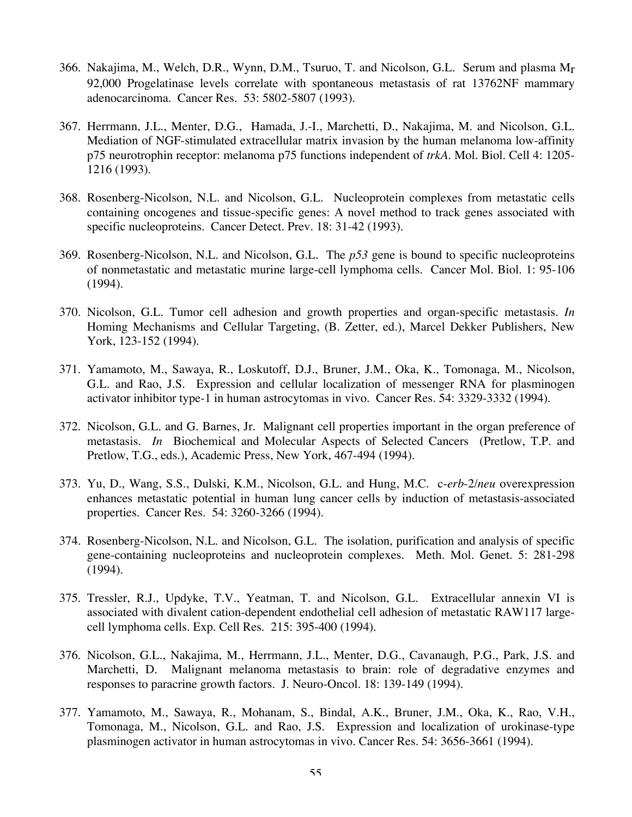- 366. Nakajima, M., Welch, D.R., Wynn, D.M., Tsuruo, T. and Nicolson, G.L. Serum and plasma Mr 92,000 Progelatinase levels correlate with spontaneous metastasis of rat 13762NF mammary adenocarcinoma. Cancer Res. 53: 5802-5807 (1993).
- 367. Herrmann, J.L., Menter, D.G., Hamada, J.-I., Marchetti, D., Nakajima, M. and Nicolson, G.L. Mediation of NGF-stimulated extracellular matrix invasion by the human melanoma low-affinity p75 neurotrophin receptor: melanoma p75 functions independent of *trkA*. Mol. Biol. Cell 4: 1205- 1216 (1993).
- 368. Rosenberg-Nicolson, N.L. and Nicolson, G.L. Nucleoprotein complexes from metastatic cells containing oncogenes and tissue-specific genes: A novel method to track genes associated with specific nucleoproteins. Cancer Detect. Prev. 18: 31-42 (1993).
- 369. Rosenberg-Nicolson, N.L. and Nicolson, G.L. The *p53* gene is bound to specific nucleoproteins of nonmetastatic and metastatic murine large-cell lymphoma cells. Cancer Mol. Biol. 1: 95-106 (1994).
- 370. Nicolson, G.L. Tumor cell adhesion and growth properties and organ-specific metastasis. *In* Homing Mechanisms and Cellular Targeting, (B. Zetter, ed.), Marcel Dekker Publishers, New York, 123-152 (1994).
- 371. Yamamoto, M., Sawaya, R., Loskutoff, D.J., Bruner, J.M., Oka, K., Tomonaga, M., Nicolson, G.L. and Rao, J.S. Expression and cellular localization of messenger RNA for plasminogen activator inhibitor type-1 in human astrocytomas in vivo. Cancer Res. 54: 3329-3332 (1994).
- 372. Nicolson, G.L. and G. Barnes, Jr. Malignant cell properties important in the organ preference of metastasis. *In* Biochemical and Molecular Aspects of Selected Cancers (Pretlow, T.P. and Pretlow, T.G., eds.), Academic Press, New York, 467-494 (1994).
- 373. Yu, D., Wang, S.S., Dulski, K.M., Nicolson, G.L. and Hung, M.C. c-*erb*-2/*neu* overexpression enhances metastatic potential in human lung cancer cells by induction of metastasis-associated properties. Cancer Res. 54: 3260-3266 (1994).
- 374. Rosenberg-Nicolson, N.L. and Nicolson, G.L. The isolation, purification and analysis of specific gene-containing nucleoproteins and nucleoprotein complexes. Meth. Mol. Genet. 5: 281-298 (1994).
- 375. Tressler, R.J., Updyke, T.V., Yeatman, T. and Nicolson, G.L. Extracellular annexin VI is associated with divalent cation-dependent endothelial cell adhesion of metastatic RAW117 largecell lymphoma cells. Exp. Cell Res. 215: 395-400 (1994).
- 376. Nicolson, G.L., Nakajima, M., Herrmann, J.L., Menter, D.G., Cavanaugh, P.G., Park, J.S. and Marchetti, D. Malignant melanoma metastasis to brain: role of degradative enzymes and responses to paracrine growth factors. J. Neuro-Oncol. 18: 139-149 (1994).
- 377. Yamamoto, M., Sawaya, R., Mohanam, S., Bindal, A.K., Bruner, J.M., Oka, K., Rao, V.H., Tomonaga, M., Nicolson, G.L. and Rao, J.S. Expression and localization of urokinase-type plasminogen activator in human astrocytomas in vivo. Cancer Res. 54: 3656-3661 (1994).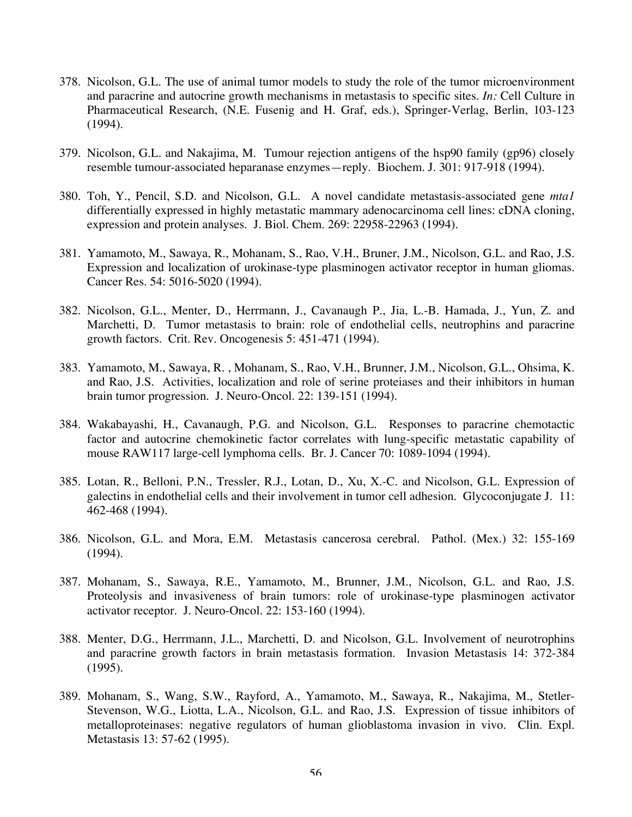- 378. Nicolson, G.L. The use of animal tumor models to study the role of the tumor microenvironment and paracrine and autocrine growth mechanisms in metastasis to specific sites. *In:* Cell Culture in Pharmaceutical Research, (N.E. Fusenig and H. Graf, eds.), Springer-Verlag, Berlin, 103-123 (1994).
- 379. Nicolson, G.L. and Nakajima, M. Tumour rejection antigens of the hsp90 family (gp96) closely resemble tumour-associated heparanase enzymes—reply. Biochem. J. 301: 917-918 (1994).
- 380. Toh, Y., Pencil, S.D. and Nicolson, G.L. A novel candidate metastasis-associated gene *mta1* differentially expressed in highly metastatic mammary adenocarcinoma cell lines: cDNA cloning, expression and protein analyses. J. Biol. Chem. 269: 22958-22963 (1994).
- 381. Yamamoto, M., Sawaya, R., Mohanam, S., Rao, V.H., Bruner, J.M., Nicolson, G.L. and Rao, J.S. Expression and localization of urokinase-type plasminogen activator receptor in human gliomas. Cancer Res. 54: 5016-5020 (1994).
- 382. Nicolson, G.L., Menter, D., Herrmann, J., Cavanaugh P., Jia, L.-B. Hamada, J., Yun, Z. and Marchetti, D. Tumor metastasis to brain: role of endothelial cells, neutrophins and paracrine growth factors. Crit. Rev. Oncogenesis 5: 451-471 (1994).
- 383. Yamamoto, M., Sawaya, R. , Mohanam, S., Rao, V.H., Brunner, J.M., Nicolson, G.L., Ohsima, K. and Rao, J.S. Activities, localization and role of serine proteiases and their inhibitors in human brain tumor progression. J. Neuro-Oncol. 22: 139-151 (1994).
- 384. Wakabayashi, H., Cavanaugh, P.G. and Nicolson, G.L. Responses to paracrine chemotactic factor and autocrine chemokinetic factor correlates with lung-specific metastatic capability of mouse RAW117 large-cell lymphoma cells. Br. J. Cancer 70: 1089-1094 (1994).
- 385. Lotan, R., Belloni, P.N., Tressler, R.J., Lotan, D., Xu, X.-C. and Nicolson, G.L. Expression of galectins in endothelial cells and their involvement in tumor cell adhesion. Glycoconjugate J. 11: 462-468 (1994).
- 386. Nicolson, G.L. and Mora, E.M. Metastasis cancerosa cerebral. Pathol. (Mex.) 32: 155-169 (1994).
- 387. Mohanam, S., Sawaya, R.E., Yamamoto, M., Brunner, J.M., Nicolson, G.L. and Rao, J.S. Proteolysis and invasiveness of brain tumors: role of urokinase-type plasminogen activator activator receptor. J. Neuro-Oncol. 22: 153-160 (1994).
- 388. Menter, D.G., Herrmann, J.L., Marchetti, D. and Nicolson, G.L. Involvement of neurotrophins and paracrine growth factors in brain metastasis formation. Invasion Metastasis 14: 372-384 (1995).
- 389. Mohanam, S., Wang, S.W., Rayford, A., Yamamoto, M., Sawaya, R., Nakajima, M., Stetler-Stevenson, W.G., Liotta, L.A., Nicolson, G.L. and Rao, J.S. Expression of tissue inhibitors of metalloproteinases: negative regulators of human glioblastoma invasion in vivo. Clin. Expl. Metastasis 13: 57-62 (1995).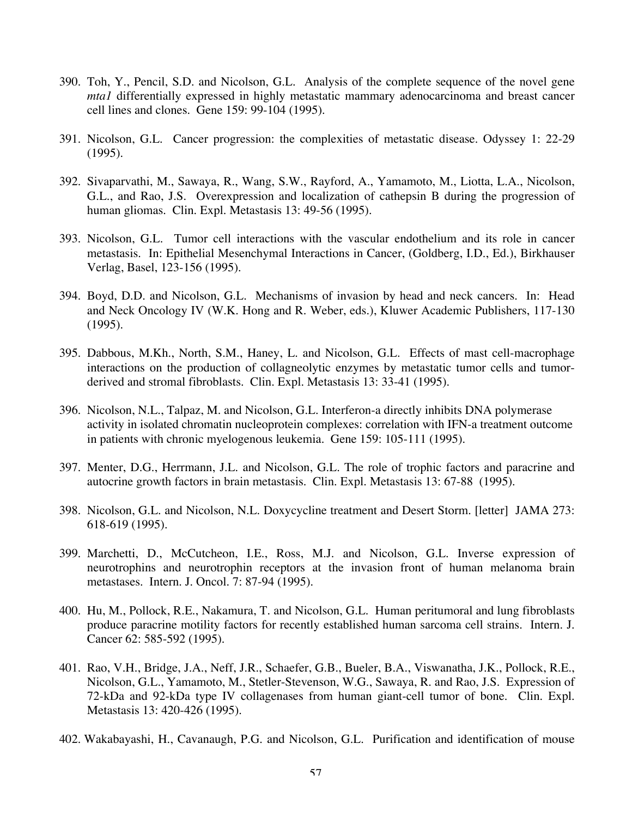- 390. Toh, Y., Pencil, S.D. and Nicolson, G.L. Analysis of the complete sequence of the novel gene *mta1* differentially expressed in highly metastatic mammary adenocarcinoma and breast cancer cell lines and clones. Gene 159: 99-104 (1995).
- 391. Nicolson, G.L. Cancer progression: the complexities of metastatic disease. Odyssey 1: 22-29 (1995).
- 392. Sivaparvathi, M., Sawaya, R., Wang, S.W., Rayford, A., Yamamoto, M., Liotta, L.A., Nicolson, G.L., and Rao, J.S. Overexpression and localization of cathepsin B during the progression of human gliomas. Clin. Expl. Metastasis 13: 49-56 (1995).
- 393. Nicolson, G.L. Tumor cell interactions with the vascular endothelium and its role in cancer metastasis. In: Epithelial Mesenchymal Interactions in Cancer, (Goldberg, I.D., Ed.), Birkhauser Verlag, Basel, 123-156 (1995).
- 394. Boyd, D.D. and Nicolson, G.L. Mechanisms of invasion by head and neck cancers. In: Head and Neck Oncology IV (W.K. Hong and R. Weber, eds.), Kluwer Academic Publishers, 117-130 (1995).
- 395. Dabbous, M.Kh., North, S.M., Haney, L. and Nicolson, G.L. Effects of mast cell-macrophage interactions on the production of collagneolytic enzymes by metastatic tumor cells and tumorderived and stromal fibroblasts. Clin. Expl. Metastasis 13: 33-41 (1995).
- 396. Nicolson, N.L., Talpaz, M. and Nicolson, G.L. Interferon-a directly inhibits DNA polymerase activity in isolated chromatin nucleoprotein complexes: correlation with IFN-a treatment outcome in patients with chronic myelogenous leukemia. Gene 159: 105-111 (1995).
- 397. Menter, D.G., Herrmann, J.L. and Nicolson, G.L. The role of trophic factors and paracrine and autocrine growth factors in brain metastasis. Clin. Expl. Metastasis 13: 67-88 (1995).
- 398. Nicolson, G.L. and Nicolson, N.L. Doxycycline treatment and Desert Storm. [letter] JAMA 273: 618-619 (1995).
- 399. Marchetti, D., McCutcheon, I.E., Ross, M.J. and Nicolson, G.L. Inverse expression of neurotrophins and neurotrophin receptors at the invasion front of human melanoma brain metastases. Intern. J. Oncol. 7: 87-94 (1995).
- 400. Hu, M., Pollock, R.E., Nakamura, T. and Nicolson, G.L. Human peritumoral and lung fibroblasts produce paracrine motility factors for recently established human sarcoma cell strains. Intern. J. Cancer 62: 585-592 (1995).
- 401. Rao, V.H., Bridge, J.A., Neff, J.R., Schaefer, G.B., Bueler, B.A., Viswanatha, J.K., Pollock, R.E., Nicolson, G.L., Yamamoto, M., Stetler-Stevenson, W.G., Sawaya, R. and Rao, J.S. Expression of 72-kDa and 92-kDa type IV collagenases from human giant-cell tumor of bone. Clin. Expl. Metastasis 13: 420-426 (1995).
- 402. Wakabayashi, H., Cavanaugh, P.G. and Nicolson, G.L. Purification and identification of mouse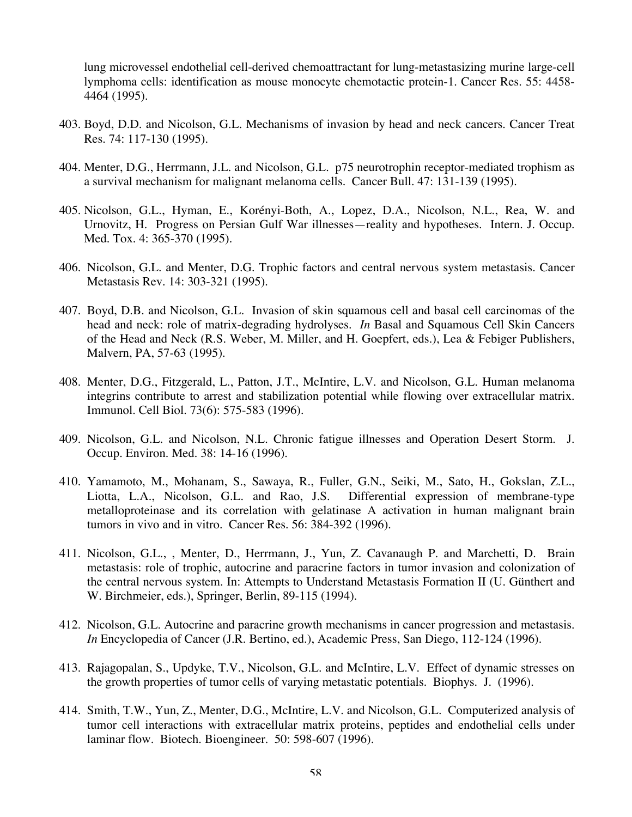lung microvessel endothelial cell-derived chemoattractant for lung-metastasizing murine large-cell lymphoma cells: identification as mouse monocyte chemotactic protein-1. Cancer Res. 55: 4458- 4464 (1995).

- 403. Boyd, D.D. and Nicolson, G.L. Mechanisms of invasion by head and neck cancers. Cancer Treat Res. 74: 117-130 (1995).
- 404. Menter, D.G., Herrmann, J.L. and Nicolson, G.L. p75 neurotrophin receptor-mediated trophism as a survival mechanism for malignant melanoma cells. Cancer Bull. 47: 131-139 (1995).
- 405. Nicolson, G.L., Hyman, E., Korényi-Both, A., Lopez, D.A., Nicolson, N.L., Rea, W. and Urnovitz, H. Progress on Persian Gulf War illnesses—reality and hypotheses. Intern. J. Occup. Med. Tox. 4: 365-370 (1995).
- 406. Nicolson, G.L. and Menter, D.G. Trophic factors and central nervous system metastasis. Cancer Metastasis Rev. 14: 303-321 (1995).
- 407. Boyd, D.B. and Nicolson, G.L. Invasion of skin squamous cell and basal cell carcinomas of the head and neck: role of matrix-degrading hydrolyses. *In* Basal and Squamous Cell Skin Cancers of the Head and Neck (R.S. Weber, M. Miller, and H. Goepfert, eds.), Lea & Febiger Publishers, Malvern, PA, 57-63 (1995).
- 408. Menter, D.G., Fitzgerald, L., Patton, J.T., McIntire, L.V. and Nicolson, G.L. Human melanoma integrins contribute to arrest and stabilization potential while flowing over extracellular matrix. Immunol. Cell Biol. 73(6): 575-583 (1996).
- 409. Nicolson, G.L. and Nicolson, N.L. Chronic fatigue illnesses and Operation Desert Storm. J. Occup. Environ. Med. 38: 14-16 (1996).
- 410. Yamamoto, M., Mohanam, S., Sawaya, R., Fuller, G.N., Seiki, M., Sato, H., Gokslan, Z.L., Liotta, L.A., Nicolson, G.L. and Rao, J.S. Differential expression of membrane-type metalloproteinase and its correlation with gelatinase A activation in human malignant brain tumors in vivo and in vitro. Cancer Res. 56: 384-392 (1996).
- 411. Nicolson, G.L., , Menter, D., Herrmann, J., Yun, Z. Cavanaugh P. and Marchetti, D. Brain metastasis: role of trophic, autocrine and paracrine factors in tumor invasion and colonization of the central nervous system. In: Attempts to Understand Metastasis Formation II (U. Günthert and W. Birchmeier, eds.), Springer, Berlin, 89-115 (1994).
- 412. Nicolson, G.L. Autocrine and paracrine growth mechanisms in cancer progression and metastasis. *In* Encyclopedia of Cancer (J.R. Bertino, ed.), Academic Press, San Diego, 112-124 (1996).
- 413. Rajagopalan, S., Updyke, T.V., Nicolson, G.L. and McIntire, L.V. Effect of dynamic stresses on the growth properties of tumor cells of varying metastatic potentials. Biophys. J. (1996).
- 414. Smith, T.W., Yun, Z., Menter, D.G., McIntire, L.V. and Nicolson, G.L. Computerized analysis of tumor cell interactions with extracellular matrix proteins, peptides and endothelial cells under laminar flow. Biotech. Bioengineer. 50: 598-607 (1996).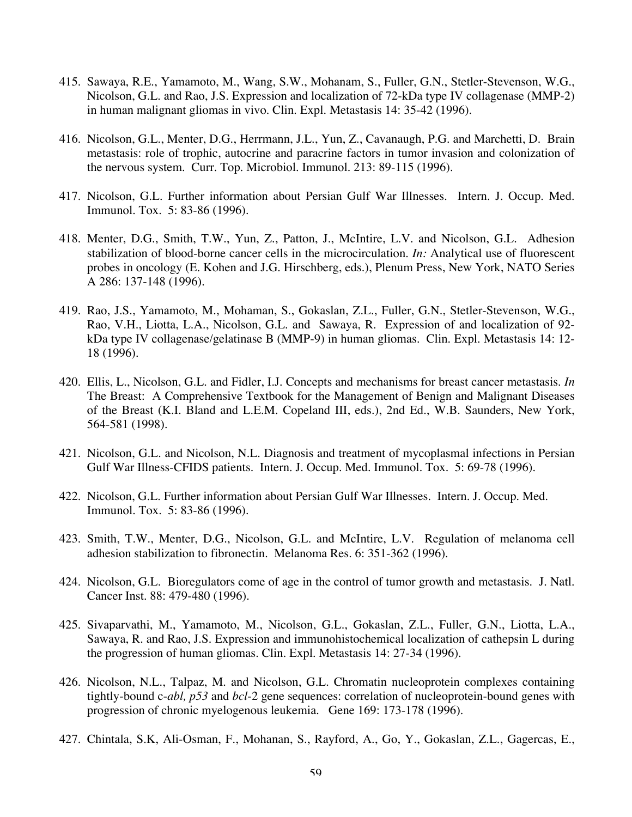- 415. Sawaya, R.E., Yamamoto, M., Wang, S.W., Mohanam, S., Fuller, G.N., Stetler-Stevenson, W.G., Nicolson, G.L. and Rao, J.S. Expression and localization of 72-kDa type IV collagenase (MMP-2) in human malignant gliomas in vivo. Clin. Expl. Metastasis 14: 35-42 (1996).
- 416. Nicolson, G.L., Menter, D.G., Herrmann, J.L., Yun, Z., Cavanaugh, P.G. and Marchetti, D. Brain metastasis: role of trophic, autocrine and paracrine factors in tumor invasion and colonization of the nervous system. Curr. Top. Microbiol. Immunol. 213: 89-115 (1996).
- 417. Nicolson, G.L. Further information about Persian Gulf War Illnesses. Intern. J. Occup. Med. Immunol. Tox. 5: 83-86 (1996).
- 418. Menter, D.G., Smith, T.W., Yun, Z., Patton, J., McIntire, L.V. and Nicolson, G.L. Adhesion stabilization of blood-borne cancer cells in the microcirculation. *In:* Analytical use of fluorescent probes in oncology (E. Kohen and J.G. Hirschberg, eds.), Plenum Press, New York, NATO Series A 286: 137-148 (1996).
- 419. Rao, J.S., Yamamoto, M., Mohaman, S., Gokaslan, Z.L., Fuller, G.N., Stetler-Stevenson, W.G., Rao, V.H., Liotta, L.A., Nicolson, G.L. and Sawaya, R. Expression of and localization of 92 kDa type IV collagenase/gelatinase B (MMP-9) in human gliomas. Clin. Expl. Metastasis 14: 12- 18 (1996).
- 420. Ellis, L., Nicolson, G.L. and Fidler, I.J. Concepts and mechanisms for breast cancer metastasis. *In* The Breast: A Comprehensive Textbook for the Management of Benign and Malignant Diseases of the Breast (K.I. Bland and L.E.M. Copeland III, eds.), 2nd Ed., W.B. Saunders, New York, 564-581 (1998).
- 421. Nicolson, G.L. and Nicolson, N.L. Diagnosis and treatment of mycoplasmal infections in Persian Gulf War Illness-CFIDS patients. Intern. J. Occup. Med. Immunol. Tox. 5: 69-78 (1996).
- 422. Nicolson, G.L. Further information about Persian Gulf War Illnesses. Intern. J. Occup. Med. Immunol. Tox. 5: 83-86 (1996).
- 423. Smith, T.W., Menter, D.G., Nicolson, G.L. and McIntire, L.V. Regulation of melanoma cell adhesion stabilization to fibronectin. Melanoma Res. 6: 351-362 (1996).
- 424. Nicolson, G.L. Bioregulators come of age in the control of tumor growth and metastasis. J. Natl. Cancer Inst. 88: 479-480 (1996).
- 425. Sivaparvathi, M., Yamamoto, M., Nicolson, G.L., Gokaslan, Z.L., Fuller, G.N., Liotta, L.A., Sawaya, R. and Rao, J.S. Expression and immunohistochemical localization of cathepsin L during the progression of human gliomas. Clin. Expl. Metastasis 14: 27-34 (1996).
- 426. Nicolson, N.L., Talpaz, M. and Nicolson, G.L. Chromatin nucleoprotein complexes containing tightly-bound c-*abl, p53* and *bcl*-2 gene sequences: correlation of nucleoprotein-bound genes with progression of chronic myelogenous leukemia. Gene 169: 173-178 (1996).
- 427. Chintala, S.K, Ali-Osman, F., Mohanan, S., Rayford, A., Go, Y., Gokaslan, Z.L., Gagercas, E.,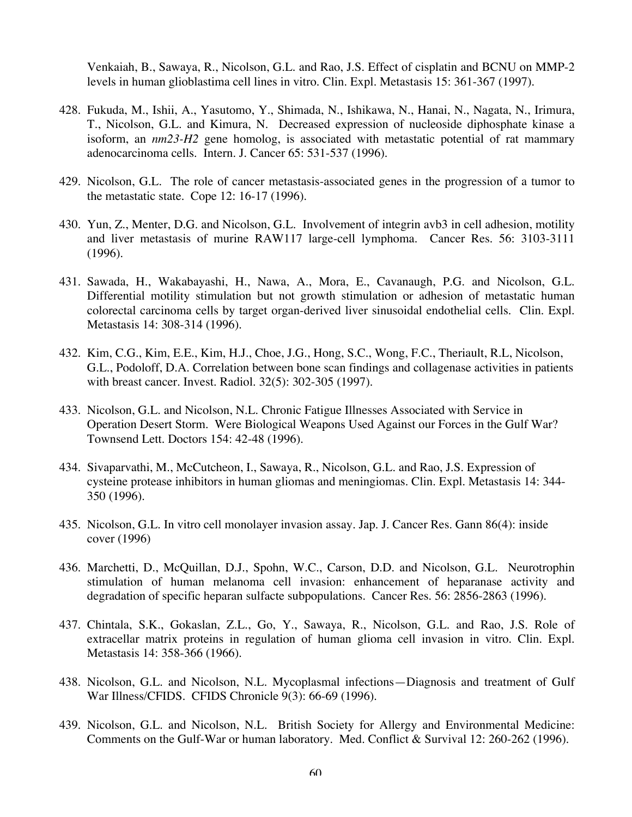Venkaiah, B., Sawaya, R., Nicolson, G.L. and Rao, J.S. Effect of cisplatin and BCNU on MMP-2 levels in human glioblastima cell lines in vitro. Clin. Expl. Metastasis 15: 361-367 (1997).

- 428. Fukuda, M., Ishii, A., Yasutomo, Y., Shimada, N., Ishikawa, N., Hanai, N., Nagata, N., Irimura, T., Nicolson, G.L. and Kimura, N. Decreased expression of nucleoside diphosphate kinase a isoform, an *nm23-H2* gene homolog, is associated with metastatic potential of rat mammary adenocarcinoma cells. Intern. J. Cancer 65: 531-537 (1996).
- 429. Nicolson, G.L. The role of cancer metastasis-associated genes in the progression of a tumor to the metastatic state. Cope 12: 16-17 (1996).
- 430. Yun, Z., Menter, D.G. and Nicolson, G.L. Involvement of integrin avb3 in cell adhesion, motility and liver metastasis of murine RAW117 large-cell lymphoma. Cancer Res. 56: 3103-3111 (1996).
- 431. Sawada, H., Wakabayashi, H., Nawa, A., Mora, E., Cavanaugh, P.G. and Nicolson, G.L. Differential motility stimulation but not growth stimulation or adhesion of metastatic human colorectal carcinoma cells by target organ-derived liver sinusoidal endothelial cells. Clin. Expl. Metastasis 14: 308-314 (1996).
- 432. Kim, C.G., Kim, E.E., Kim, H.J., Choe, J.G., Hong, S.C., Wong, F.C., Theriault, R.L, Nicolson, G.L., Podoloff, D.A. Correlation between bone scan findings and collagenase activities in patients with breast cancer. Invest. Radiol. 32(5): 302-305 (1997).
- 433. Nicolson, G.L. and Nicolson, N.L. Chronic Fatigue Illnesses Associated with Service in Operation Desert Storm. Were Biological Weapons Used Against our Forces in the Gulf War? Townsend Lett. Doctors 154: 42-48 (1996).
- 434. Sivaparvathi, M., McCutcheon, I., Sawaya, R., Nicolson, G.L. and Rao, J.S. Expression of cysteine protease inhibitors in human gliomas and meningiomas. Clin. Expl. Metastasis 14: 344- 350 (1996).
- 435. Nicolson, G.L. In vitro cell monolayer invasion assay. Jap. J. Cancer Res. Gann 86(4): inside cover (1996)
- 436. Marchetti, D., McQuillan, D.J., Spohn, W.C., Carson, D.D. and Nicolson, G.L. Neurotrophin stimulation of human melanoma cell invasion: enhancement of heparanase activity and degradation of specific heparan sulfacte subpopulations. Cancer Res. 56: 2856-2863 (1996).
- 437. Chintala, S.K., Gokaslan, Z.L., Go, Y., Sawaya, R., Nicolson, G.L. and Rao, J.S. Role of extracellar matrix proteins in regulation of human glioma cell invasion in vitro. Clin. Expl. Metastasis 14: 358-366 (1966).
- 438. Nicolson, G.L. and Nicolson, N.L. Mycoplasmal infections—Diagnosis and treatment of Gulf War Illness/CFIDS. CFIDS Chronicle 9(3): 66-69 (1996).
- 439. Nicolson, G.L. and Nicolson, N.L. British Society for Allergy and Environmental Medicine: Comments on the Gulf-War or human laboratory. Med. Conflict & Survival 12: 260-262 (1996).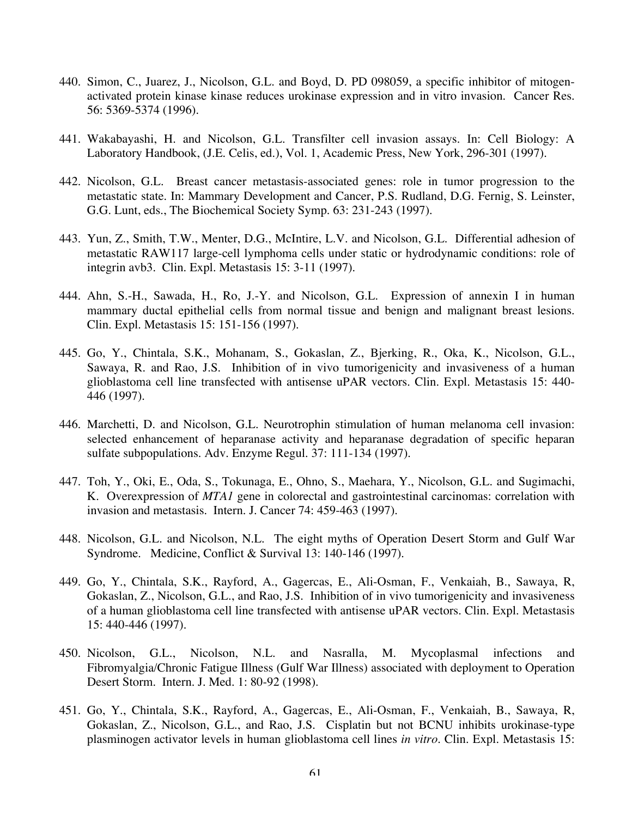- 440. Simon, C., Juarez, J., Nicolson, G.L. and Boyd, D. PD 098059, a specific inhibitor of mitogenactivated protein kinase kinase reduces urokinase expression and in vitro invasion. Cancer Res. 56: 5369-5374 (1996).
- 441. Wakabayashi, H. and Nicolson, G.L. Transfilter cell invasion assays. In: Cell Biology: A Laboratory Handbook, (J.E. Celis, ed.), Vol. 1, Academic Press, New York, 296-301 (1997).
- 442. Nicolson, G.L. Breast cancer metastasis-associated genes: role in tumor progression to the metastatic state. In: Mammary Development and Cancer, P.S. Rudland, D.G. Fernig, S. Leinster, G.G. Lunt, eds., The Biochemical Society Symp. 63: 231-243 (1997).
- 443. Yun, Z., Smith, T.W., Menter, D.G., McIntire, L.V. and Nicolson, G.L. Differential adhesion of metastatic RAW117 large-cell lymphoma cells under static or hydrodynamic conditions: role of integrin avb3. Clin. Expl. Metastasis 15: 3-11 (1997).
- 444. Ahn, S.-H., Sawada, H., Ro, J.-Y. and Nicolson, G.L. Expression of annexin I in human mammary ductal epithelial cells from normal tissue and benign and malignant breast lesions. Clin. Expl. Metastasis 15: 151-156 (1997).
- 445. Go, Y., Chintala, S.K., Mohanam, S., Gokaslan, Z., Bjerking, R., Oka, K., Nicolson, G.L., Sawaya, R. and Rao, J.S. Inhibition of in vivo tumorigenicity and invasiveness of a human glioblastoma cell line transfected with antisense uPAR vectors. Clin. Expl. Metastasis 15: 440- 446 (1997).
- 446. Marchetti, D. and Nicolson, G.L. Neurotrophin stimulation of human melanoma cell invasion: selected enhancement of heparanase activity and heparanase degradation of specific heparan sulfate subpopulations. Adv. Enzyme Regul. 37: 111-134 (1997).
- 447. Toh, Y., Oki, E., Oda, S., Tokunaga, E., Ohno, S., Maehara, Y., Nicolson, G.L. and Sugimachi, K. Overexpression of *MTA1* gene in colorectal and gastrointestinal carcinomas: correlation with invasion and metastasis. Intern. J. Cancer 74: 459-463 (1997).
- 448. Nicolson, G.L. and Nicolson, N.L. The eight myths of Operation Desert Storm and Gulf War Syndrome. Medicine, Conflict & Survival 13: 140-146 (1997).
- 449. Go, Y., Chintala, S.K., Rayford, A., Gagercas, E., Ali-Osman, F., Venkaiah, B., Sawaya, R, Gokaslan, Z., Nicolson, G.L., and Rao, J.S. Inhibition of in vivo tumorigenicity and invasiveness of a human glioblastoma cell line transfected with antisense uPAR vectors. Clin. Expl. Metastasis 15: 440-446 (1997).
- 450. Nicolson, G.L., Nicolson, N.L. and Nasralla, M. Mycoplasmal infections and Fibromyalgia/Chronic Fatigue Illness (Gulf War Illness) associated with deployment to Operation Desert Storm. Intern. J. Med. 1: 80-92 (1998).
- 451. Go, Y., Chintala, S.K., Rayford, A., Gagercas, E., Ali-Osman, F., Venkaiah, B., Sawaya, R, Gokaslan, Z., Nicolson, G.L., and Rao, J.S. Cisplatin but not BCNU inhibits urokinase-type plasminogen activator levels in human glioblastoma cell lines *in vitro.* Clin. Expl. Metastasis 15: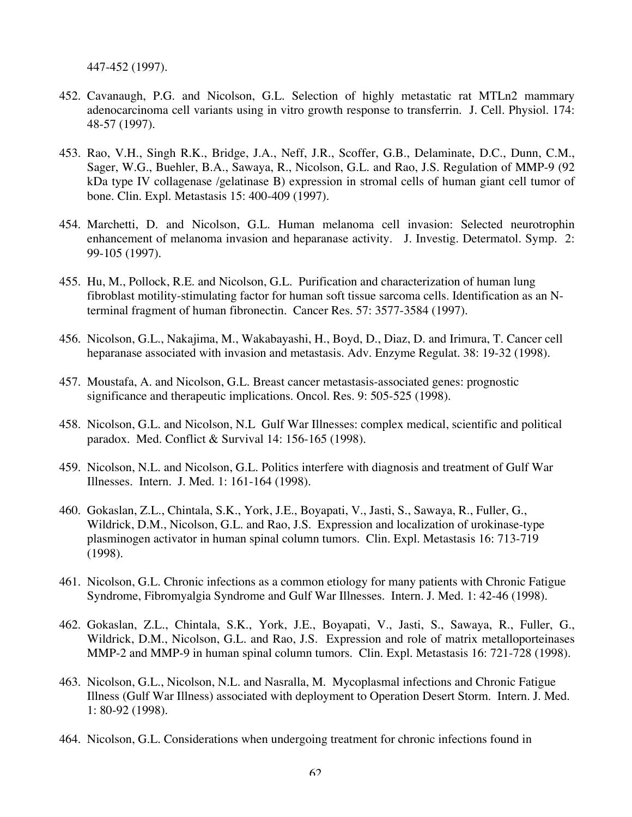447-452 (1997).

- 452. Cavanaugh, P.G. and Nicolson, G.L. Selection of highly metastatic rat MTLn2 mammary adenocarcinoma cell variants using in vitro growth response to transferrin. J. Cell. Physiol. 174: 48-57 (1997).
- 453. Rao, V.H., Singh R.K., Bridge, J.A., Neff, J.R., Scoffer, G.B., Delaminate, D.C., Dunn, C.M., Sager, W.G., Buehler, B.A., Sawaya, R., Nicolson, G.L. and Rao, J.S. Regulation of MMP-9 (92 kDa type IV collagenase /gelatinase B) expression in stromal cells of human giant cell tumor of bone. Clin. Expl. Metastasis 15: 400-409 (1997).
- 454. Marchetti, D. and Nicolson, G.L. Human melanoma cell invasion: Selected neurotrophin enhancement of melanoma invasion and heparanase activity. J. Investig. Determatol. Symp. 2: 99-105 (1997).
- 455. Hu, M., Pollock, R.E. and Nicolson, G.L. Purification and characterization of human lung fibroblast motility-stimulating factor for human soft tissue sarcoma cells. Identification as an Nterminal fragment of human fibronectin. Cancer Res. 57: 3577-3584 (1997).
- 456. Nicolson, G.L., Nakajima, M., Wakabayashi, H., Boyd, D., Diaz, D. and Irimura, T. Cancer cell heparanase associated with invasion and metastasis. Adv. Enzyme Regulat. 38: 19-32 (1998).
- 457. Moustafa, A. and Nicolson, G.L. Breast cancer metastasis-associated genes: prognostic significance and therapeutic implications. Oncol. Res. 9: 505-525 (1998).
- 458. Nicolson, G.L. and Nicolson, N.L Gulf War Illnesses: complex medical, scientific and political paradox. Med. Conflict & Survival 14: 156-165 (1998).
- 459. Nicolson, N.L. and Nicolson, G.L. Politics interfere with diagnosis and treatment of Gulf War Illnesses. Intern. J. Med. 1: 161-164 (1998).
- 460. Gokaslan, Z.L., Chintala, S.K., York, J.E., Boyapati, V., Jasti, S., Sawaya, R., Fuller, G., Wildrick, D.M., Nicolson, G.L. and Rao, J.S. Expression and localization of urokinase-type plasminogen activator in human spinal column tumors. Clin. Expl. Metastasis 16: 713-719 (1998).
- 461. Nicolson, G.L. Chronic infections as a common etiology for many patients with Chronic Fatigue Syndrome, Fibromyalgia Syndrome and Gulf War Illnesses. Intern. J. Med. 1: 42-46 (1998).
- 462. Gokaslan, Z.L., Chintala, S.K., York, J.E., Boyapati, V., Jasti, S., Sawaya, R., Fuller, G., Wildrick, D.M., Nicolson, G.L. and Rao, J.S. Expression and role of matrix metalloporteinases MMP-2 and MMP-9 in human spinal column tumors. Clin. Expl. Metastasis 16: 721-728 (1998).
- 463. Nicolson, G.L., Nicolson, N.L. and Nasralla, M. Mycoplasmal infections and Chronic Fatigue Illness (Gulf War Illness) associated with deployment to Operation Desert Storm. Intern. J. Med. 1: 80-92 (1998).
- 464. Nicolson, G.L. Considerations when undergoing treatment for chronic infections found in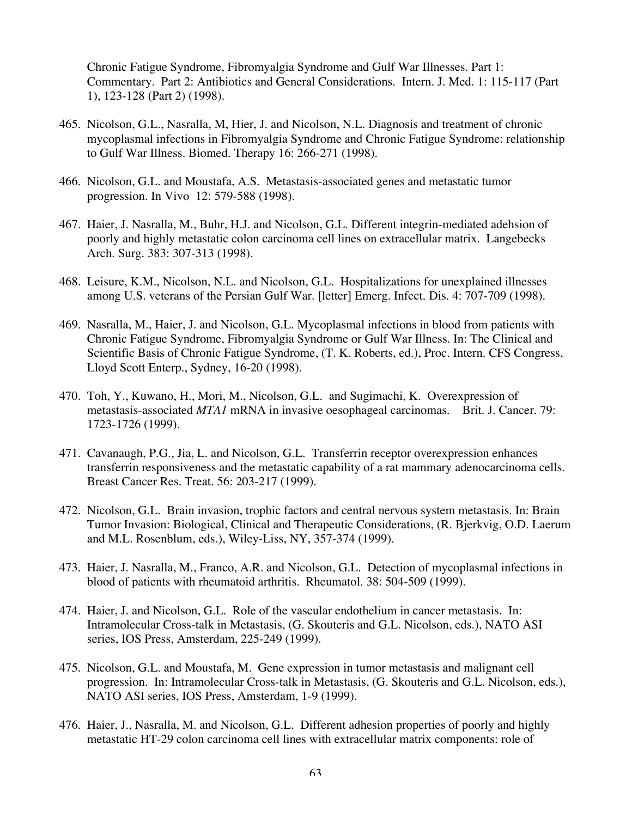Chronic Fatigue Syndrome, Fibromyalgia Syndrome and Gulf War Illnesses. Part 1: Commentary. Part 2: Antibiotics and General Considerations. Intern. J. Med. 1: 115-117 (Part 1), 123-128 (Part 2) (1998).

- 465. Nicolson, G.L., Nasralla, M, Hier, J. and Nicolson, N.L. Diagnosis and treatment of chronic mycoplasmal infections in Fibromyalgia Syndrome and Chronic Fatigue Syndrome: relationship to Gulf War Illness. Biomed. Therapy 16: 266-271 (1998).
- 466. Nicolson, G.L. and Moustafa, A.S. Metastasis-associated genes and metastatic tumor progression. In Vivo 12: 579-588 (1998).
- 467. Haier, J. Nasralla, M., Buhr, H.J. and Nicolson, G.L. Different integrin-mediated adehsion of poorly and highly metastatic colon carcinoma cell lines on extracellular matrix. Langebecks Arch. Surg. 383: 307-313 (1998).
- 468. Leisure, K.M., Nicolson, N.L. and Nicolson, G.L. Hospitalizations for unexplained illnesses among U.S. veterans of the Persian Gulf War. [letter] Emerg. Infect. Dis. 4: 707-709 (1998).
- 469. Nasralla, M., Haier, J. and Nicolson, G.L. Mycoplasmal infections in blood from patients with Chronic Fatigue Syndrome, Fibromyalgia Syndrome or Gulf War Illness. In: The Clinical and Scientific Basis of Chronic Fatigue Syndrome, (T. K. Roberts, ed.), Proc. Intern. CFS Congress, Lloyd Scott Enterp., Sydney, 16-20 (1998).
- 470. Toh, Y., Kuwano, H., Mori, M., Nicolson, G.L. and Sugimachi, K. Overexpression of metastasis-associated *MTA1* mRNA in invasive oesophageal carcinomas. Brit. J. Cancer. 79: 1723-1726 (1999).
- 471. Cavanaugh, P.G., Jia, L. and Nicolson, G.L. Transferrin receptor overexpression enhances transferrin responsiveness and the metastatic capability of a rat mammary adenocarcinoma cells. Breast Cancer Res. Treat. 56: 203-217 (1999).
- 472. Nicolson, G.L. Brain invasion, trophic factors and central nervous system metastasis. In: Brain Tumor Invasion: Biological, Clinical and Therapeutic Considerations, (R. Bjerkvig, O.D. Laerum and M.L. Rosenblum, eds.), Wiley-Liss, NY, 357-374 (1999).
- 473. Haier, J. Nasralla, M., Franco, A.R. and Nicolson, G.L. Detection of mycoplasmal infections in blood of patients with rheumatoid arthritis. Rheumatol. 38: 504-509 (1999).
- 474. Haier, J. and Nicolson, G.L. Role of the vascular endothelium in cancer metastasis. In: Intramolecular Cross-talk in Metastasis, (G. Skouteris and G.L. Nicolson, eds.), NATO ASI series, IOS Press, Amsterdam, 225-249 (1999).
- 475. Nicolson, G.L. and Moustafa, M. Gene expression in tumor metastasis and malignant cell progression. In: Intramolecular Cross-talk in Metastasis, (G. Skouteris and G.L. Nicolson, eds.), NATO ASI series, IOS Press, Amsterdam, 1-9 (1999).
- 476. Haier, J., Nasralla, M. and Nicolson, G.L. Different adhesion properties of poorly and highly metastatic HT-29 colon carcinoma cell lines with extracellular matrix components: role of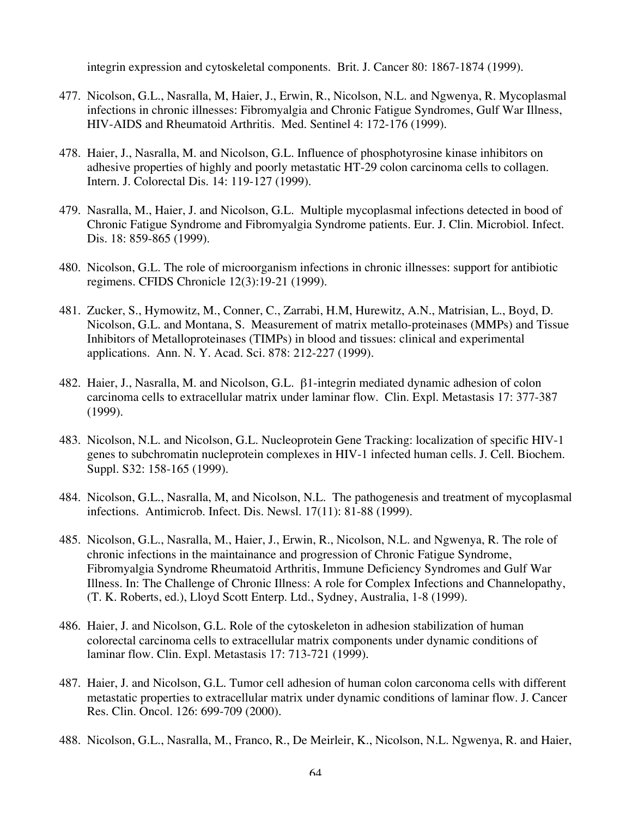integrin expression and cytoskeletal components. Brit. J. Cancer 80: 1867-1874 (1999).

- 477. Nicolson, G.L., Nasralla, M, Haier, J., Erwin, R., Nicolson, N.L. and Ngwenya, R. Mycoplasmal infections in chronic illnesses: Fibromyalgia and Chronic Fatigue Syndromes, Gulf War Illness, HIV-AIDS and Rheumatoid Arthritis. Med. Sentinel 4: 172-176 (1999).
- 478. Haier, J., Nasralla, M. and Nicolson, G.L. Influence of phosphotyrosine kinase inhibitors on adhesive properties of highly and poorly metastatic HT-29 colon carcinoma cells to collagen. Intern. J. Colorectal Dis. 14: 119-127 (1999).
- 479. Nasralla, M., Haier, J. and Nicolson, G.L. Multiple mycoplasmal infections detected in bood of Chronic Fatigue Syndrome and Fibromyalgia Syndrome patients. Eur. J. Clin. Microbiol. Infect. Dis. 18: 859-865 (1999).
- 480. Nicolson, G.L. The role of microorganism infections in chronic illnesses: support for antibiotic regimens. CFIDS Chronicle 12(3):19-21 (1999).
- 481. Zucker, S., Hymowitz, M., Conner, C., Zarrabi, H.M, Hurewitz, A.N., Matrisian, L., Boyd, D. Nicolson, G.L. and Montana, S. Measurement of matrix metallo-proteinases (MMPs) and Tissue Inhibitors of Metalloproteinases (TIMPs) in blood and tissues: clinical and experimental applications. Ann. N. Y. Acad. Sci. 878: 212-227 (1999).
- 482. Haier, J., Nasralla, M. and Nicolson, G.L. β1-integrin mediated dynamic adhesion of colon carcinoma cells to extracellular matrix under laminar flow. Clin. Expl. Metastasis 17: 377-387 (1999).
- 483. Nicolson, N.L. and Nicolson, G.L. Nucleoprotein Gene Tracking: localization of specific HIV-1 genes to subchromatin nucleprotein complexes in HIV-1 infected human cells. J. Cell. Biochem. Suppl. S32: 158-165 (1999).
- 484. Nicolson, G.L., Nasralla, M, and Nicolson, N.L. The pathogenesis and treatment of mycoplasmal infections. Antimicrob. Infect. Dis. Newsl. 17(11): 81-88 (1999).
- 485. Nicolson, G.L., Nasralla, M., Haier, J., Erwin, R., Nicolson, N.L. and Ngwenya, R. The role of chronic infections in the maintainance and progression of Chronic Fatigue Syndrome, Fibromyalgia Syndrome Rheumatoid Arthritis, Immune Deficiency Syndromes and Gulf War Illness. In: The Challenge of Chronic Illness: A role for Complex Infections and Channelopathy, (T. K. Roberts, ed.), Lloyd Scott Enterp. Ltd., Sydney, Australia, 1-8 (1999).
- 486. Haier, J. and Nicolson, G.L. Role of the cytoskeleton in adhesion stabilization of human colorectal carcinoma cells to extracellular matrix components under dynamic conditions of laminar flow. Clin. Expl. Metastasis 17: 713-721 (1999).
- 487. Haier, J. and Nicolson, G.L. Tumor cell adhesion of human colon carconoma cells with different metastatic properties to extracellular matrix under dynamic conditions of laminar flow. J. Cancer Res. Clin. Oncol. 126: 699-709 (2000).
- 488. Nicolson, G.L., Nasralla, M., Franco, R., De Meirleir, K., Nicolson, N.L. Ngwenya, R. and Haier,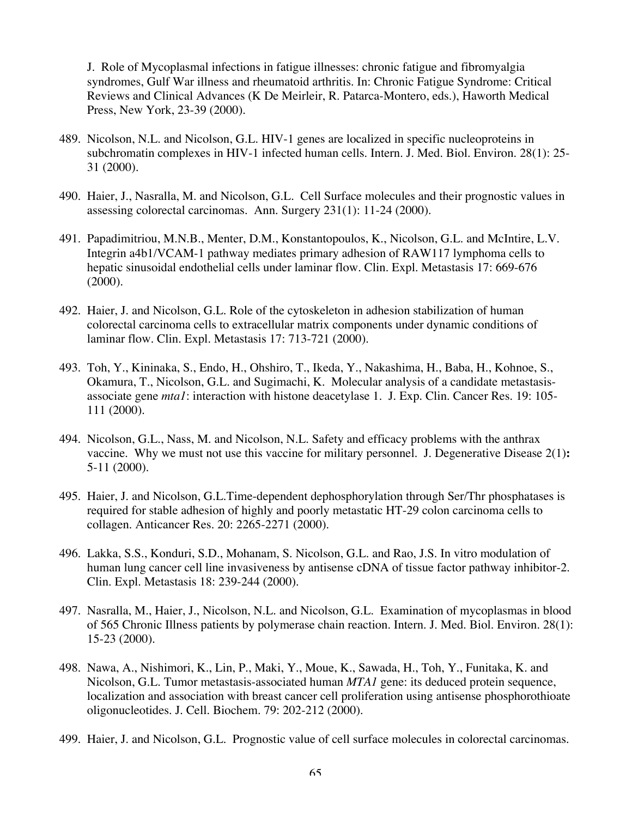J. Role of Mycoplasmal infections in fatigue illnesses: chronic fatigue and fibromyalgia syndromes, Gulf War illness and rheumatoid arthritis. In: Chronic Fatigue Syndrome: Critical Reviews and Clinical Advances (K De Meirleir, R. Patarca-Montero, eds.), Haworth Medical Press, New York, 23-39 (2000).

- 489. Nicolson, N.L. and Nicolson, G.L. HIV-1 genes are localized in specific nucleoproteins in subchromatin complexes in HIV-1 infected human cells. Intern. J. Med. Biol. Environ. 28(1): 25- 31 (2000).
- 490. Haier, J., Nasralla, M. and Nicolson, G.L. Cell Surface molecules and their prognostic values in assessing colorectal carcinomas. Ann. Surgery 231(1): 11-24 (2000).
- 491. Papadimitriou, M.N.B., Menter, D.M., Konstantopoulos, K., Nicolson, G.L. and McIntire, L.V. Integrin a4b1/VCAM-1 pathway mediates primary adhesion of RAW117 lymphoma cells to hepatic sinusoidal endothelial cells under laminar flow. Clin. Expl. Metastasis 17: 669-676 (2000).
- 492. Haier, J. and Nicolson, G.L. Role of the cytoskeleton in adhesion stabilization of human colorectal carcinoma cells to extracellular matrix components under dynamic conditions of laminar flow. Clin. Expl. Metastasis 17: 713-721 (2000).
- 493. Toh, Y., Kininaka, S., Endo, H., Ohshiro, T., Ikeda, Y., Nakashima, H., Baba, H., Kohnoe, S., Okamura, T., Nicolson, G.L. and Sugimachi, K. Molecular analysis of a candidate metastasisassociate gene *mta1*: interaction with histone deacetylase 1. J. Exp. Clin. Cancer Res. 19: 105- 111 (2000).
- 494. Nicolson, G.L., Nass, M. and Nicolson, N.L. Safety and efficacy problems with the anthrax vaccine. Why we must not use this vaccine for military personnel. J. Degenerative Disease 2(1)**:**  5-11 (2000).
- 495. Haier, J. and Nicolson, G.L.Time-dependent dephosphorylation through Ser/Thr phosphatases is required for stable adhesion of highly and poorly metastatic HT-29 colon carcinoma cells to collagen. Anticancer Res. 20: 2265-2271 (2000).
- 496. Lakka, S.S., Konduri, S.D., Mohanam, S. Nicolson, G.L. and Rao, J.S. In vitro modulation of human lung cancer cell line invasiveness by antisense cDNA of tissue factor pathway inhibitor-2. Clin. Expl. Metastasis 18: 239-244 (2000).
- 497. Nasralla, M., Haier, J., Nicolson, N.L. and Nicolson, G.L. Examination of mycoplasmas in blood of 565 Chronic Illness patients by polymerase chain reaction. Intern. J. Med. Biol. Environ. 28(1): 15-23 (2000).
- 498. Nawa, A., Nishimori, K., Lin, P., Maki, Y., Moue, K., Sawada, H., Toh, Y., Funitaka, K. and Nicolson, G.L. Tumor metastasis-associated human *MTA1* gene: its deduced protein sequence, localization and association with breast cancer cell proliferation using antisense phosphorothioate oligonucleotides. J. Cell. Biochem. 79: 202-212 (2000).
- 499. Haier, J. and Nicolson, G.L. Prognostic value of cell surface molecules in colorectal carcinomas.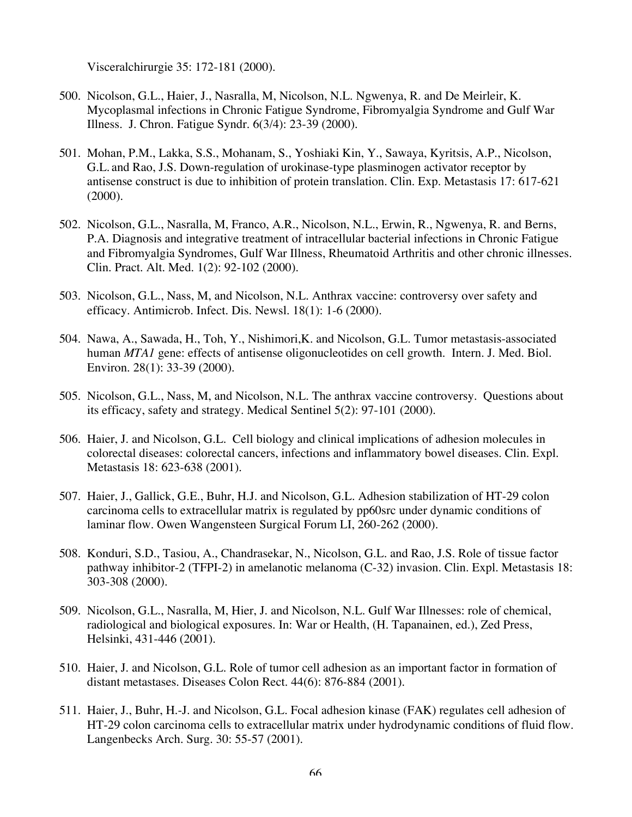Visceralchirurgie 35: 172-181 (2000).

- 500. Nicolson, G.L., Haier, J., Nasralla, M, Nicolson, N.L. Ngwenya, R. and De Meirleir, K. Mycoplasmal infections in Chronic Fatigue Syndrome, Fibromyalgia Syndrome and Gulf War Illness. J. Chron. Fatigue Syndr. 6(3/4): 23-39 (2000).
- 501. Mohan, P.M., Lakka, S.S., Mohanam, S., Yoshiaki Kin, Y., Sawaya, Kyritsis, A.P., Nicolson, G.L. and Rao, J.S. Down-regulation of urokinase-type plasminogen activator receptor by antisense construct is due to inhibition of protein translation. Clin. Exp. Metastasis 17: 617-621 (2000).
- 502. Nicolson, G.L., Nasralla, M, Franco, A.R., Nicolson, N.L., Erwin, R., Ngwenya, R. and Berns, P.A. Diagnosis and integrative treatment of intracellular bacterial infections in Chronic Fatigue and Fibromyalgia Syndromes, Gulf War Illness, Rheumatoid Arthritis and other chronic illnesses. Clin. Pract. Alt. Med. 1(2): 92-102 (2000).
- 503. Nicolson, G.L., Nass, M, and Nicolson, N.L. Anthrax vaccine: controversy over safety and efficacy. Antimicrob. Infect. Dis. Newsl. 18(1): 1-6 (2000).
- 504. Nawa, A., Sawada, H., Toh, Y., Nishimori,K. and Nicolson, G.L. Tumor metastasis-associated human *MTA1* gene: effects of antisense oligonucleotides on cell growth. Intern. J. Med. Biol. Environ. 28(1): 33-39 (2000).
- 505. Nicolson, G.L., Nass, M, and Nicolson, N.L. The anthrax vaccine controversy. Questions about its efficacy, safety and strategy. Medical Sentinel 5(2): 97-101 (2000).
- 506. Haier, J. and Nicolson, G.L. Cell biology and clinical implications of adhesion molecules in colorectal diseases: colorectal cancers, infections and inflammatory bowel diseases. Clin. Expl. Metastasis 18: 623-638 (2001).
- 507. Haier, J., Gallick, G.E., Buhr, H.J. and Nicolson, G.L. Adhesion stabilization of HT-29 colon carcinoma cells to extracellular matrix is regulated by pp60src under dynamic conditions of laminar flow. Owen Wangensteen Surgical Forum LI, 260-262 (2000).
- 508. Konduri, S.D., Tasiou, A., Chandrasekar, N., Nicolson, G.L. and Rao, J.S. Role of tissue factor pathway inhibitor-2 (TFPI-2) in amelanotic melanoma (C-32) invasion. Clin. Expl. Metastasis 18: 303-308 (2000).
- 509. Nicolson, G.L., Nasralla, M, Hier, J. and Nicolson, N.L. Gulf War Illnesses: role of chemical, radiological and biological exposures. In: War or Health, (H. Tapanainen, ed.), Zed Press, Helsinki, 431-446 (2001).
- 510. Haier, J. and Nicolson, G.L. Role of tumor cell adhesion as an important factor in formation of distant metastases. Diseases Colon Rect. 44(6): 876-884 (2001).
- 511. Haier, J., Buhr, H.-J. and Nicolson, G.L. Focal adhesion kinase (FAK) regulates cell adhesion of HT-29 colon carcinoma cells to extracellular matrix under hydrodynamic conditions of fluid flow. Langenbecks Arch. Surg. 30: 55-57 (2001).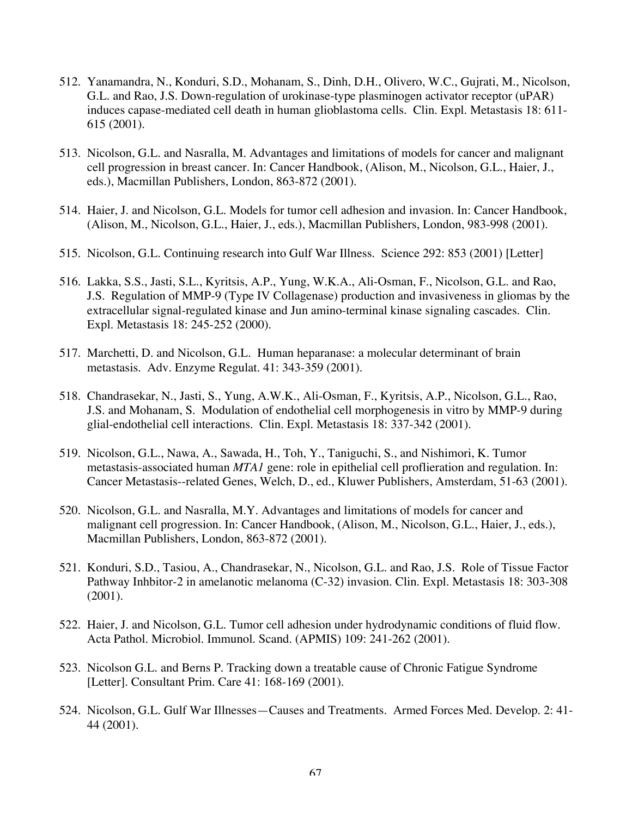- 512. Yanamandra, N., Konduri, S.D., Mohanam, S., Dinh, D.H., Olivero, W.C., Gujrati, M., Nicolson, G.L. and Rao, J.S. Down-regulation of urokinase-type plasminogen activator receptor (uPAR) induces capase-mediated cell death in human glioblastoma cells. Clin. Expl. Metastasis 18: 611-615 (2001).
- 513. Nicolson, G.L. and Nasralla, M. Advantages and limitations of models for cancer and malignant cell progression in breast cancer. In: Cancer Handbook, (Alison, M., Nicolson, G.L., Haier, J., eds.), Macmillan Publishers, London, 863-872 (2001).
- 514. Haier, J. and Nicolson, G.L. Models for tumor cell adhesion and invasion. In: Cancer Handbook, (Alison, M., Nicolson, G.L., Haier, J., eds.), Macmillan Publishers, London, 983-998 (2001).
- 515. Nicolson, G.L. Continuing research into Gulf War Illness. Science 292: 853 (2001) [Letter]
- 516. Lakka, S.S., Jasti, S.L., Kyritsis, A.P., Yung, W.K.A., Ali-Osman, F., Nicolson, G.L. and Rao, J.S. Regulation of MMP-9 (Type IV Collagenase) production and invasiveness in gliomas by the extracellular signal-regulated kinase and Jun amino-terminal kinase signaling cascades. Clin. Expl. Metastasis 18: 245-252 (2000).
- 517. Marchetti, D. and Nicolson, G.L. Human heparanase: a molecular determinant of brain metastasis. Adv. Enzyme Regulat. 41: 343-359 (2001).
- 518. Chandrasekar, N., Jasti, S., Yung, A.W.K., Ali-Osman, F., Kyritsis, A.P., Nicolson, G.L., Rao, J.S. and Mohanam, S. Modulation of endothelial cell morphogenesis in vitro by MMP-9 during glial-endothelial cell interactions. Clin. Expl. Metastasis 18: 337-342 (2001).
- 519. Nicolson, G.L., Nawa, A., Sawada, H., Toh, Y., Taniguchi, S., and Nishimori, K. Tumor metastasis-associated human *MTA1* gene: role in epithelial cell proflieration and regulation. In: Cancer Metastasis--related Genes, Welch, D., ed., Kluwer Publishers, Amsterdam, 51-63 (2001).
- 520. Nicolson, G.L. and Nasralla, M.Y. Advantages and limitations of models for cancer and malignant cell progression. In: Cancer Handbook, (Alison, M., Nicolson, G.L., Haier, J., eds.), Macmillan Publishers, London, 863-872 (2001).
- 521. Konduri, S.D., Tasiou, A., Chandrasekar, N., Nicolson, G.L. and Rao, J.S. Role of Tissue Factor Pathway Inhbitor-2 in amelanotic melanoma (C-32) invasion. Clin. Expl. Metastasis 18: 303-308 (2001).
- 522. Haier, J. and Nicolson, G.L. Tumor cell adhesion under hydrodynamic conditions of fluid flow. Acta Pathol. Microbiol. Immunol. Scand. (APMIS) 109: 241-262 (2001).
- 523. Nicolson G.L. and Berns P. Tracking down a treatable cause of Chronic Fatigue Syndrome [Letter]. Consultant Prim. Care 41: 168-169 (2001).
- 524. Nicolson, G.L. Gulf War Illnesses—Causes and Treatments. Armed Forces Med. Develop. 2: 41- 44 (2001).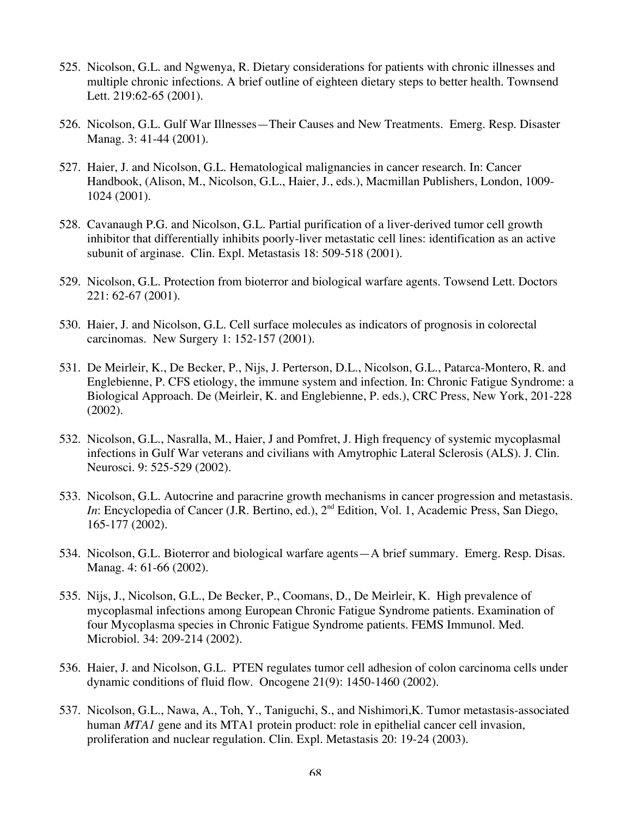- 525. Nicolson, G.L. and Ngwenya, R. Dietary considerations for patients with chronic illnesses and multiple chronic infections. A brief outline of eighteen dietary steps to better health. Townsend Lett. 219:62-65 (2001).
- 526. Nicolson, G.L. Gulf War Illnesses—Their Causes and New Treatments. Emerg. Resp. Disaster Manag. 3: 41-44 (2001).
- 527. Haier, J. and Nicolson, G.L. Hematological malignancies in cancer research. In: Cancer Handbook, (Alison, M., Nicolson, G.L., Haier, J., eds.), Macmillan Publishers, London, 1009- 1024 (2001).
- 528. Cavanaugh P.G. and Nicolson, G.L. Partial purification of a liver-derived tumor cell growth inhibitor that differentially inhibits poorly-liver metastatic cell lines: identification as an active subunit of arginase. Clin. Expl. Metastasis 18: 509-518 (2001).
- 529. Nicolson, G.L. Protection from bioterror and biological warfare agents. Towsend Lett. Doctors 221: 62-67 (2001).
- 530. Haier, J. and Nicolson, G.L. Cell surface molecules as indicators of prognosis in colorectal carcinomas. New Surgery 1: 152-157 (2001).
- 531. De Meirleir, K., De Becker, P., Nijs, J. Perterson, D.L., Nicolson, G.L., Patarca-Montero, R. and Englebienne, P. CFS etiology, the immune system and infection. In: Chronic Fatigue Syndrome: a Biological Approach. De (Meirleir, K. and Englebienne, P. eds.), CRC Press, New York, 201-228 (2002).
- 532. Nicolson, G.L., Nasralla, M., Haier, J and Pomfret, J. High frequency of systemic mycoplasmal infections in Gulf War veterans and civilians with Amytrophic Lateral Sclerosis (ALS). J. Clin. Neurosci. 9: 525-529 (2002).
- 533. Nicolson, G.L. Autocrine and paracrine growth mechanisms in cancer progression and metastasis. *In*: Encyclopedia of Cancer (J.R. Bertino, ed.), 2<sup>nd</sup> Edition, Vol. 1, Academic Press, San Diego, 165-177 (2002).
- 534. Nicolson, G.L. Bioterror and biological warfare agents—A brief summary. Emerg. Resp. Disas. Manag. 4: 61-66 (2002).
- 535. Nijs, J., Nicolson, G.L., De Becker, P., Coomans, D., De Meirleir, K. High prevalence of mycoplasmal infections among European Chronic Fatigue Syndrome patients. Examination of four Mycoplasma species in Chronic Fatigue Syndrome patients. FEMS Immunol. Med. Microbiol. 34: 209-214 (2002).
- 536. Haier, J. and Nicolson, G.L. PTEN regulates tumor cell adhesion of colon carcinoma cells under dynamic conditions of fluid flow. Oncogene 21(9): 1450-1460 (2002).
- 537. Nicolson, G.L., Nawa, A., Toh, Y., Taniguchi, S., and Nishimori,K. Tumor metastasis-associated human *MTA1* gene and its MTA1 protein product: role in epithelial cancer cell invasion, proliferation and nuclear regulation. Clin. Expl. Metastasis 20: 19-24 (2003).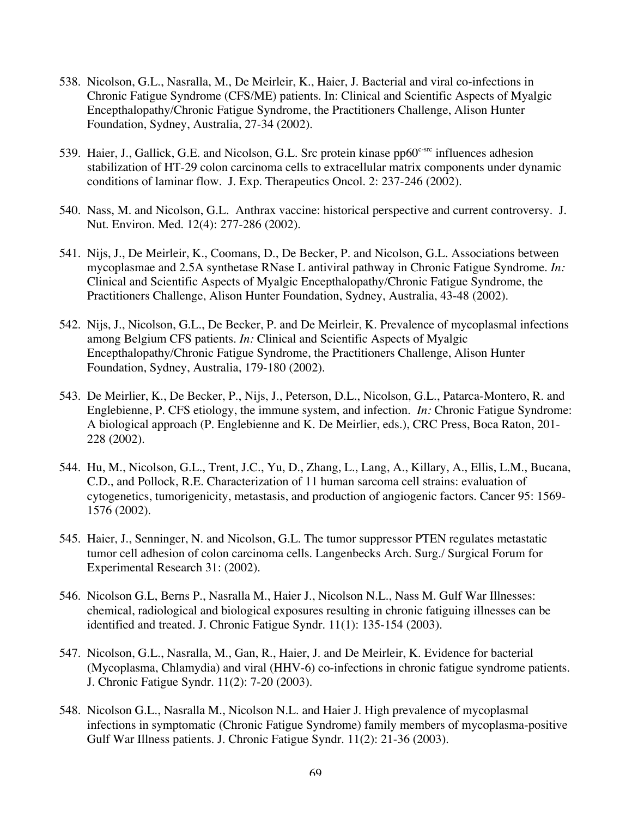- 538. Nicolson, G.L., Nasralla, M., De Meirleir, K., Haier, J. Bacterial and viral co-infections in Chronic Fatigue Syndrome (CFS/ME) patients. In: Clinical and Scientific Aspects of Myalgic Encepthalopathy/Chronic Fatigue Syndrome, the Practitioners Challenge, Alison Hunter Foundation, Sydney, Australia, 27-34 (2002).
- 539. Haier, J., Gallick, G.E. and Nicolson, G.L. Src protein kinase pp60<sup>c-src</sup> influences adhesion stabilization of HT-29 colon carcinoma cells to extracellular matrix components under dynamic conditions of laminar flow. J. Exp. Therapeutics Oncol. 2: 237-246 (2002).
- 540. Nass, M. and Nicolson, G.L. Anthrax vaccine: historical perspective and current controversy. J. Nut. Environ. Med. 12(4): 277-286 (2002).
- 541. Nijs, J., De Meirleir, K., Coomans, D., De Becker, P. and Nicolson, G.L. Associations between mycoplasmae and 2.5A synthetase RNase L antiviral pathway in Chronic Fatigue Syndrome. *In:* Clinical and Scientific Aspects of Myalgic Encepthalopathy/Chronic Fatigue Syndrome, the Practitioners Challenge, Alison Hunter Foundation, Sydney, Australia, 43-48 (2002).
- 542. Nijs, J., Nicolson, G.L., De Becker, P. and De Meirleir, K. Prevalence of mycoplasmal infections among Belgium CFS patients. *In:* Clinical and Scientific Aspects of Myalgic Encepthalopathy/Chronic Fatigue Syndrome, the Practitioners Challenge, Alison Hunter Foundation, Sydney, Australia, 179-180 (2002).
- 543. De Meirlier, K., De Becker, P., Nijs, J., Peterson, D.L., Nicolson, G.L., Patarca-Montero, R. and Englebienne, P. CFS etiology, the immune system, and infection. *In:* Chronic Fatigue Syndrome: A biological approach (P. Englebienne and K. De Meirlier, eds.), CRC Press, Boca Raton, 201- 228 (2002).
- 544. Hu, M., Nicolson, G.L., Trent, J.C., Yu, D., Zhang, L., Lang, A., Killary, A., Ellis, L.M., Bucana, C.D., and Pollock, R.E. Characterization of 11 human sarcoma cell strains: evaluation of cytogenetics, tumorigenicity, metastasis, and production of angiogenic factors. Cancer 95: 1569- 1576 (2002).
- 545. Haier, J., Senninger, N. and Nicolson, G.L. The tumor suppressor PTEN regulates metastatic tumor cell adhesion of colon carcinoma cells. Langenbecks Arch. Surg./ Surgical Forum for Experimental Research 31: (2002).
- 546. Nicolson G.L, Berns P., Nasralla M., Haier J., Nicolson N.L., Nass M. Gulf War Illnesses: chemical, radiological and biological exposures resulting in chronic fatiguing illnesses can be identified and treated. J. Chronic Fatigue Syndr. 11(1): 135-154 (2003).
- 547. Nicolson, G.L., Nasralla, M., Gan, R., Haier, J. and De Meirleir, K. Evidence for bacterial (Mycoplasma, Chlamydia) and viral (HHV-6) co-infections in chronic fatigue syndrome patients. J. Chronic Fatigue Syndr. 11(2): 7-20 (2003).
- 548. Nicolson G.L., Nasralla M., Nicolson N.L. and Haier J. High prevalence of mycoplasmal infections in symptomatic (Chronic Fatigue Syndrome) family members of mycoplasma-positive Gulf War Illness patients. J. Chronic Fatigue Syndr. 11(2): 21-36 (2003).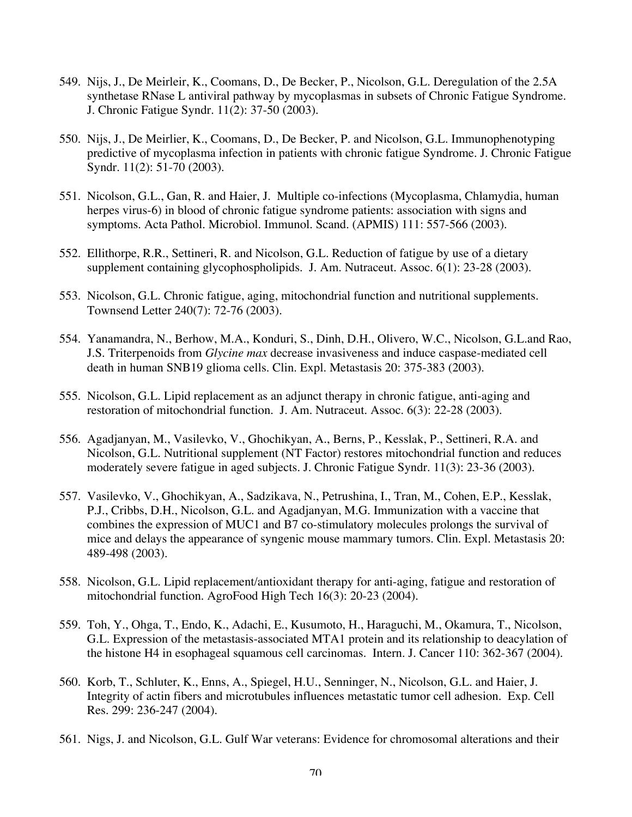- 549. Nijs, J., De Meirleir, K., Coomans, D., De Becker, P., Nicolson, G.L. Deregulation of the 2.5A synthetase RNase L antiviral pathway by mycoplasmas in subsets of Chronic Fatigue Syndrome. J. Chronic Fatigue Syndr. 11(2): 37-50 (2003).
- 550. Nijs, J., De Meirlier, K., Coomans, D., De Becker, P. and Nicolson, G.L. Immunophenotyping predictive of mycoplasma infection in patients with chronic fatigue Syndrome. J. Chronic Fatigue Syndr. 11(2): 51-70 (2003).
- 551. Nicolson, G.L., Gan, R. and Haier, J. Multiple co-infections (Mycoplasma, Chlamydia, human herpes virus-6) in blood of chronic fatigue syndrome patients: association with signs and symptoms. Acta Pathol. Microbiol. Immunol. Scand. (APMIS) 111: 557-566 (2003).
- 552. Ellithorpe, R.R., Settineri, R. and Nicolson, G.L. Reduction of fatigue by use of a dietary supplement containing glycophospholipids. J. Am. Nutraceut. Assoc. 6(1): 23-28 (2003).
- 553. Nicolson, G.L. Chronic fatigue, aging, mitochondrial function and nutritional supplements. Townsend Letter 240(7): 72-76 (2003).
- 554. Yanamandra, N., Berhow, M.A., Konduri, S., Dinh, D.H., Olivero, W.C., Nicolson, G.L.and Rao, J.S. Triterpenoids from *Glycine max* decrease invasiveness and induce caspase-mediated cell death in human SNB19 glioma cells. Clin. Expl. Metastasis 20: 375-383 (2003).
- 555. Nicolson, G.L. Lipid replacement as an adjunct therapy in chronic fatigue, anti-aging and restoration of mitochondrial function. J. Am. Nutraceut. Assoc. 6(3): 22-28 (2003).
- 556. Agadjanyan, M., Vasilevko, V., Ghochikyan, A., Berns, P., Kesslak, P., Settineri, R.A. and Nicolson, G.L. Nutritional supplement (NT Factor) restores mitochondrial function and reduces moderately severe fatigue in aged subjects. J. Chronic Fatigue Syndr. 11(3): 23-36 (2003).
- 557. Vasilevko, V., Ghochikyan, A., Sadzikava, N., Petrushina, I., Tran, M., Cohen, E.P., Kesslak, P.J., Cribbs, D.H., Nicolson, G.L. and Agadjanyan, M.G. Immunization with a vaccine that combines the expression of MUC1 and B7 co-stimulatory molecules prolongs the survival of mice and delays the appearance of syngenic mouse mammary tumors. Clin. Expl. Metastasis 20: 489-498 (2003).
- 558. Nicolson, G.L. Lipid replacement/antioxidant therapy for anti-aging, fatigue and restoration of mitochondrial function. AgroFood High Tech 16(3): 20-23 (2004).
- 559. Toh, Y., Ohga, T., Endo, K., Adachi, E., Kusumoto, H., Haraguchi, M., Okamura, T., Nicolson, G.L. Expression of the metastasis-associated MTA1 protein and its relationship to deacylation of the histone H4 in esophageal squamous cell carcinomas. Intern. J. Cancer 110: 362-367 (2004).
- 560. Korb, T., Schluter, K., Enns, A., Spiegel, H.U., Senninger, N., Nicolson, G.L. and Haier, J. Integrity of actin fibers and microtubules influences metastatic tumor cell adhesion. Exp. Cell Res. 299: 236-247 (2004).
- 561. Nigs, J. and Nicolson, G.L. Gulf War veterans: Evidence for chromosomal alterations and their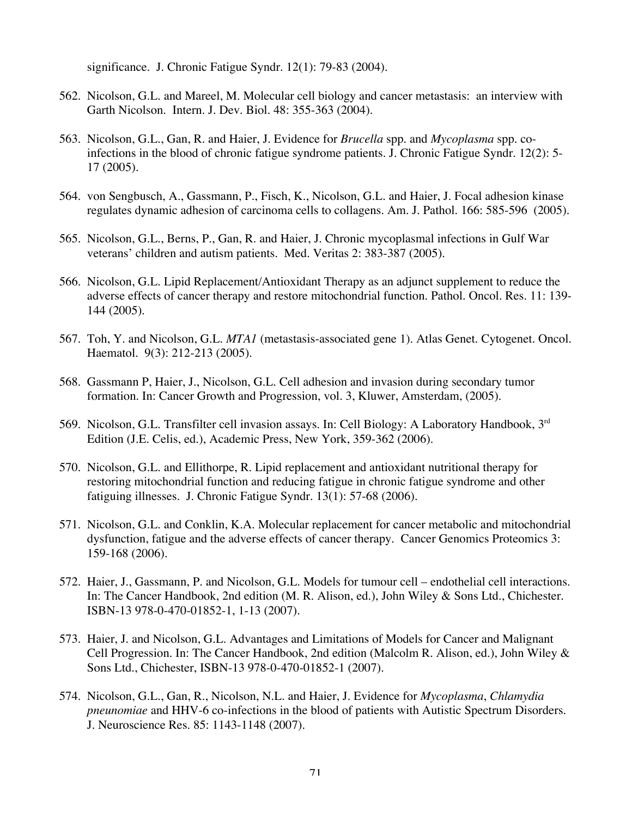significance. J. Chronic Fatigue Syndr. 12(1): 79-83 (2004).

- 562. Nicolson, G.L. and Mareel, M. Molecular cell biology and cancer metastasis: an interview with Garth Nicolson. Intern. J. Dev. Biol. 48: 355-363 (2004).
- 563. Nicolson, G.L., Gan, R. and Haier, J. Evidence for *Brucella* spp. and *Mycoplasma* spp. coinfections in the blood of chronic fatigue syndrome patients. J. Chronic Fatigue Syndr. 12(2): 5- 17 (2005).
- 564. von Sengbusch, A., Gassmann, P., Fisch, K., Nicolson, G.L. and Haier, J. Focal adhesion kinase regulates dynamic adhesion of carcinoma cells to collagens. Am. J. Pathol. 166: 585-596 (2005).
- 565. Nicolson, G.L., Berns, P., Gan, R. and Haier, J. Chronic mycoplasmal infections in Gulf War veterans' children and autism patients. Med. Veritas 2: 383-387 (2005).
- 566. Nicolson, G.L. Lipid Replacement/Antioxidant Therapy as an adjunct supplement to reduce the adverse effects of cancer therapy and restore mitochondrial function. Pathol. Oncol. Res. 11: 139- 144 (2005).
- 567. Toh, Y. and Nicolson, G.L. *MTA1* (metastasis-associated gene 1). Atlas Genet. Cytogenet. Oncol. Haematol. 9(3): 212-213 (2005).
- 568. Gassmann P, Haier, J., Nicolson, G.L. Cell adhesion and invasion during secondary tumor formation. In: Cancer Growth and Progression, vol. 3, Kluwer, Amsterdam, (2005).
- 569. Nicolson, G.L. Transfilter cell invasion assays. In: Cell Biology: A Laboratory Handbook, 3rd Edition (J.E. Celis, ed.), Academic Press, New York, 359-362 (2006).
- 570. Nicolson, G.L. and Ellithorpe, R. Lipid replacement and antioxidant nutritional therapy for restoring mitochondrial function and reducing fatigue in chronic fatigue syndrome and other fatiguing illnesses. J. Chronic Fatigue Syndr. 13(1): 57-68 (2006).
- 571. Nicolson, G.L. and Conklin, K.A. Molecular replacement for cancer metabolic and mitochondrial dysfunction, fatigue and the adverse effects of cancer therapy. Cancer Genomics Proteomics 3: 159-168 (2006).
- 572. Haier, J., Gassmann, P. and Nicolson, G.L. Models for tumour cell endothelial cell interactions. In: The Cancer Handbook, 2nd edition (M. R. Alison, ed.), John Wiley & Sons Ltd., Chichester. ISBN-13 978-0-470-01852-1, 1-13 (2007).
- 573. Haier, J. and Nicolson, G.L. Advantages and Limitations of Models for Cancer and Malignant Cell Progression. In: The Cancer Handbook, 2nd edition (Malcolm R. Alison, ed.), John Wiley & Sons Ltd., Chichester, ISBN-13 978-0-470-01852-1 (2007).
- 574. Nicolson, G.L., Gan, R., Nicolson, N.L. and Haier, J. Evidence for *Mycoplasma*, *Chlamydia pneunomiae* and HHV-6 co-infections in the blood of patients with Autistic Spectrum Disorders. J. Neuroscience Res. 85: 1143-1148 (2007).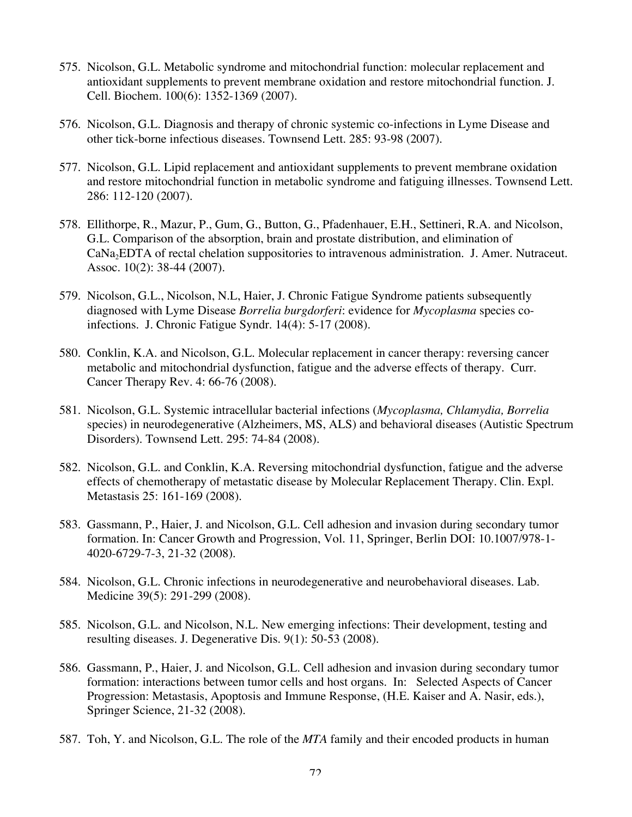- 575. Nicolson, G.L. Metabolic syndrome and mitochondrial function: molecular replacement and antioxidant supplements to prevent membrane oxidation and restore mitochondrial function. J. Cell. Biochem. 100(6): 1352-1369 (2007).
- 576. Nicolson, G.L. Diagnosis and therapy of chronic systemic co-infections in Lyme Disease and other tick-borne infectious diseases. Townsend Lett. 285: 93-98 (2007).
- 577. Nicolson, G.L. Lipid replacement and antioxidant supplements to prevent membrane oxidation and restore mitochondrial function in metabolic syndrome and fatiguing illnesses. Townsend Lett. 286: 112-120 (2007).
- 578. Ellithorpe, R., Mazur, P., Gum, G., Button, G., Pfadenhauer, E.H., Settineri, R.A. and Nicolson, G.L. Comparison of the absorption, brain and prostate distribution, and elimination of CaNa2EDTA of rectal chelation suppositories to intravenous administration. J. Amer. Nutraceut. Assoc. 10(2): 38-44 (2007).
- 579. Nicolson, G.L., Nicolson, N.L, Haier, J. Chronic Fatigue Syndrome patients subsequently diagnosed with Lyme Disease *Borrelia burgdorferi*: evidence for *Mycoplasma* species coinfections. J. Chronic Fatigue Syndr. 14(4): 5-17 (2008).
- 580. Conklin, K.A. and Nicolson, G.L. Molecular replacement in cancer therapy: reversing cancer metabolic and mitochondrial dysfunction, fatigue and the adverse effects of therapy. Curr. Cancer Therapy Rev. 4: 66-76 (2008).
- 581. Nicolson, G.L. Systemic intracellular bacterial infections (*Mycoplasma, Chlamydia, Borrelia* species) in neurodegenerative (Alzheimers, MS, ALS) and behavioral diseases (Autistic Spectrum Disorders). Townsend Lett. 295: 74-84 (2008).
- 582. Nicolson, G.L. and Conklin, K.A. Reversing mitochondrial dysfunction, fatigue and the adverse effects of chemotherapy of metastatic disease by Molecular Replacement Therapy. Clin. Expl. Metastasis 25: 161-169 (2008).
- 583. Gassmann, P., Haier, J. and Nicolson, G.L. Cell adhesion and invasion during secondary tumor formation. In: Cancer Growth and Progression, Vol. 11, Springer, Berlin DOI: 10.1007/978-1- 4020-6729-7-3, 21-32 (2008).
- 584. Nicolson, G.L. Chronic infections in neurodegenerative and neurobehavioral diseases. Lab. Medicine 39(5): 291-299 (2008).
- 585. Nicolson, G.L. and Nicolson, N.L. New emerging infections: Their development, testing and resulting diseases. J. Degenerative Dis. 9(1): 50-53 (2008).
- 586. Gassmann, P., Haier, J. and Nicolson, G.L. Cell adhesion and invasion during secondary tumor formation: interactions between tumor cells and host organs. In: Selected Aspects of Cancer Progression: Metastasis, Apoptosis and Immune Response, (H.E. Kaiser and A. Nasir, eds.), Springer Science, 21-32 (2008).
- 587. Toh, Y. and Nicolson, G.L. The role of the *MTA* family and their encoded products in human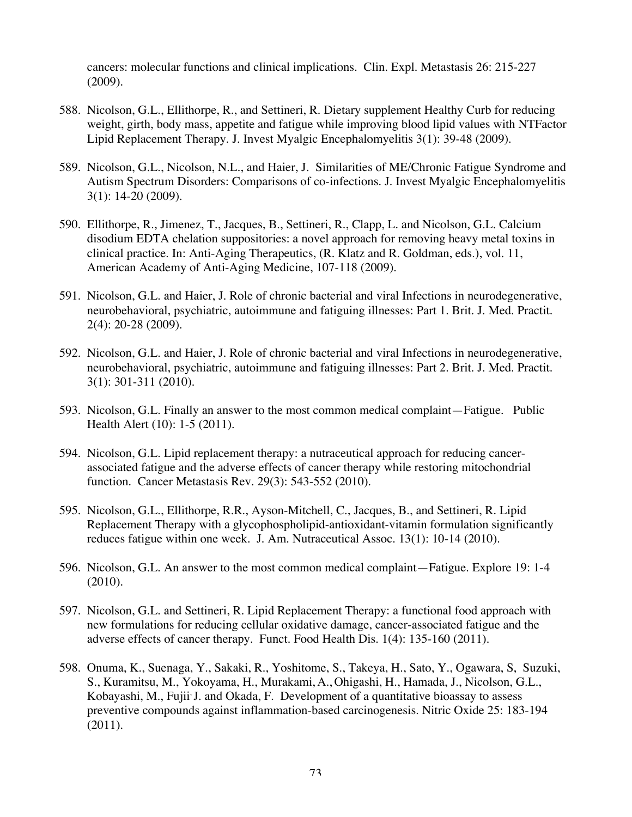cancers: molecular functions and clinical implications. Clin. Expl. Metastasis 26: 215-227 (2009).

- 588. Nicolson, G.L., Ellithorpe, R., and Settineri, R. Dietary supplement Healthy Curb for reducing weight, girth, body mass, appetite and fatigue while improving blood lipid values with NTFactor Lipid Replacement Therapy. J. Invest Myalgic Encephalomyelitis 3(1): 39-48 (2009).
- 589. Nicolson, G.L., Nicolson, N.L., and Haier, J. Similarities of ME/Chronic Fatigue Syndrome and Autism Spectrum Disorders: Comparisons of co-infections. J. Invest Myalgic Encephalomyelitis 3(1): 14-20 (2009).
- 590. Ellithorpe, R., Jimenez, T., Jacques, B., Settineri, R., Clapp, L. and Nicolson, G.L. Calcium disodium EDTA chelation suppositories: a novel approach for removing heavy metal toxins in clinical practice. In: Anti-Aging Therapeutics, (R. Klatz and R. Goldman, eds.), vol. 11, American Academy of Anti-Aging Medicine, 107-118 (2009).
- 591. Nicolson, G.L. and Haier, J. Role of chronic bacterial and viral Infections in neurodegenerative, neurobehavioral, psychiatric, autoimmune and fatiguing illnesses: Part 1. Brit. J. Med. Practit. 2(4): 20-28 (2009).
- 592. Nicolson, G.L. and Haier, J. Role of chronic bacterial and viral Infections in neurodegenerative, neurobehavioral, psychiatric, autoimmune and fatiguing illnesses: Part 2. Brit. J. Med. Practit. 3(1): 301-311 (2010).
- 593. Nicolson, G.L. Finally an answer to the most common medical complaint—Fatigue. Public Health Alert (10): 1-5 (2011).
- 594. Nicolson, G.L. Lipid replacement therapy: a nutraceutical approach for reducing cancerassociated fatigue and the adverse effects of cancer therapy while restoring mitochondrial function. Cancer Metastasis Rev. 29(3): 543-552 (2010).
- 595. Nicolson, G.L., Ellithorpe, R.R., Ayson-Mitchell, C., Jacques, B., and Settineri, R. Lipid Replacement Therapy with a glycophospholipid-antioxidant-vitamin formulation significantly reduces fatigue within one week. J. Am. Nutraceutical Assoc. 13(1): 10-14 (2010).
- 596. Nicolson, G.L. An answer to the most common medical complaint—Fatigue. Explore 19: 1-4 (2010).
- 597. Nicolson, G.L. and Settineri, R. Lipid Replacement Therapy: a functional food approach with new formulations for reducing cellular oxidative damage, cancer-associated fatigue and the adverse effects of cancer therapy. Funct. Food Health Dis. 1(4): 135-160 (2011).
- 598. Onuma, K., Suenaga, Y., Sakaki, R., Yoshitome, S., Takeya, H., Sato, Y., Ogawara, S, Suzuki, S., Kuramitsu, M., Yokoyama, H., Murakami, A., Ohigashi, H., Hamada, J., Nicolson, G.L., Kobayashi, M., Fujii<sup>,</sup> J. and Okada, F. Development of a quantitative bioassay to assess preventive compounds against inflammation-based carcinogenesis. Nitric Oxide 25: 183-194 (2011).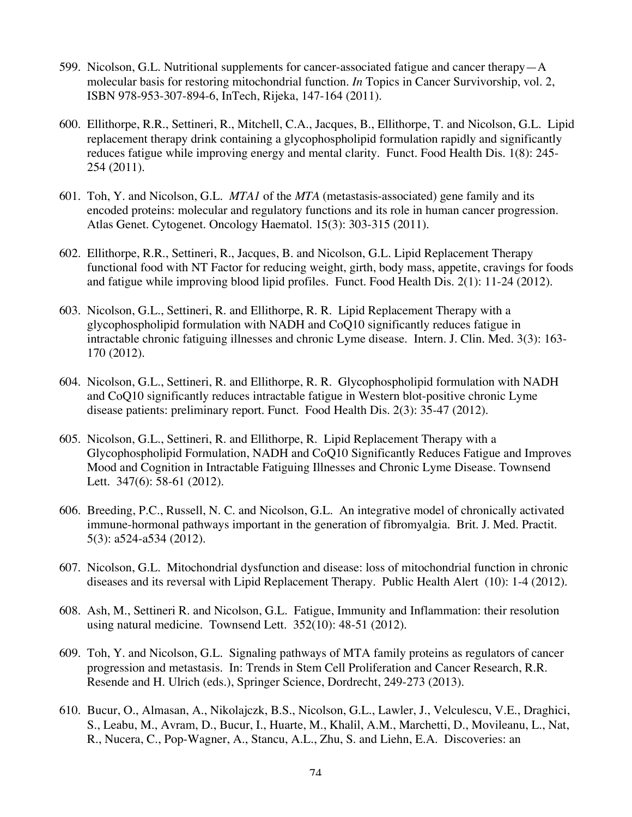- 599. Nicolson, G.L. Nutritional supplements for cancer-associated fatigue and cancer therapy—A molecular basis for restoring mitochondrial function. *In* Topics in Cancer Survivorship, vol. 2, ISBN 978-953-307-894-6, InTech, Rijeka, 147-164 (2011).
- 600. Ellithorpe, R.R., Settineri, R., Mitchell, C.A., Jacques, B., Ellithorpe, T. and Nicolson, G.L. Lipid replacement therapy drink containing a glycophospholipid formulation rapidly and significantly reduces fatigue while improving energy and mental clarity. Funct. Food Health Dis. 1(8): 245- 254 (2011).
- 601. Toh, Y. and Nicolson, G.L. *MTA1* of the *MTA* (metastasis-associated) gene family and its encoded proteins: molecular and regulatory functions and its role in human cancer progression. Atlas Genet. Cytogenet. Oncology Haematol. 15(3): 303-315 (2011).
- 602. Ellithorpe, R.R., Settineri, R., Jacques, B. and Nicolson, G.L. Lipid Replacement Therapy functional food with NT Factor for reducing weight, girth, body mass, appetite, cravings for foods and fatigue while improving blood lipid profiles. Funct. Food Health Dis. 2(1): 11-24 (2012).
- 603. Nicolson, G.L., Settineri, R. and Ellithorpe, R. R. Lipid Replacement Therapy with a glycophospholipid formulation with NADH and CoQ10 significantly reduces fatigue in intractable chronic fatiguing illnesses and chronic Lyme disease. Intern. J. Clin. Med. 3(3): 163- 170 (2012).
- 604. Nicolson, G.L., Settineri, R. and Ellithorpe, R. R. Glycophospholipid formulation with NADH and CoQ10 significantly reduces intractable fatigue in Western blot-positive chronic Lyme disease patients: preliminary report. Funct. Food Health Dis. 2(3): 35-47 (2012).
- 605. Nicolson, G.L., Settineri, R. and Ellithorpe, R. Lipid Replacement Therapy with a Glycophospholipid Formulation, NADH and CoQ10 Significantly Reduces Fatigue and Improves Mood and Cognition in Intractable Fatiguing Illnesses and Chronic Lyme Disease. Townsend Lett. 347(6): 58-61 (2012).
- 606. Breeding, P.C., Russell, N. C. and Nicolson, G.L. An integrative model of chronically activated immune-hormonal pathways important in the generation of fibromyalgia. Brit. J. Med. Practit. 5(3): a524-a534 (2012).
- 607. Nicolson, G.L. Mitochondrial dysfunction and disease: loss of mitochondrial function in chronic diseases and its reversal with Lipid Replacement Therapy. Public Health Alert (10): 1-4 (2012).
- 608. Ash, M., Settineri R. and Nicolson, G.L. Fatigue, Immunity and Inflammation: their resolution using natural medicine. Townsend Lett. 352(10): 48-51 (2012).
- 609. Toh, Y. and Nicolson, G.L. Signaling pathways of MTA family proteins as regulators of cancer progression and metastasis. In: Trends in Stem Cell Proliferation and Cancer Research, R.R. Resende and H. Ulrich (eds.), Springer Science, Dordrecht, 249-273 (2013).
- 610. Bucur, O., Almasan, A., Nikolajczk, B.S., Nicolson, G.L., Lawler, J., Velculescu, V.E., Draghici, S., Leabu, M., Avram, D., Bucur, I., Huarte, M., Khalil, A.M., Marchetti, D., Movileanu, L., Nat, R., Nucera, C., Pop-Wagner, A., Stancu, A.L., Zhu, S. and Liehn, E.A. Discoveries: an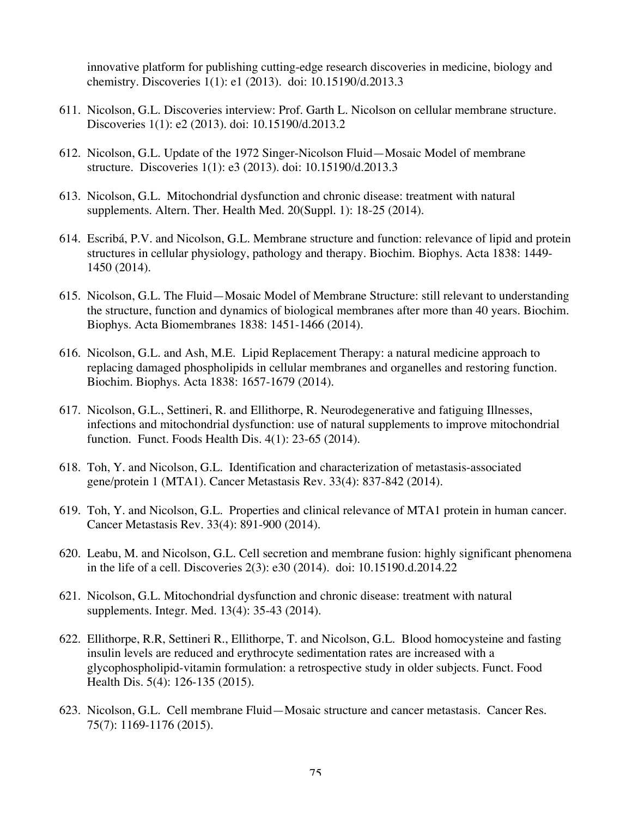innovative platform for publishing cutting-edge research discoveries in medicine, biology and chemistry. Discoveries 1(1): e1 (2013). doi: 10.15190/d.2013.3

- 611. Nicolson, G.L. Discoveries interview: Prof. Garth L. Nicolson on cellular membrane structure. Discoveries 1(1): e2 (2013). doi: 10.15190/d.2013.2
- 612. Nicolson, G.L. Update of the 1972 Singer-Nicolson Fluid—Mosaic Model of membrane structure. Discoveries 1(1): e3 (2013). doi: 10.15190/d.2013.3
- 613. Nicolson, G.L. Mitochondrial dysfunction and chronic disease: treatment with natural supplements. Altern. Ther. Health Med. 20(Suppl. 1): 18-25 (2014).
- 614. Escribá, P.V. and Nicolson, G.L. Membrane structure and function: relevance of lipid and protein structures in cellular physiology, pathology and therapy. Biochim. Biophys. Acta 1838: 1449- 1450 (2014).
- 615. Nicolson, G.L. The Fluid—Mosaic Model of Membrane Structure: still relevant to understanding the structure, function and dynamics of biological membranes after more than 40 years. Biochim. Biophys. Acta Biomembranes 1838: 1451-1466 (2014).
- 616. Nicolson, G.L. and Ash, M.E. Lipid Replacement Therapy: a natural medicine approach to replacing damaged phospholipids in cellular membranes and organelles and restoring function. Biochim. Biophys. Acta 1838: 1657-1679 (2014).
- 617. Nicolson, G.L., Settineri, R. and Ellithorpe, R. Neurodegenerative and fatiguing Illnesses, infections and mitochondrial dysfunction: use of natural supplements to improve mitochondrial function. Funct. Foods Health Dis. 4(1): 23-65 (2014).
- 618. Toh, Y. and Nicolson, G.L. Identification and characterization of metastasis-associated gene/protein 1 (MTA1). Cancer Metastasis Rev. 33(4): 837-842 (2014).
- 619. Toh, Y. and Nicolson, G.L. Properties and clinical relevance of MTA1 protein in human cancer. Cancer Metastasis Rev. 33(4): 891-900 (2014).
- 620. Leabu, M. and Nicolson, G.L. Cell secretion and membrane fusion: highly significant phenomena in the life of a cell. Discoveries 2(3): e30 (2014). doi: 10.15190.d.2014.22
- 621. Nicolson, G.L. Mitochondrial dysfunction and chronic disease: treatment with natural supplements. Integr. Med. 13(4): 35-43 (2014).
- 622. Ellithorpe, R.R, Settineri R., Ellithorpe, T. and Nicolson, G.L. Blood homocysteine and fasting insulin levels are reduced and erythrocyte sedimentation rates are increased with a glycophospholipid-vitamin formulation: a retrospective study in older subjects. Funct. Food Health Dis. 5(4): 126-135 (2015).
- 623. Nicolson, G.L. Cell membrane Fluid—Mosaic structure and cancer metastasis. Cancer Res. 75(7): 1169-1176 (2015).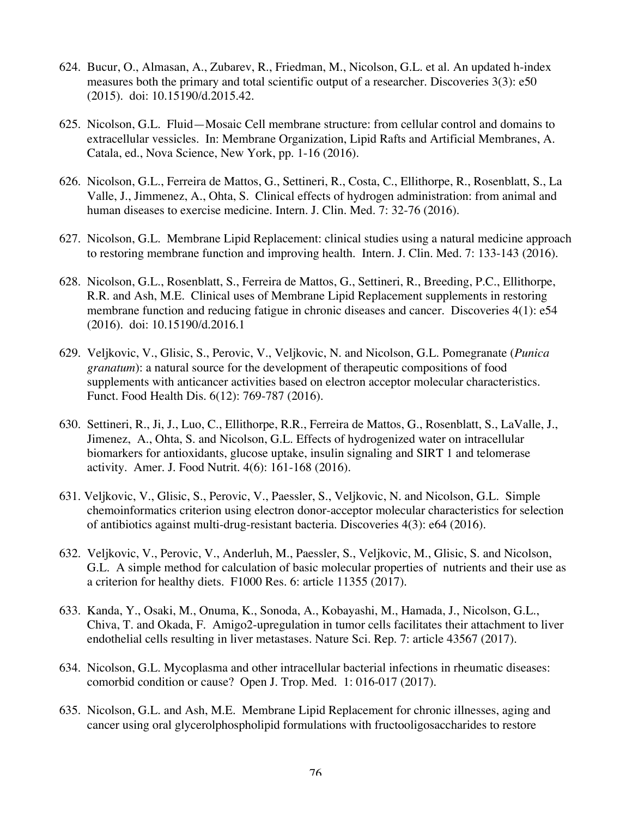- 624. Bucur, O., Almasan, A., Zubarev, R., Friedman, M., Nicolson, G.L. et al. An updated h-index measures both the primary and total scientific output of a researcher. Discoveries 3(3): e50 (2015). doi: 10.15190/d.2015.42.
- 625. Nicolson, G.L. Fluid—Mosaic Cell membrane structure: from cellular control and domains to extracellular vessicles. In: Membrane Organization, Lipid Rafts and Artificial Membranes, A. Catala, ed., Nova Science, New York, pp. 1-16 (2016).
- 626. Nicolson, G.L., Ferreira de Mattos, G., Settineri, R., Costa, C., Ellithorpe, R., Rosenblatt, S., La Valle, J., Jimmenez, A., Ohta, S. Clinical effects of hydrogen administration: from animal and human diseases to exercise medicine. Intern. J. Clin. Med. 7: 32-76 (2016).
- 627. Nicolson, G.L. Membrane Lipid Replacement: clinical studies using a natural medicine approach to restoring membrane function and improving health. Intern. J. Clin. Med. 7: 133-143 (2016).
- 628. Nicolson, G.L., Rosenblatt, S., Ferreira de Mattos, G., Settineri, R., Breeding, P.C., Ellithorpe, R.R. and Ash, M.E. Clinical uses of Membrane Lipid Replacement supplements in restoring membrane function and reducing fatigue in chronic diseases and cancer. Discoveries 4(1): e54 (2016). doi: 10.15190/d.2016.1
- 629. Veljkovic, V., Glisic, S., Perovic, V., Veljkovic, N. and Nicolson, G.L. Pomegranate (*Punica granatum*): a natural source for the development of therapeutic compositions of food supplements with anticancer activities based on electron acceptor molecular characteristics. Funct. Food Health Dis. 6(12): 769-787 (2016).
- 630. Settineri, R., Ji, J., Luo, C., Ellithorpe, R.R., Ferreira de Mattos, G., Rosenblatt, S., LaValle, J., Jimenez, A., Ohta, S. and Nicolson, G.L. Effects of hydrogenized water on intracellular biomarkers for antioxidants, glucose uptake, insulin signaling and SIRT 1 and telomerase activity. Amer. J. Food Nutrit. 4(6): 161-168 (2016).
- 631. Veljkovic, V., Glisic, S., Perovic, V., Paessler, S., Veljkovic, N. and Nicolson, G.L. Simple chemoinformatics criterion using electron donor-acceptor molecular characteristics for selection of antibiotics against multi-drug-resistant bacteria. Discoveries 4(3): e64 (2016).
- 632. Veljkovic, V., Perovic, V., Anderluh, M., Paessler, S., Veljkovic, M., Glisic, S. and Nicolson, G.L. A simple method for calculation of basic molecular properties of nutrients and their use as a criterion for healthy diets. F1000 Res. 6: article 11355 (2017).
- 633. Kanda, Y., Osaki, M., Onuma, K., Sonoda, A., Kobayashi, M., Hamada, J., Nicolson, G.L., Chiva, T. and Okada, F. Amigo2-upregulation in tumor cells facilitates their attachment to liver endothelial cells resulting in liver metastases. Nature Sci. Rep. 7: article 43567 (2017).
- 634. Nicolson, G.L. Mycoplasma and other intracellular bacterial infections in rheumatic diseases: comorbid condition or cause? Open J. Trop. Med. 1: 016-017 (2017).
- 635. Nicolson, G.L. and Ash, M.E. Membrane Lipid Replacement for chronic illnesses, aging and cancer using oral glycerolphospholipid formulations with fructooligosaccharides to restore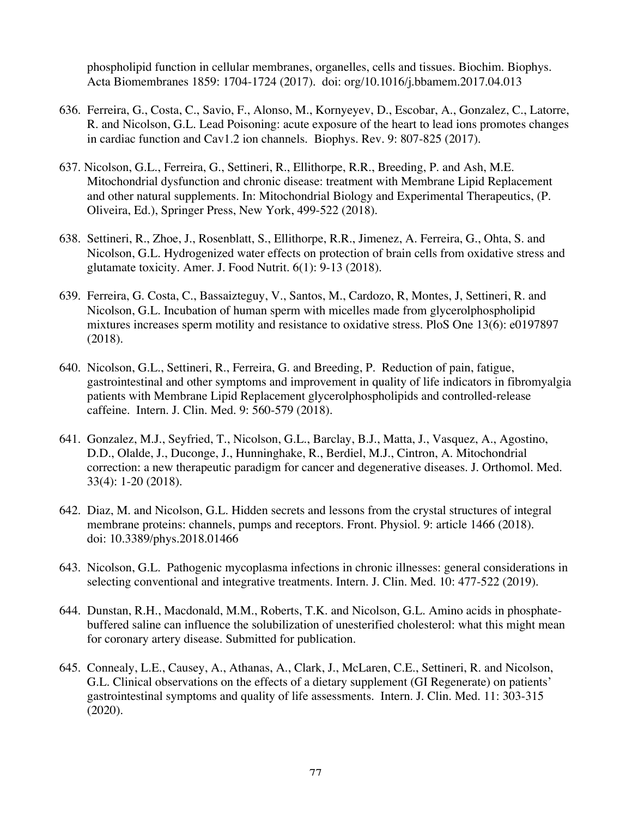phospholipid function in cellular membranes, organelles, cells and tissues. Biochim. Biophys. Acta Biomembranes 1859: 1704-1724 (2017). doi: org/10.1016/j.bbamem.2017.04.013

- 636. Ferreira, G., Costa, C., Savio, F., Alonso, M., Kornyeyev, D., Escobar, A., Gonzalez, C., Latorre, R. and Nicolson, G.L. Lead Poisoning: acute exposure of the heart to lead ions promotes changes in cardiac function and Cav1.2 ion channels. Biophys. Rev. 9: 807-825 (2017).
- 637. Nicolson, G.L., Ferreira, G., Settineri, R., Ellithorpe, R.R., Breeding, P. and Ash, M.E. Mitochondrial dysfunction and chronic disease: treatment with Membrane Lipid Replacement and other natural supplements. In: Mitochondrial Biology and Experimental Therapeutics, (P. Oliveira, Ed.), Springer Press, New York, 499-522 (2018).
- 638. Settineri, R., Zhoe, J., Rosenblatt, S., Ellithorpe, R.R., Jimenez, A. Ferreira, G., Ohta, S. and Nicolson, G.L. Hydrogenized water effects on protection of brain cells from oxidative stress and glutamate toxicity. Amer. J. Food Nutrit. 6(1): 9-13 (2018).
- 639. Ferreira, G. Costa, C., Bassaizteguy, V., Santos, M., Cardozo, R, Montes, J, Settineri, R. and Nicolson, G.L. Incubation of human sperm with micelles made from glycerolphospholipid mixtures increases sperm motility and resistance to oxidative stress. PloS One 13(6): e0197897 (2018).
- 640. Nicolson, G.L., Settineri, R., Ferreira, G. and Breeding, P. Reduction of pain, fatigue, gastrointestinal and other symptoms and improvement in quality of life indicators in fibromyalgia patients with Membrane Lipid Replacement glycerolphospholipids and controlled-release caffeine. Intern. J. Clin. Med. 9: 560-579 (2018).
- 641. Gonzalez, M.J., Seyfried, T., Nicolson, G.L., Barclay, B.J., Matta, J., Vasquez, A., Agostino, D.D., Olalde, J., Duconge, J., Hunninghake, R., Berdiel, M.J., Cintron, A. Mitochondrial correction: a new therapeutic paradigm for cancer and degenerative diseases. J. Orthomol. Med. 33(4): 1-20 (2018).
- 642. Diaz, M. and Nicolson, G.L. Hidden secrets and lessons from the crystal structures of integral membrane proteins: channels, pumps and receptors. Front. Physiol. 9: article 1466 (2018). doi: 10.3389/phys.2018.01466
- 643. Nicolson, G.L. Pathogenic mycoplasma infections in chronic illnesses: general considerations in selecting conventional and integrative treatments. Intern. J. Clin. Med. 10: 477-522 (2019).
- 644. Dunstan, R.H., Macdonald, M.M., Roberts, T.K. and Nicolson, G.L. Amino acids in phosphatebuffered saline can influence the solubilization of unesterified cholesterol: what this might mean for coronary artery disease. Submitted for publication.
- 645. Connealy, L.E., Causey, A., Athanas, A., Clark, J., McLaren, C.E., Settineri, R. and Nicolson, G.L. Clinical observations on the effects of a dietary supplement (GI Regenerate) on patients' gastrointestinal symptoms and quality of life assessments. Intern. J. Clin. Med. 11: 303-315 (2020).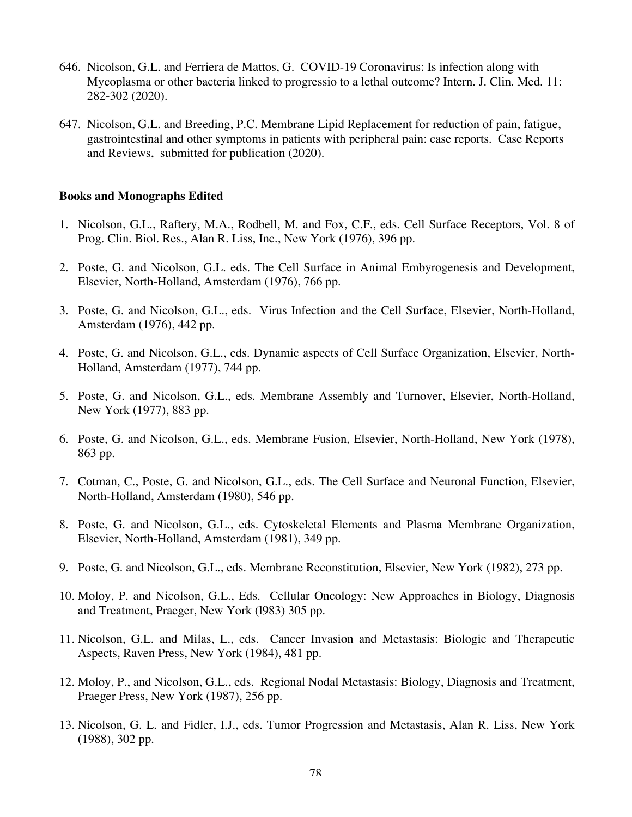- 646. Nicolson, G.L. and Ferriera de Mattos, G. COVID-19 Coronavirus: Is infection along with Mycoplasma or other bacteria linked to progressio to a lethal outcome? Intern. J. Clin. Med. 11: 282-302 (2020).
- 647. Nicolson, G.L. and Breeding, P.C. Membrane Lipid Replacement for reduction of pain, fatigue, gastrointestinal and other symptoms in patients with peripheral pain: case reports. Case Reports and Reviews, submitted for publication (2020).

## **Books and Monographs Edited**

- 1. Nicolson, G.L., Raftery, M.A., Rodbell, M. and Fox, C.F., eds. Cell Surface Receptors, Vol. 8 of Prog. Clin. Biol. Res., Alan R. Liss, Inc., New York (1976), 396 pp.
- 2. Poste, G. and Nicolson, G.L. eds. The Cell Surface in Animal Embyrogenesis and Development, Elsevier, North-Holland, Amsterdam (1976), 766 pp.
- 3. Poste, G. and Nicolson, G.L., eds. Virus Infection and the Cell Surface, Elsevier, North-Holland, Amsterdam (1976), 442 pp.
- 4. Poste, G. and Nicolson, G.L., eds. Dynamic aspects of Cell Surface Organization, Elsevier, North-Holland, Amsterdam (1977), 744 pp.
- 5. Poste, G. and Nicolson, G.L., eds. Membrane Assembly and Turnover, Elsevier, North-Holland, New York (1977), 883 pp.
- 6. Poste, G. and Nicolson, G.L., eds. Membrane Fusion, Elsevier, North-Holland, New York (1978), 863 pp.
- 7. Cotman, C., Poste, G. and Nicolson, G.L., eds. The Cell Surface and Neuronal Function, Elsevier, North-Holland, Amsterdam (1980), 546 pp.
- 8. Poste, G. and Nicolson, G.L., eds. Cytoskeletal Elements and Plasma Membrane Organization, Elsevier, North-Holland, Amsterdam (1981), 349 pp.
- 9. Poste, G. and Nicolson, G.L., eds. Membrane Reconstitution, Elsevier, New York (1982), 273 pp.
- 10. Moloy, P. and Nicolson, G.L., Eds. Cellular Oncology: New Approaches in Biology, Diagnosis and Treatment, Praeger, New York (l983) 305 pp.
- 11. Nicolson, G.L. and Milas, L., eds. Cancer Invasion and Metastasis: Biologic and Therapeutic Aspects, Raven Press, New York (1984), 481 pp.
- 12. Moloy, P., and Nicolson, G.L., eds. Regional Nodal Metastasis: Biology, Diagnosis and Treatment, Praeger Press, New York (1987), 256 pp.
- 13. Nicolson, G. L. and Fidler, I.J., eds. Tumor Progression and Metastasis, Alan R. Liss, New York (1988), 302 pp.